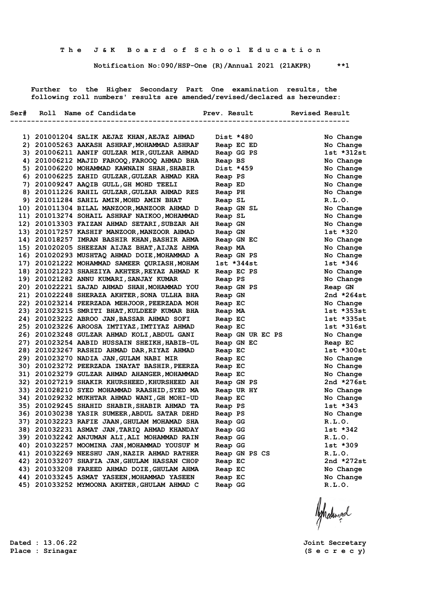**Notification No:090/HSP-One (R)/Annual 2021 (21AKPR) \*\*1**

 **Further to the Higher Secondary Part One examination results, the following roll numbers' results are amended/revised/declared as hereunder:**

|  | Ser# Roll Name of Candidate                                                                  | Prev. Result Revised Result |                         |
|--|----------------------------------------------------------------------------------------------|-----------------------------|-------------------------|
|  |                                                                                              |                             | ----------------------- |
|  | 1) 201001204 SALIK AEJAZ KHAN, AEJAZ AHMAD                                                   | Dist *480                   | No Change               |
|  | 2) 201005263 AAKASH ASHRAF, MOHAMMAD ASHRAF                                                  | Reap EC ED NORTH STATES     | No Change               |
|  | 3) 201006211 AANIF GULZAR MIR, GULZAR AHMAD                                                  | Reap GG PS                  | 1st *312st              |
|  | 4) 201006212 MAJID FAROOQ, FAROOQ AHMAD BHA                                                  | Reap BS                     | No Change               |
|  | 5) 201006220 MOHAMMAD KAWNAIN SHAH, SHABIR                                                   | Dist *459                   | No Change               |
|  | 6) 201006225 ZAHID GULZAR, GULZAR AHMAD KHA                                                  | Reap PS                     | No Change               |
|  | 7) 201009247 AAQIB GULL, GH MOHD TEELI                                                       | Reap ED                     | No Change               |
|  | 8) 201011226 RAHIL GULZAR, GULZAR AHMAD RES                                                  | Reap PH                     | No Change               |
|  | 9) 201011284 SAHIL AMIN, MOHD AMIN BHAT                                                      | Reap SL                     | R.L.0.                  |
|  | 10) 201011304 BILAL MANZOOR, MANZOOR AHMAD D                                                 | Reap GN SL                  | No Change               |
|  | 11) 201013274 SOHAIL ASHRAF NAIKOO, MOHAMMAD                                                 | Reap SL                     | No Change               |
|  | 12) 201013303 FAIZAN AHMAD SETARI, SUBZAR AH                                                 | Reap GN                     | No Change               |
|  | 13) 201017257 KASHIF MANZOOR, MANZOOR AHMAD                                                  | Reap GN                     | 1st *320                |
|  | 14) 201018257 IMRAN BASHIR KHAN, BASHIR AHMA                                                 | Reap GN EC                  | No Change               |
|  | 15) 201020205 SHEEZAN AIJAZ BHAT, AIJAZ AHMA                                                 | Reap MA                     | No Change               |
|  | 16) 201020293 MUSHTAQ AHMAD DOIE, MOHAMMAD A                                                 | Reap GN PS                  | No Change               |
|  | 17) 201021222 MOHAMMAD SAMEER QURIASH, MOHAM                                                 | lst *344st                  | $1st * 346$             |
|  | 18) 201021223 SHAHZIYA AKHTER, REYAZ AHMAD K                                                 | Reap EC PS                  | No Change               |
|  | 19) 201021282 ANNU KUMARI, SANJAY KUMAR                                                      | Reap PS                     | No Change               |
|  | 20) 201022221 SAJAD AHMAD SHAH, MOHAMMAD YOU                                                 | Reap GN PS                  | Reap GN                 |
|  | 21) 201022248 SHERAZA AKHTER, SONA ULLHA BHA                                                 | Reap GN                     | 2nd *264st              |
|  | 22) 201023214 PEERZADA MEHJOOR, PEERZADA MOH                                                 | Reap EC                     | No Change               |
|  | 23) 201023215 SMRITI BHAT, KULDEEP KUMAR BHA                                                 | Reap MA                     | $1st *353st$            |
|  | 24) 201023222 ABROO JAN, BASSAR AHMAD SOFI                                                   | Reap EC                     | $1st *335st$            |
|  | 25) 201023226 AROOSA IMTIYAZ, IMTIYAZ AHMAD                                                  | Reap EC                     | $1st * 316st$           |
|  | 26) 201023248 GULZAR AHMAD KOLI, ABDUL GANI                                                  | Reap GN UR EC PS            | No Change               |
|  | 27) 201023254 AABID HUSSAIN SHEIKH, HABIB-UL                                                 | Reap GN EC                  | Reap EC                 |
|  | 28) 201023267 RASHID AHMAD DAR, RIYAZ AHMAD                                                  | Reap EC                     | 1st *300st              |
|  | 29) 201023270 NADIA JAN, GULAM NABI MIR                                                      | Reap EC                     | No Change               |
|  | 30) 201023272 PEERZADA INAYAT BASHIR, PEERZA                                                 | Reap EC                     | No Change               |
|  | 31) 201023279 GULZAR AHMAD AHANGER, MOHAMMAD<br>32) 201027219 SHAKIR KHURSHEED, KHURSHEED AH | Reap EC                     | No Change<br>2nd *276st |
|  | 33) 201028210 SYED MOHAMMAD RAASHID, SYED MA                                                 | Reap GN PS                  |                         |
|  | 34) 201029232 MUKHTAR AHMAD WANI, GH MOHI-UD                                                 | Reap UR HY                  | No Change<br>No Change  |
|  | 35) 201029245 SHAHID SHABIR, SHABIR AHMAD TA                                                 | Reap EC<br>Reap PS          | $1st$ $*343$            |
|  | 36) 201030238 YASIR SUMEER, ABDUL SATAR DEHD                                                 | Reap PS                     | No Change               |
|  | 37) 201032223 RAFIE JAAN, GHULAM MOHAMAD SHA                                                 | Reap GG                     | R.L.0.                  |
|  | 38) 201032231 ASMAT JAN, TARIQ AHMAD KHANDAY                                                 | Reap GG                     | $1st * 342$             |
|  | 39) 201032242 ANJUMAN ALI,ALI MOHAMMAD RAIN                                                  | Reap GG                     | R.L.O.                  |
|  | 40) 201032257 MOOMINA JAN, MOHAMMAD YOUSUF M                                                 | Reap GG                     | $1st * 309$             |
|  | 41) 201032269 NEESHU JAN, NAZIR AHMAD RATHER                                                 | Reap GN PS CS               | R.L.O.                  |
|  | 42) 201033207 SHAFIA JAN, GHULAM HASSAN CHOP                                                 | Reap EC                     | 2nd *272st              |
|  | 43) 201033208 FAREED AHMAD DOIE, GHULAM AHMA                                                 | Reap EC                     | No Change               |
|  | 44) 201033245 ASMAT YASEEN, MOHAMMAD YASEEN                                                  | Reap EC                     | No Change               |
|  | 45) 201033252 MYMOONA AKHTER, GHULAM AHMAD C                                                 | Reap GG                     | R.L.O.                  |
|  |                                                                                              |                             |                         |

Ashatingal

**Dated : 13.06.22 Joint Secretary Place : Srinagar (S e c r e c y)**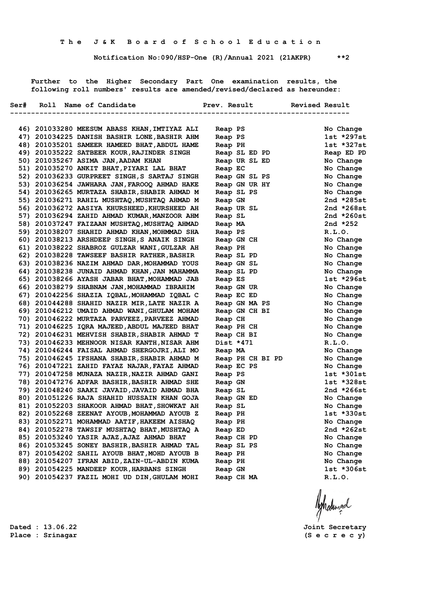**Notification No:090/HSP-One (R)/Annual 2021 (21AKPR) \*\*2**

 **Further to the Higher Secondary Part One examination results, the following roll numbers' results are amended/revised/declared as hereunder:**

|  | Ser# Roll Name of Candidate                  | Prev. Result Revised Result |                |
|--|----------------------------------------------|-----------------------------|----------------|
|  |                                              |                             |                |
|  | 46) 201033280 MEESUM ABASS KHAN, IMTIYAZ ALI | Reap PS<br>Reap PS          | No Change      |
|  | 47) 201034225 DANISH BASHIR LONE, BASHIR AHM |                             | $1st *297st$   |
|  | 48) 201035201 SAMEER HAMEED BHAT, ABDUL HAME | Reap PH                     | $1st$ *327st   |
|  | 49) 201035222 SATBEER KOUR, RAJINDER SINGH   | Keap PH<br>Reap SL ED PD    | Reap ED PD     |
|  | 50) 201035267 ASIMA JAN, AADAM KHAN          | Reap UR SL ED               | No Change      |
|  | 51) 201035270 ANKIT BHAT, PIYARI LAL BHAT    | Reap EC                     | No Change      |
|  | 52) 201036233 GURPREET SINGH, S SARTAJ SINGH | Reap GN SL PS               | No Change      |
|  | 53) 201036254 JAWHARA JAN, FAROOQ AHMAD HAKE | Reap GN UR HY               | No Change      |
|  | 54) 201036265 MURTAZA SHABIR, SHABIR AHMAD M | Reap SL PS                  | No Change      |
|  | 55) 201036271 RAHIL MUSHTAQ, MUSHTAQ AHMAD M | Reap GN                     | 2nd *285st     |
|  | 56) 201036272 AASIYA KHURSHEED, KHURSHEED AH | Reap UR SL                  | 2nd $*268st$   |
|  | 57) 201036294 ZAHID AHMAD KUMAR, MANZOOR AHM | Reap SL                     | 2nd $*260st$   |
|  | 58) 201037247 FAIZAAN MUSHTAQ, MUSHTAQ AHMAD | Reap MA                     | 2nd $*252$     |
|  | 59) 201038207 SHAHID AHMAD KHAN, MOHMMAD SHA | Reap PS                     | R.L.0.         |
|  | 60) 201038213 ARSHDEEP SINGH, S ANAIK SINGH  | Reap GN CH                  | No Change      |
|  | 61) 201038222 SHABROZ GULZAR WANI, GULZAR AH | Reap PH                     | No Change      |
|  | 62) 201038228 TAWSEEF BASHIR RATHER, BASHIR  | Reap SL PD                  | No Change      |
|  | 63) 201038236 NAZIM AHMAD DAR, MOHAMMAD YOUS | Reap GN SL                  | No Change      |
|  | 64) 201038238 JUNAID AHMAD KHAN, JAN MAHAMMA | Reap SL PD                  | No Change      |
|  | 65) 201038266 AYASH JABAR BHAT, MOHAMMAD JAB | Reap ES                     | $1st *296st$   |
|  | 66) 201038279 SHABNAM JAN, MOHAMMAD IBRAHIM  | Reap GN UR                  | No Change      |
|  | 67) 201042256 SHAZIA IQBAL, MOHAMMAD IQBAL C | Reap EC ED                  | No Change      |
|  | 68) 201044288 SHAHID NAZIR MIR, LATE NAZIR A | Reap GN MA PS               | No Change      |
|  | 69) 201046212 UMAID AHMAD WANI, GHULAM MOHAM | Reap GN CH BI               | No Change      |
|  | 70) 201046222 MURTAZA PARVEEZ, PARVEEZ AHMAD | Reap CH                     | No Change      |
|  | 71) 201046225 IQRA MAJEED, ABDUL MAJEED BHAT | Reap PH CH                  | No Change      |
|  | 72) 201046231 MEHVISH SHABIR, SHABIR AHMAD T | Reap CH BI                  | No Change      |
|  | 73) 201046233 MEHNOOR NISAR KANTH, NISAR AHM | Dist *471                   | R.L.0.         |
|  | 74) 201046244 FAISAL AHMAD SHERGOJRI, ALI MO | Reap MA                     | No Change      |
|  | 75) 201046245 IFSHANA SHABIR, SHABIR AHMAD M | Reap PH CH BI PD            | No Change      |
|  | 76) 201047221 ZAHID FAYAZ NAJAR, FAYAZ AHMAD | Reap EC PS                  | No Change      |
|  | 77) 201047258 MUNAZA NAZIR, NAZIR AHMAD GANI | Reap PS                     | $1st * 301st$  |
|  | 78) 201047276 ADFAR BASHIR, BASHIR AHMAD SHE | Reap GN                     | $1st$ $*328st$ |
|  | 79) 201048240 SAAKI JAVAID, JAVAID AHMAD BHA | Reap SL                     | 2nd *266st     |
|  | 80) 201051226 RAJA SHAHID HUSSAIN KHAN GOJA  | Reap GN ED                  | No Change      |
|  | 81) 201052203 SHAKOOR AHMAD BHAT, SHOWKAT AH | Reap SL                     | No Change      |
|  | 82) 201052268 ZEENAT AYOUB, MOHAMMAD AYOUB Z | Reap PH                     | 1st *330st     |
|  | 83) 201052271 MOHAMMAD AATIF, HAKEEM AISHAQ  | Reap PH                     | No Change      |
|  | 84) 201052278 TAWSIF MUSHTAQ BHAT, MUSHTAQ A | Reap ED                     | 2nd *262st     |
|  | 85) 201053240 YASIR AJAZ, AJAZ AHMAD BHAT    | Reap CH PD                  | No Change      |
|  | 86) 201053245 SONEY BASHIR, BASHIR AHMAD TAL | Reap SL PS                  | No Change      |
|  | 87) 201054202 SAHIL AYOUB BHAT, MOHD AYOUB B | Reap PH                     | No Change      |
|  | 88) 201054207 IFRAN ABID, ZAIN-UL-ABDIN KUMA | Reap PH                     | No Change      |
|  | 89) 201054225 MANDEEP KOUR, HARBANS SINGH    | Reap GN                     | 1st *306st     |
|  | 90) 201054237 FAZIL MOHI UD DIN, GHULAM MOHI | Reap CH MA                  | R.L.0.         |
|  |                                              |                             |                |

Ashatimad

**Dated : 13.06.22 Joint Secretary**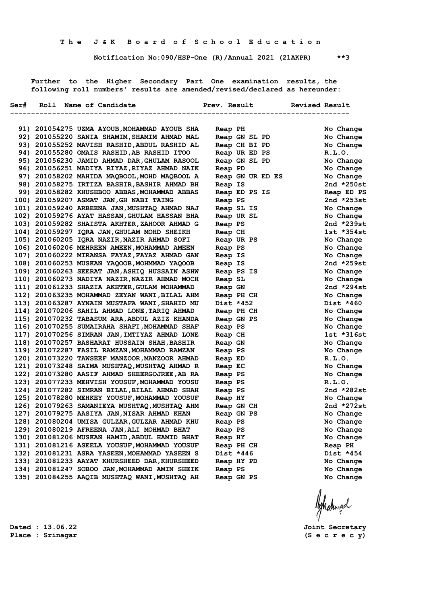**Notification No:090/HSP-One (R)/Annual 2021 (21AKPR) \*\*3**

 **Further to the Higher Secondary Part One examination results, the following roll numbers' results are amended/revised/declared as hereunder:**

|  | Ser# Roll Name of Candidate                   | Prev. Result Revised Result |              |
|--|-----------------------------------------------|-----------------------------|--------------|
|  |                                               | -------------------------   |              |
|  | 91) 201054275 UZMA AYOUB, MOHAMMAD AYOUB SHA  | Reap PH                     | No Change    |
|  | 92) 201055220 SANIA SHAMIM, SHAMIM AHMAD MAL  | Reap GN SL PD               | No Change    |
|  | 93) 201055252 MAVISH RASHID, ABDUL RASHID AL  | Reap CH BI PD               | No Change    |
|  | 94) 201055280 OMAIS RASHID, AB RASHID ITOO    | Reap UR ED PS               | R.L.0.       |
|  | 95) 201056230 JAMID AHMAD DAR, GHULAM RASOOL  | Reap GN SL PD               | No Change    |
|  | 96) 201056251 MADIYA RIYAZ, RIYAZ AHMAD NAIK  | Reap PD                     | No Change    |
|  | 97) 201058202 MAHIDA MAOBOOL, MOHD MAOBOOL A  | Reap GN UR ED ES            | No Change    |
|  | 98) 201058275 IRTIZA BASHIR, BASHIR AHMAD BH  | Reap IS                     | 2nd $*250st$ |
|  | 99) 201058282 KHUSHBOO ABBAS, MOHAMMAD ABBAS  | Reap ED PS IS               | Reap ED PS   |
|  | 100) 201059207 ASMAT JAN, GH NABI TAING       | Reap PS                     | 2nd *253st   |
|  | 101) 201059240 ARBEENA JAN, MUSHTAQ AHMAD NAJ | Reap SL IS                  | No Change    |
|  | 102) 201059276 AYAT HASSAN, GHULAM HASSAN BHA | Reap UR SL                  | No Change    |
|  | 103) 201059282 SHAISTA AKHTER, ZAHOOR AHMAD G | Reap PS                     | 2nd $*239st$ |
|  | 104) 201059297 IQRA JAN, GHULAM MOHD SHEIKH   | Reap CH                     | $1st$ *354st |
|  | 105) 201060205 IQRA NAZIR, NAZIR AHMAD SOFI   | Reap UR PS                  | No Change    |
|  | 106) 201060206 MEHREEN AMEEN, MOHAMMAD AMEEN  | Reap PS                     | No Change    |
|  | 107) 201060222 MIRANSA FAYAZ, FAYAZ AHMAD GAN | Reap IS                     | No Change    |
|  | 108) 201060253 MUSKAN YAQOOB, MOHMMAD YAQOOB  | Reap IS                     | 2nd *259st   |
|  | 109) 201060263 SEERAT JAN, ASHIQ HUSSAIN ASHW | Reap PS IS                  | No Change    |
|  | 110) 201060273 NADIYA NAZIR, NAZIR AHMAD MOCH | Reap SL                     | No Change    |
|  | 111) 201061233 SHAZIA AKHTER, GULAM MOHAMMAD  | Reap GN                     | 2nd $*294st$ |
|  | 112) 201063235 MOHAMMAD ZEYAN WANI, BILAL AHM | Reap PH CH                  | No Change    |
|  | 113) 201063287 AYNAIN MUSTAFA WANI, SHAHID MU | Dist *452                   | Dist *460    |
|  | 114) 201070206 SAHIL AHMAD LONE, TARIQ AHMAD  | Reap PH CH                  | No Change    |
|  | 115) 201070232 TABASUM ARA, ABDUL AZIZ KHANDA | Reap GN PS                  | No Change    |
|  | 116) 201070255 SUMAIRAHA SHAFI, MOHAMMAD SHAF | Reap PS                     | No Change    |
|  | 117) 201070256 SIMRAN JAN, IMTIYAZ AHMAD LONE | Reap CH                     | 1st *316st   |
|  | 118) 201070257 BASHARAT HUSSAIN SHAH, BASHIR  | Reap GN                     | No Change    |
|  | 119) 201072287 FASIL RAMZAN, MOHAMMAD RAMZAN  | Reap PS                     | No Change    |
|  | 120) 201073220 TAWSEEF MANZOOR, MANZOOR AHMAD | Reap ED                     | R.L.0.       |
|  | 121) 201073248 SAIMA MUSHTAQ, MUSHTAQ AHMAD R | Reap EC                     | No Change    |
|  | 122) 201073280 AASIF AHMAD SHEERGOJREE, AB RA | Reap PS                     | No Change    |
|  | 123) 201077233 MEHVISH YOUSUF, MOHAMMAD YOUSU | Reap PS                     | R.L.0.       |
|  | 124) 201077282 SIMRAN BILAL, BILAL AHMAD SHAH | Reap PS                     | 2nd *282st   |
|  | 125) 201078280 MEHKEY YOUSUF, MOHAMMAD YOUSUF | Reap HY                     | No Change    |
|  | 126) 201079263 SAMANIEYA MUSHTAQ, MUSHTAQ AHM | Reap GN CH                  | 2nd $*272st$ |
|  | 127) 201079275 AASIYA JAN, NISAR AHMAD KHAN   | Reap GN PS                  | No Change    |
|  | 128) 201080204 UMISA GULZAR, GULZAR AHMAD KHU | Reap PS                     | No Change    |
|  | 129) 201080219 AFREENA JAN, ALI MOHMAD BHAT   | Reap PS                     | No Change    |
|  | 130) 201081206 MUSKAN HAMID, ABDUL HAMID BHAT | Reap HY                     | No Change    |
|  | 131) 201081216 ASEELA YOUSUF, MOHAMMAD YOUSUF | Reap PH CH                  | Reap PH      |
|  | 132) 201081231 ASRA YASEEN, MOHAMMAD YASEEN S | Dist *446                   | Dist *454    |
|  | 133) 201081233 AAYAT KHURSHEED DAR, KHURSHEED | Reap HY PD                  | No Change    |
|  | 134) 201081247 SOBOO JAN, MOHAMMAD AMIN SHEIK | Reap PS                     | No Change    |
|  | 135) 201084255 AAQIB MUSHTAQ WANI, MUSHTAQ AH | Reap GN PS                  | No Change    |
|  |                                               |                             |              |

**Dated : 13.06.22 Joint Secretary Place : Srinagar (S e c r e c y)**

Ashatingal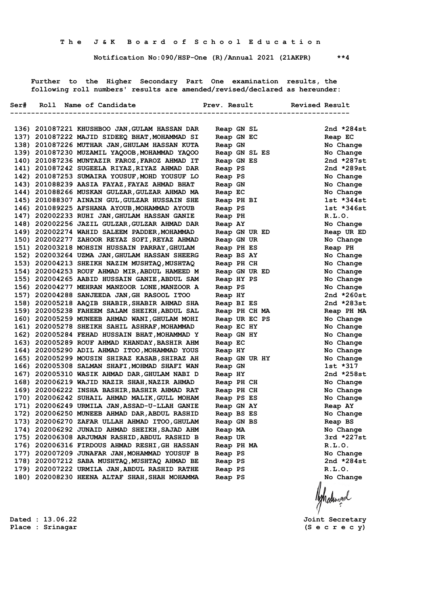**Notification No:090/HSP-One (R)/Annual 2021 (21AKPR) \*\*4**

 **Further to the Higher Secondary Part One examination results, the following roll numbers' results are amended/revised/declared as hereunder:**

|  | Ser# Roll Name of Candidate                                                                    | Prev. Result Revised Result |                        |
|--|------------------------------------------------------------------------------------------------|-----------------------------|------------------------|
|  |                                                                                                |                             |                        |
|  |                                                                                                |                             |                        |
|  | 136) 201087221 KHUSHBOO JAN,GULAM HASSAN DAR                                                   | Reap GN SL                  | 2nd $*284st$           |
|  | 137) 201087222 MAJID SIDEEQ BHAT, MOHAMMAD SI                                                  | Reap GN EC                  | Reap EC                |
|  | 138) 201087226 MUTHAR JAN, GHULAM HASSAN KUTA                                                  | Reap GN                     | No Change              |
|  | 139) 201087230 MUZAMIL YAQOOB, MOHAMMAD YAQOO                                                  | Reap GN SL ES               | No Change              |
|  | 140) 201087236 MUNTAZIR FAROZ, FAROZ AHMAD IT                                                  | Reap GN ES                  | 2nd $*287st$           |
|  | 141) 201087242 SUGEELA RIYAZ, RIYAZ AHMAD DAR<br>142) 201087253 SUMAIRA YOUSUF, MOHD YOUSUF LO | Reap PS                     | 2nd $*289st$           |
|  | 143) 201088239 AASIA FAYAZ, FAYAZ AHMAD BHAT                                                   | Reap PS                     | No Change<br>No Change |
|  | 144) 201088266 MUSKAN GULZAR, GULZAR AHMAD MA                                                  | Reap GN<br>Reap EC          | No Change              |
|  | 145) 201088307 AINAIN GUL, GULZAR HUSSAIN SHE                                                  | Reap PH BI                  | $1st$ *344st           |
|  | 146) 201089225 AFSHANA AYOUB, MOHAMMAD AYOUB                                                   | Reap PS                     | $1st$ $*346st$         |
|  | 147) 202002233 RUHI JAN, GHULAM HASSAN GANIE                                                   | Reap PH                     | R.L.0.                 |
|  | 148) 202002256 JAZIL GULZAR, GULZAR AHMAD DAR                                                  | Reap AY                     | No Change              |
|  | 149) 202002274 WAHID SALEEM PADDER, MOHAMMAD                                                   | Reap GN UR ED               | Reap UR ED             |
|  | 150) 202002277 ZAHOOR REYAZ SOFI, REYAZ AHMAD                                                  | Reap GN UR                  | No Change              |
|  | 151) 202003218 MOHSIN HUSSAIN PARRAY, GHULAM                                                   | Reap PH ES                  | Reap PH                |
|  | 152) 202003264 UZMA JAN, GHULAM HASSAN SHEERG                                                  | Reap BS AY                  | No Change              |
|  | 153) 202004213 SHEIKH NAZIM MUSHTAQ, MUSHTAQ                                                   | Reap PH CH                  | No Change              |
|  | 154) 202004253 ROUF AHMAD MIR, ABDUL HAMEED M                                                  | Reap GN UR ED               | No Change              |
|  | 155) 202004265 AABID HUSSAIN GANIE, ABDUL SAM                                                  | Reap HY PS                  | No Change              |
|  | 156) 202004277 MEHRAN MANZOOR LONE, MANZOOR A                                                  | Reap PS                     | No Change              |
|  | 157) 202004288 SANJEEDA JAN, GH RASOOL ITOO                                                    | Reap HY                     | 2nd $*260st$           |
|  | 158) 202005218 AAQIB SHABIR, SHABIR AHMAD SHA                                                  | Reap BI ES                  | 2nd $*283st$           |
|  | 159) 202005238 FAHEEM SALAM SHEIKH, ABDUL SAL                                                  | Reap PH CH MA               | Reap PH MA             |
|  | 160) 202005259 MUNEEB AHMAD WANI, GHULAM MOHI                                                  | Reap UR EC PS               | No Change              |
|  | 161) 202005278 SHEIKH SAHIL ASHRAF, MOHAMMAD                                                   | Reap EC HY                  | No Change              |
|  | 162) 202005284 FEHAD HUSSAIN BHAT, MOHAMMAD Y                                                  | Reap GN HY                  | No Change              |
|  | 163) 202005289 ROUF AHMAD KHANDAY, BASHIR AHM                                                  | Reap EC                     | No Change              |
|  | 164) 202005290 ADIL AHMAD ITOO, MOHAMMAD YOUS                                                  | Reap HY                     | No Change              |
|  | 165) 202005299 MOUSIN SHIRAZ KASAB, SHIRAZ AH                                                  | Reap GN UR HY               | No Change              |
|  | 166) 202005308 SALMAN SHAFI, MOHMAD SHAFI WAN                                                  | Reap GN                     | 1st *317               |
|  | 167) 202005310 WASIK AHMAD DAR, GHULAM NABI D                                                  | Reap HY                     | 2nd $*258st$           |
|  | 168) 202006219 WAJID NAZIR SHAH, NAZIR AHMAD                                                   | Reap PH CH                  | No Change              |
|  | 169) 202006222 INSHA BASHIR, BASHIR AHMAD RAT                                                  | Reap PH CH                  | No Change              |
|  | 170) 202006242 SUHAIL AHMAD MALIK, GULL MOHAM                                                  | Reap PS ES                  | No Change              |
|  | 171) 202006249 URMILA JAN, ASSAD-U-LLAH GANIE                                                  | Reap GN AY                  | Reap AY                |
|  | 172) 202006250 MUNEEB AHMAD DAR, ABDUL RASHID                                                  | Reap BS ES                  | No Change              |
|  | 173) 202006270 ZAFAR ULLAH AHMAD ITOO,GHULAM                                                   | Reap GN BS                  | Reap BS                |
|  | 174) 202006292 JUNAID AHMAD SHEIKH, SAJAD AHM                                                  | Reap MA                     | No Change              |
|  | 175) 202006308 ARJUMAN RASHID, ABDUL RASHID B                                                  | Reap UR                     | $3rd *227st$           |
|  | 176) 202006316 FIRDOUS AHMAD RESHI, GH HASSAN                                                  | Reap PH MA                  | R.L.O.                 |
|  | 177) 202007209 JUNAFAR JAN, MOHAMMAD YOUSUF B                                                  | Reap PS                     | No Change              |
|  | 178) 202007212 SABA MUSHTAQ, MUSHTAQ AHMAD BE                                                  | Reap PS                     | 2nd *284st             |
|  | 179) 202007222 URMILA JAN, ABDUL RASHID RATHE                                                  | Reap PS                     | R.L.O.                 |
|  | 180) 202008230 HEENA ALTAF SHAH, SHAH MOHAMMA                                                  | Reap PS                     | No Change              |
|  |                                                                                                |                             |                        |
|  |                                                                                                |                             |                        |
|  |                                                                                                |                             | Ashatingal             |
|  |                                                                                                |                             |                        |

**Dated : 13.06.22 Joint Secretary**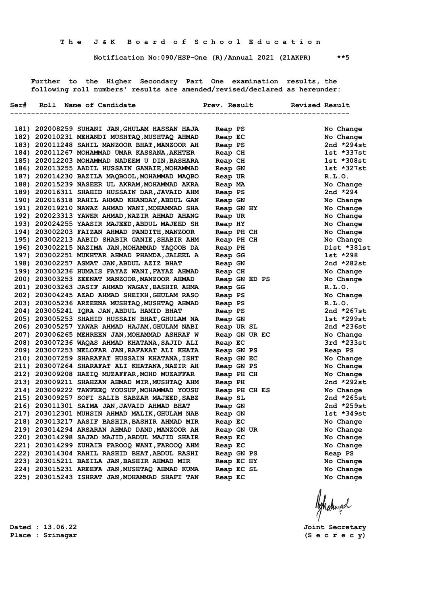**Notification No:090/HSP-One (R)/Annual 2021 (21AKPR) \*\*5**

 **Further to the Higher Secondary Part One examination results, the following roll numbers' results are amended/revised/declared as hereunder:**

| Ser# | Roll Name of Candidate                        | Prev. Result  | <b>Revised Result</b><br>-------------- |
|------|-----------------------------------------------|---------------|-----------------------------------------|
|      | 181) 202008259 SUHANI JAN, GHULAM HASSAN HAJA | Reap PS       | No Change                               |
|      | 182) 202010231 MEHANDI MUSHTAQ, MUSHTAQ AHMAD | Reap EC       | No Change                               |
|      | 183) 202011248 SAHIL MANZOOR BHAT, MANZOOR AH | Reap PS       | 2nd *294st                              |
|      | 184) 202011267 MOHAMMAD UMAR KASSANA, AKHTER  | Reap CH       | 1st *337st                              |
|      | 185) 202012203 MOHAMMAD NADEEM U DIN, BASHARA | Reap CH       | 1st *308st                              |
|      | 186) 202013255 AADIL HUSSAIN GANAIE, MOHAMMAD | Reap GN       | $1st * 327st$                           |
|      | 187) 202014230 BAZILA MAQBOOL, MOHAMMAD MAQBO | Reap UR       | R.L.0.                                  |
|      | 188) 202015239 NASEER UL AKRAM, MOHAMMAD AKRA | Reap MA       | No Change                               |
|      | 189) 202016311 SHAHID HUSSAIN DAR, JAVAID AHM | Reap PS       | 2nd *294                                |
|      | 190) 202016318 RAHIL AHMAD KHANDAY, ABDUL GAN | Reap GN       | No Change                               |
|      | 191) 202019210 NAWAZ AHMAD WANI, MOHAMMAD SHA | Reap GN HY    | No Change                               |
|      | 192) 202023313 YAWER AHMAD, NAZIR AHMAD AHANG | Reap UR       | No Change                               |
|      | 193) 202024255 YAASIR MAJEED, ABDUL MAJEED SH | Reap HY       | No Change                               |
|      | 194) 203002203 FAIZAN AHMAD PANDITH, MANZOOR  | Reap PH CH    | No Change                               |
|      | 195) 203002213 AABID SHABIR GANIE, SHABIR AHM | Reap PH CH    | No Change                               |
|      | 196) 203002215 NAZIMA JAN, MOHAMMAD YAQOOB DA | Reap PH       | Dist *381st                             |
|      | 197) 203002251 MUKHTAR AHMAD PHAMDA, JALEEL A | Reap GG       | 1st *298                                |
|      | 198) 203002257 ASMAT JAN, ABDUL AZIZ BHAT     | Reap GN       | 2nd $*282st$                            |
|      | 199) 203003236 HUMAIS FAYAZ WANI, FAYAZ AHMAD | Reap CH       | No Change                               |
|      | 200) 203003253 ZEENAT MANZOOR, MANZOOR AHMAD  | Reap GN ED PS | No Change                               |
|      | 201) 203003263 JASIF AHMAD WAGAY, BASHIR AHMA | Reap GG       | R.L.0.                                  |
|      | 202) 203004245 AZAD AHMAD SHEIKH, GHULAM RASO | Reap PS       | No Change                               |
|      | 203) 203005236 ARZEENA MUSHTAQ, MUSHTAQ AHMAD | Reap PS       | R.L.0.                                  |
|      | 204) 203005241 IQRA JAN, ABDUL HAMID BHAT     | Reap PS       | 2nd *267st                              |
|      | 205) 203005253 SHAHID HUSSAIN BHAT, GHULAM NA | Reap GN       | $1st$ *299st                            |
|      | 206) 203005257 YAWAR AHMAD HAJAM, GHULAM NABI | Reap UR SL    | 2nd $*236st$                            |
|      | 207) 203006265 MEHREEN JAN, MOHAMMAD ASHRAF W | Reap GN UR EC | No Change                               |
|      | 208) 203007236 WAQAS AHMAD KHATANA, SAJID ALI | Reap EC       | 3rd *233st                              |
|      | 209) 203007253 NELOFAR JAN, RAFAKAT ALI KHATA | Reap GN PS    | Reap PS                                 |
|      | 210) 203007259 SHARAFAT HUSSAIN KHATANA, ISHT | Reap GN EC    | No Change                               |
|      | 211) 203007264 SHARAFAT ALI KHATANA, NAZIR AH | Reap GN PS    | No Change                               |
|      | 212) 203009208 HAZIQ MUZAFFAR, MOHD MUZAFFAR  | Reap PH CH    | No Change                               |
|      | 213) 203009211 SHAHZAN AHMAD MIR, MUSHTAQ AHM | Reap PH       | 2nd *292st                              |
|      | 214) 203009222 TAWFEEQ YOUSUF, MOHAMMAD YOUSU | Reap PH CH ES | No Change                               |
|      | 215) 203009257 SOFI SALIB SABZAR MAJEED, SABZ | Reap SL       | 2nd $*265st$                            |
|      | 216) 203011301 SAIMA JAN, JAVAID AHMAD BHAT   | Reap GN       | 2nd *259st                              |
|      | 217) 203012301 MUHSIN AHMAD MALIK, GHULAM NAB | Reap GN       | 1st *349st                              |
|      | 218) 203013217 AASIF BASHIR, BASHIR AHMAD MIR | Reap EC       | No Change                               |
|      | 219) 203014294 ARSARAN AHMAD DAND, MANZOOR AH | Reap GN UR    | No Change                               |
|      | 220) 203014298 SAJAD MAJID, ABDUL MAJID SHAIR | Reap EC       | No Change                               |
|      | 221) 203014299 ZUHAIB FAROOQ WANI, FAROOQ AHM | Reap EC       | No Change                               |
|      | 222) 203014304 RAHIL RASHID BHAT, ABDUL RASHI | Reap GN PS    | Reap PS                                 |
|      | 223) 203015211 BAZILA JAN, BASHIR AHMAD MIR   | Reap EC HY    | No Change                               |
|      | 224) 203015231 AREEFA JAN, MUSHTAQ AHMAD KUMA | Reap EC SL    | No Change                               |
|      | 225) 203015243 ISHRAT JAN, MOHAMMAD SHAFI TAN | Reap EC       | No Change                               |
|      |                                               |               |                                         |

Ashalingal

**Dated : 13.06.22 Joint Secretary**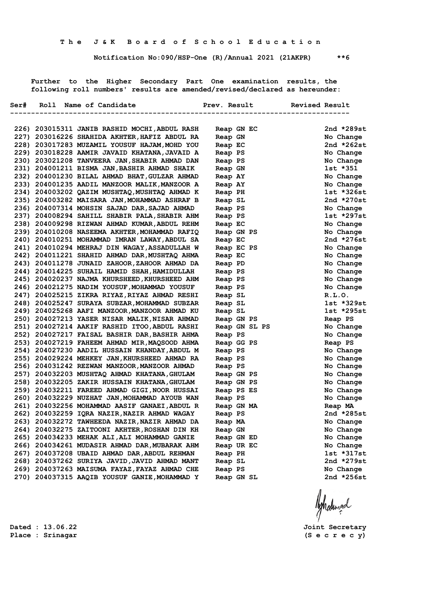**Notification No:090/HSP-One (R)/Annual 2021 (21AKPR) \*\*6**

 **Further to the Higher Secondary Part One examination results, the following roll numbers' results are amended/revised/declared as hereunder:**

|  | Ser# Roll Name of Candidate                   | Prev. Result  | Revised Result      |
|--|-----------------------------------------------|---------------|---------------------|
|  |                                               |               | ------------------- |
|  | 226) 203015311 JANIB RASHID MOCHI, ABDUL RASH | Reap GN EC    | 2nd $*289st$        |
|  | 227) 203016226 SHAHIDA AKHTER, HAFIZ ABDUL RA | Reap GN       | No Change           |
|  | 228) 203017283 MUZAMIL YOUSUF HAJAM, MOHD YOU | Reap EC       | 2nd $*262st$        |
|  | 229) 203018228 AAMIR JAVAID KHATANA, JAVAID A | Reap PS       | No Change           |
|  | 230) 203021208 TANVEERA JAN, SHABIR AHMAD DAN | Reap PS       | No Change           |
|  | 231) 204001211 BISMA JAN, BASHIR AHMAD SHAIK  | Reap GN       | 1st *351            |
|  | 232) 204001230 BILAL AHMAD BHAT, GULZAR AHMAD | Reap AY       | No Change           |
|  | 233) 204001235 AADIL MANZOOR MALIK, MANZOOR A | Reap AY       | No Change           |
|  | 234) 204003202 QAZIM MUSHTAQ, MUSHTAQ AHMAD K | Reap PH       | $1st * 326st$       |
|  | 235) 204003282 MAISARA JAN, MOHAMMAD ASHRAF B | Reap SL       | 2nd $*270st$        |
|  | 236) 204007314 MOHSIN SAJAD DAR, SAJAD AHMAD  | Reap PS       | No Change           |
|  | 237) 204008294 SAHILL SHABIR PALA, SHABIR AHM | Reap PS       | 1st *297st          |
|  | 238) 204009298 RIZWAN AHMAD KUMAR, ABDUL REHM | Reap EC       | No Change           |
|  | 239) 204010208 NASEEMA AKHTER, MOHAMMAD RAFIQ | Reap GN PS    | No Change           |
|  | 240) 204010251 MOHAMMAD IMRAN LAWAY, ABDUL SA | Reap EC       | 2nd $*276st$        |
|  | 241) 204010294 MEHRAJ DIN WAGAY, ASSADULLAH W | Reap EC PS    | No Change           |
|  | 242) 204011221 SHAHID AHMAD DAR, MUSHTAQ AHMA | Reap EC       | No Change           |
|  | 243) 204011278 JUNAID ZAHOOR, ZAHOOR AHMAD DA | Reap PD       | No Change           |
|  | 244) 204014225 SUHAIL HAMID SHAH, HAMIDULLAH  | Reap PS       | No Change           |
|  | 245) 204020237 NAJMA KHURSHEED, KHURSHEED AHM | Reap PS       | No Change           |
|  | 246) 204021275 NADIM YOUSUF, MOHAMMAD YOUSUF  | Reap PS       | No Change           |
|  | 247) 204025215 ZIKRA RIYAZ, RIYAZ AHMAD RESHI | Reap SL       | R.L.0.              |
|  | 248) 204025247 SURAYA SUBZAR, MOHAMMAD SUBZAR | Reap SL       | 1st *329st          |
|  | 249) 204025268 AAFI MANZOOR, MANZOOR AHMAD KU | Reap SL       | $1st *295st$        |
|  | 250) 204027213 YASER NISAR MALIK, NISAR AHMAD | Reap GN PS    | Reap PS             |
|  | 251) 204027214 AAKIF RASHID ITOO, ABDUL RASHI | Reap GN SL PS | No Change           |
|  | 252) 204027217 FAISAL BASHIR DAR, BASHIR AHMA | Reap PS       | No Change           |
|  | 253) 204027219 FAHEEM AHMAD MIR, MAQSOOD AHMA | Reap GG PS    | Reap PS             |
|  | 254) 204027230 AADIL HUSSAIN KHANDAY, ABDUL M | Reap PS       | No Change           |
|  | 255) 204029224 MEHKEY JAN, KHURSHEED AHMAD RA | Reap PS       | No Change           |
|  | 256) 204031242 REZWAN MANZOOR, MANZOOR AHMAD  | Reap PS       | No Change           |
|  | 257) 204032203 MUSHTAQ AHMAD KHATANA, GHULAM  | Reap GN PS    | No Change           |
|  | 258) 204032205 ZAKIR HUSSAIN KHATANA, GHULAM  | Reap GN PS    | No Change           |
|  | 259) 204032211 FAREED AHMAD GIGI, NOOR HUSSAI | Reap PS ES    | No Change           |
|  | 260) 204032229 NUZHAT JAN, MOHAMMAD AYOUB WAN | Reap PS       | No Change           |
|  | 261) 204032256 MOHAMMAD AASIF GANAEI, ABDUL R | Reap GN MA    | Reap MA             |
|  | 262) 204032259 IQRA NAZIR, NAZIR AHMAD WAGAY  | Reap PS       | 2nd *285st          |
|  | 263) 204032272 TAWHEEDA NAZIR, NAZIR AHMAD DA | Reap MA       | No Change           |
|  | 264) 204032275 ZAITOONI AKHTER, ROSHAN DIN KH | Reap GN       | No Change           |
|  | 265) 204034233 MEHAK ALI, ALI MOHAMMAD GANIE  | Reap GN ED    | No Change           |
|  | 266) 204034261 MUDASIR AHMAD DAR, MUBARAK AHM | Reap UR EC    | No Change           |
|  | 267) 204037208 UBAID AHMAD DAR, ABDUL REHMAN  | Reap PH       | 1st *317st          |
|  | 268) 204037262 SURIYA JAVID, JAVID AHMAD MANT | Reap SL       | 2nd $*279st$        |
|  | 269) 204037263 MAISUMA FAYAZ, FAYAZ AHMAD CHE | Reap PS       | No Change           |
|  | 270) 204037315 AAQIB YOUSUF GANIE, MOHAMMAD Y | Reap GN SL    | 2nd $*256st$        |

**Place : Srinagar (S e c r e c y)**

**Dated : 13.06.22 Joint Secretary**

Ashatingal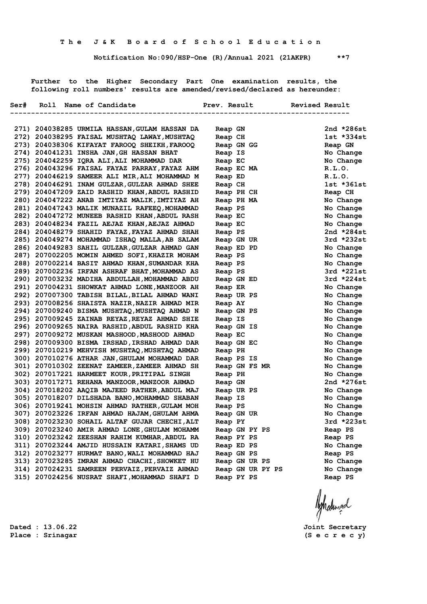**Notification No:090/HSP-One (R)/Annual 2021 (21AKPR) \*\*7**

 **Further to the Higher Secondary Part One examination results, the following roll numbers' results are amended/revised/declared as hereunder:**

|  | Ser# Roll Name of Candidate                                                                    | Prev. Result |         |               |  |                  | Revised Result      |                        |
|--|------------------------------------------------------------------------------------------------|--------------|---------|---------------|--|------------------|---------------------|------------------------|
|  |                                                                                                |              |         |               |  |                  | ------------------- |                        |
|  |                                                                                                |              |         |               |  |                  |                     |                        |
|  | 271) 204038285 URMILA HASSAN, GULAM HASSAN DA                                                  |              | Reap GN |               |  |                  |                     | 2nd $*286st$           |
|  | 272) 204038295 FAISAL MUSHTAQ LAWAY, MUSHTAQ                                                   |              | Reap CH |               |  |                  |                     | $1st *334st$           |
|  | 273) 204038306 KIFAYAT FAROOQ SHEIKH, FAROOQ                                                   |              |         | Reap GN GG    |  |                  |                     | Reap GN                |
|  | 274) 204041231 INSHA JAN, GH HASSAN BHAT                                                       |              | Reap IS |               |  |                  |                     | No Change              |
|  | 275) 204042259 IQRA ALI, ALI MOHAMMAD DAR                                                      |              | Reap EC |               |  |                  |                     | No Change              |
|  | 276) 204043296 FAISAL FAYAZ PARRAY, FAYAZ AHM                                                  |              |         | Reap EC MA    |  |                  |                     | R.L.O.                 |
|  | 277) 204046219 SAMEER ALI MIR, ALI MOHAMMAD M                                                  |              | Reap ED |               |  |                  |                     | R.L.O.                 |
|  | 278) 204046291 INAM GULZAR, GULZAR AHMAD SHEE                                                  |              | Reap CH |               |  |                  |                     | $1st *361st$           |
|  | 279) 204047209 ZAID RASHID KHAN, ABDUL RASHID                                                  |              |         | Reap PH CH    |  |                  |                     | Reap CH                |
|  | 280) 204047222 ANAB IMTIYAZ MALIK, IMTIYAZ AH                                                  |              |         | Reap PH MA    |  |                  |                     | No Change              |
|  | 281) 204047243 MALIK MUNAZIL RAFEEQ, MOHAMMAD                                                  |              | Reap PS |               |  |                  |                     | No Change              |
|  | 282) 204047272 MUNEEB RASHID KHAN, ABDUL RASH                                                  |              | Reap EC |               |  |                  |                     | No Change              |
|  | 283) 204048234 FAZIL AEJAZ KHAN, AEJAZ AHMAD                                                   |              | Reap EC |               |  |                  |                     | No Change              |
|  | 284) 204048279 SHAHID FAYAZ, FAYAZ AHMAD SHAH                                                  |              | Reap PS |               |  |                  |                     | 2nd *284st             |
|  | 285) 204049274 MOHAMMAD ISHAQ MALLA, AB SALAM                                                  |              |         | Reap GN UR    |  |                  |                     | $3rd *232st$           |
|  | 286) 204049283 SAHIL GULZAR, GULZAR AHMAD GAN                                                  |              |         | Reap ED PD    |  |                  |                     | No Change              |
|  | 287) 207002205 MOMIN AHMED SOFI, KHAZIR MOHAM                                                  |              | Reap PS |               |  |                  |                     | No Change              |
|  | 288) 207002214 BASIT AHMAD KHAN, SUMANDAR KHA                                                  |              | Reap PS |               |  |                  |                     | No Change              |
|  | 289) 207002236 IRFAN ASHRAF BHAT, MOHAMMAD AS                                                  |              | Reap PS |               |  |                  |                     | $3rd *221st$           |
|  | 290) 207003232 MADIHA ABDULLAH, MOHAMMAD ABDU                                                  |              |         | Reap GN ED    |  |                  |                     | $3rd *224st$           |
|  | 291) 207004231 SHOWKAT AHMAD LONE, MANZOOR AH                                                  |              | Reap ER |               |  |                  |                     | No Change              |
|  | 292) 207007300 TABISH BILAL, BILAL AHMAD WANI                                                  |              |         | Reap UR PS    |  |                  |                     | No Change              |
|  | 293) 207008256 SHAISTA NAZIR, NAZIR AHMAD MIR                                                  |              | Reap AY |               |  |                  |                     | No Change              |
|  | 294) 207009240 BISMA MUSHTAQ, MUSHTAQ AHMAD N                                                  |              |         | Reap GN PS    |  |                  |                     | No Change              |
|  | 295) 207009245 ZAINAB REYAZ, REYAZ AHMAD SHIE                                                  |              | Reap IS |               |  |                  |                     | No Change              |
|  | 296) 207009265 NAIRA RASHID, ABDUL RASHID KHA                                                  |              |         | Reap GN IS    |  |                  |                     | No Change              |
|  | 297) 207009272 MUSKAN MASHOOD, MASHOOD AHMAD                                                   |              | Reap EC |               |  |                  |                     | No Change              |
|  | 298) 207009300 BISMA IRSHAD, IRSHAD AHMAD DAR                                                  |              |         | Reap GN EC    |  |                  |                     | No Change              |
|  | 299) 207010219 MEHVISH MUSHTAQ, MUSHTAQ AHMAD                                                  |              | Reap PH |               |  |                  |                     | No Change              |
|  | 300) 207010276 ATHAR JAN, GHULAM MOHAMMAD DAR                                                  |              |         | Reap PS IS    |  |                  |                     | No Change              |
|  | 301) 207010302 ZEENAT ZAMEER, ZAMEER AHMAD SH                                                  |              |         |               |  | Reap GN FS MR    |                     | No Change              |
|  | 302) 207017221 HARMEET KOUR, PRITIPAL SINGH                                                    |              | Reap PH |               |  |                  |                     | No Change              |
|  | 303) 207017271 REHANA MANZOOR, MANZOOR AHMAD                                                   |              | Reap GN |               |  |                  |                     | 2nd $*276st$           |
|  | 304) 207018202 AAQIB MAJEED RATHER, ABDUL MAJ                                                  |              |         | Reap UR PS    |  |                  |                     | No Change              |
|  | 305) 207018207 DILSHADA BANO, MOHAMMAD SHABAN                                                  |              | Reap IS |               |  |                  |                     | No Change              |
|  | 306) 207019241 MOHSIN AHMAD RATHER, GULAM MOH                                                  |              | Reap PS |               |  |                  |                     | No Change<br>No Change |
|  | 307) 207023226 IRFAN AHMAD HAJAM, GHULAM AHMA<br>308) 207023230 SOHAIL ALTAF GUJAR CHECHI, ALT |              |         | Reap GN UR    |  |                  |                     | 3rd *223st             |
|  |                                                                                                |              | Reap PY |               |  |                  |                     |                        |
|  | 309) 207023240 AMIR AHMAD LONE, GHULAM MOHAMM<br>310) 207023242 ZEESHAN RAHIM KUMHAR, ABDUL RA |              |         | Reap GN PY PS |  |                  |                     | Reap PS                |
|  |                                                                                                |              |         | Reap PY PS    |  |                  |                     | Reap PS                |
|  | 311) 207023244 AMJID HUSSAIN KATARI, SHAMS UD                                                  |              |         | Reap ED PS    |  |                  |                     | No Change              |
|  | 312) 207023277 HURMAT BANO, WALI MOHAMMAD HAJ                                                  |              |         | Reap GN PS    |  |                  |                     | Reap PS                |
|  | 313) 207023285 IMRAN AHMAD CHACHI, SHOWKET HU<br>314) 207024231 SAMREEN PERVAIZ, PERVAIZ AHMAD |              |         | Reap GN UR PS |  |                  |                     | No Change              |
|  | 315) 207024256 NUSRAT SHAFI, MOHAMMAD SHAFI D                                                  |              |         | Reap PY PS    |  | Reap GN UR PY PS |                     | No Change<br>Reap PS   |
|  |                                                                                                |              |         |               |  |                  |                     |                        |
|  |                                                                                                |              |         |               |  |                  |                     |                        |

**Dated : 13.06.22 Joint Secretary**

Ashatingal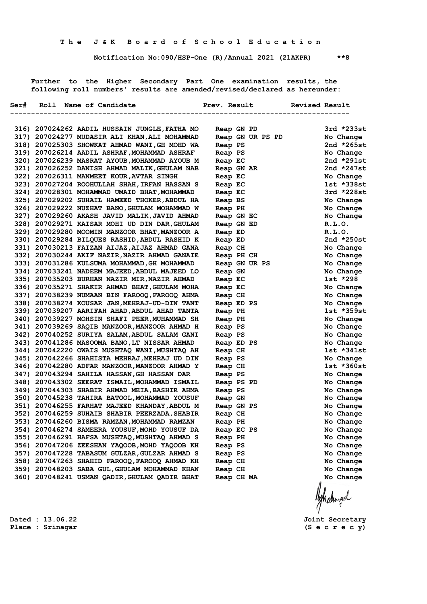**Notification No:090/HSP-One (R)/Annual 2021 (21AKPR) \*\*8**

 **Further to the Higher Secondary Part One examination results, the following roll numbers' results are amended/revised/declared as hereunder:**

|  | Ser# Roll Name of Candidate                                                                    | Prev. Result |                       |  | Revised Result     |                          |  |
|--|------------------------------------------------------------------------------------------------|--------------|-----------------------|--|--------------------|--------------------------|--|
|  |                                                                                                |              |                       |  | ------------------ |                          |  |
|  |                                                                                                |              |                       |  |                    |                          |  |
|  | 316) 207024262 AADIL HUSSAIN JUNGLE, FATHA MO                                                  |              | Reap GN PD            |  |                    | $3rd *233st$             |  |
|  | 317) 207024277 MUDASIR ALI KHAN, ALI MOHAMMAD                                                  |              | Reap GN UR PS PD      |  |                    | No Change                |  |
|  | 318) 207025303 SHOWKAT AHMAD WANI, GH MOHD WA                                                  |              | Reap PS               |  |                    | 2nd $*265st$             |  |
|  | 319) 207026214 AADIL ASHRAF, MOHAMMAD ASHRAF                                                   |              | Reap PS               |  |                    | No Change                |  |
|  | 320) 207026239 MASRAT AYOUB, MOHAMMAD AYOUB M                                                  |              | Reap EC               |  |                    | 2nd $*291st$             |  |
|  | 321) 207026252 DANISH AHMAD MALIK, GHULAM NAB<br>322) 207026311 MANMEET KOUR, AVTAR SINGH      |              | Reap GN AR            |  |                    | 2nd *247st<br>No Change  |  |
|  |                                                                                                |              | Reap EC               |  |                    |                          |  |
|  | 323) 207027204 ROOHULLAH SHAH, IRFAN HASSAN S                                                  |              | Reap EC               |  |                    | 1st *338st<br>3rd *228st |  |
|  | 324) 207028301 MOHAMMAD UMAID BHAT, MOHAMMAD<br>325) 207029202 SUHAIL HAMEED THOKER, ABDUL HA  |              | Reap EC               |  |                    | No Change                |  |
|  |                                                                                                |              | Reap BS               |  |                    |                          |  |
|  | 326) 207029222 NUZHAT BANO, GHULAM MOHAMMAD W<br>327) 207029260 AKASH JAVID MALIK, JAVID AHMAD |              | Reap PH               |  |                    | No Change<br>No Change   |  |
|  | 328) 207029271 KAISAR MOHI UD DIN DAR, GHULAM                                                  |              | Reap GN EC            |  |                    | R.L.0.                   |  |
|  | 329) 207029280 MOOMIN MANZOOR BHAT, MANZOOR A                                                  |              | Reap GN ED<br>Reap ED |  |                    | R.L.O.                   |  |
|  | 330) 207029284 BILQUES RASHID, ABDUL RASHID K                                                  |              |                       |  |                    | 2nd $*250st$             |  |
|  | 331) 207030213 FAIZAN AIJAZ, AIJAZ AHMAD GANA                                                  |              | Reap ED<br>Reap CH    |  |                    | No Change                |  |
|  | 332) 207030244 AKIF NAZIR, NAZIR AHMAD GANAIE                                                  |              | Reap PH CH            |  |                    | No Change                |  |
|  | 333) 207031286 KULSUMA MOHAMMAD, GH MOHAMMAD                                                   |              |                       |  | Reap GN UR PS      | No Change                |  |
|  | 334) 207033241 NADEEM MAJEED, ABDUL MAJEED LO                                                  |              | Reap GN               |  |                    | No Change                |  |
|  | 335) 207035203 BURHAN NAZIR MIR, NAZIR AHMAD                                                   |              | Reap EC               |  |                    | $1st * 298$              |  |
|  | 336) 207035271 SHAKIR AHMAD BHAT, GHULAM MOHA                                                  |              | Reap EC               |  |                    | No Change                |  |
|  | 337) 207038239 NUMAAN BIN FAROOQ, FAROOQ AHMA                                                  |              | Reap CH               |  |                    | No Change                |  |
|  | 338) 207038274 KOUSAR JAN, MEHRAJ-UD-DIN TANT                                                  |              | Reap ED PS            |  |                    | No Change                |  |
|  | 339) 207039207 AARIFAH AHAD, ABDUL AHAD TANTA                                                  |              | Reap PH               |  |                    | 1st *359st               |  |
|  | 340) 207039227 MOHSIN SHAFI PEER, MUHAMMAD SH                                                  |              | Reap PH               |  |                    | No Change                |  |
|  | 341) 207039269 SAQIB MANZOOR, MANZOOR AHMAD H                                                  |              | Reap PS               |  |                    | No Change                |  |
|  | 342) 207040252 SURIYA SALAM, ABDUL SALAM GANI                                                  |              | Reap PS               |  |                    | No Change                |  |
|  | 343) 207041286 MASOOMA BANO, LT NISSAR AHMAD                                                   |              | Reap ED PS            |  |                    | No Change                |  |
|  | 344) 207042220 OWAIS MUSHTAQ WANI, MUSHTAQ AH                                                  |              | Reap CH               |  |                    | $1st *341st$             |  |
|  | 345) 207042266 SHAHISTA MEHRAJ, MEHRAJ UD DIN                                                  |              | Reap PS               |  |                    | No Change                |  |
|  | 346) 207042280 ADFAR MANZOOR, MANZOOR AHMAD Y                                                  |              | Reap CH               |  |                    | $1st * 360st$            |  |
|  | 347) 207043294 SAHILA HASSAN, GH HASSAN DAR                                                    |              | Reap PS               |  |                    | No Change                |  |
|  | 348) 207043302 SEERAT ISMAIL, MOHAMMAD ISMAIL                                                  |              | Reap PS PD            |  |                    | No Change                |  |
|  | 349) 207044303 SHABIR AHMAD MEIA, BASHIR AHMA                                                  |              | Reap PS               |  |                    | No Change                |  |
|  | 350) 207045238 TAHIRA BATOOL, MOHAMMAD YOUSUF                                                  |              | Reap GN               |  |                    | No Change                |  |
|  | 351) 207046255 FARHAT MAJEED KHANDAY, ABDUL M                                                  |              | Reap GN PS            |  |                    | No Change                |  |
|  | 352) 207046259 SUHAIB SHABIR PEERZADA, SHABIR                                                  |              | Reap CH               |  |                    | No Change                |  |
|  | 353) 207046260 BISMA RAMZAN, MOHAMMAD RAMZAN                                                   |              | Reap PH               |  |                    | No Change                |  |
|  | 354) 207046274 SAMEERA YOUSUF, MOHD YOUSUF DA                                                  |              | Reap EC PS            |  |                    | No Change                |  |
|  | 355) 207046291 HAFSA MUSHTAQ, MUSHTAQ AHMAD S                                                  |              | Reap PH               |  |                    | No Change                |  |
|  | 356) 207047206 ZEESHAN YAQOOB, MOHD YAQOOB KH                                                  |              | Reap PS               |  |                    | No Change                |  |
|  | 357) 207047228 TABASUM GULZAR, GULZAR AHMAD S                                                  |              | Reap PS               |  |                    | No Change                |  |
|  | 358) 207047263 SHAHID FAROOQ, FAROOQ AHMAD KH                                                  |              | Reap CH               |  |                    | No Change                |  |
|  | 359) 207048203 SABA GUL, GHULAM MOHAMMAD KHAN                                                  |              | Reap CH               |  |                    | No Change                |  |
|  | 360) 207048241 USMAN QADIR, GHULAM QADIR BHAT                                                  |              | Reap CH MA            |  |                    | No Change                |  |
|  |                                                                                                |              |                       |  |                    |                          |  |
|  |                                                                                                |              |                       |  |                    | Ashalingd                |  |
|  |                                                                                                |              |                       |  |                    |                          |  |
|  |                                                                                                |              |                       |  |                    |                          |  |

**Dated : 13.06.22 Joint Secretary Place : Srinagar (S e c r e c y)**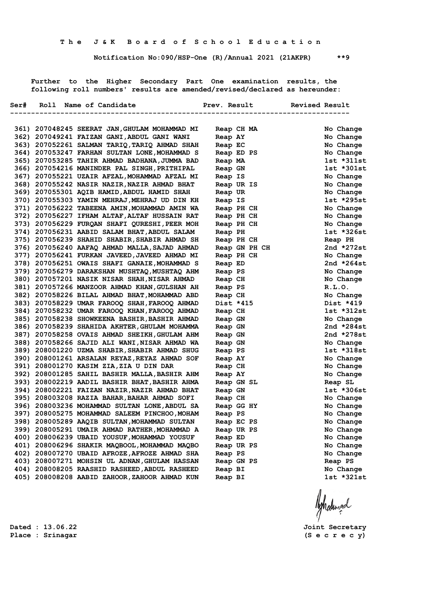**Notification No:090/HSP-One (R)/Annual 2021 (21AKPR) \*\*9**

 **Further to the Higher Secondary Part One examination results, the following roll numbers' results are amended/revised/declared as hereunder:**

|  | Ser# Roll Name of Candidate                   |                                 | Prev. Result Revised Result |
|--|-----------------------------------------------|---------------------------------|-----------------------------|
|  |                                               | ------------------------------- |                             |
|  | 361) 207048245 SEERAT JAN,GHULAM MOHAMMAD MI  | Reap CH MA                      | No Change                   |
|  | 362) 207049241 FAIZAN GANI, ABDUL GANI WANI   | Reap AY                         | No Change                   |
|  | 363) 207052261 SALMAN TARIQ, TARIQ AHMAD SHAH | Reap EC                         | No Change                   |
|  | 364) 207053247 FARHAN SULTAN LONE, MOHAMMAD S | Reap ED PS                      | No Change                   |
|  | 365) 207053285 TAHIR AHMAD BADHANA, JUMMA BAD | Reap MA                         | $1st *311st$                |
|  | 366) 207054216 MANINDER PAL SINGH, PRITHIPAL  | Reap GN                         | $1st * 301st$               |
|  | 367) 207055221 UZAIR AFZAL, MOHAMMAD AFZAL MI | Reap IS                         | No Change                   |
|  | 368) 207055242 NASIR NAZIR, NAZIR AHMAD BHAT  | Reap UR IS                      | No Change                   |
|  | 369) 207055301 AQIB HAMID, ABDUL HAMID SHAH   | Reap UR                         | No Change                   |
|  | 370) 207055303 YAMIN MEHRAJ, MEHRAJ UD DIN KH | Reap IS                         | 1st *295st                  |
|  | 371) 207056222 TABEENA AMIN, MOHAMMAD AMIN WA | Reap PH CH                      | No Change                   |
|  | 372) 207056227 IFHAM ALTAF, ALTAF HUSSAIN RAT | Reap PH CH                      | No Change                   |
|  | 373) 207056229 FURQAN SHAFI QURESHI, PEER MOH | Reap PH CH                      | No Change                   |
|  | 374) 207056231 AABID SALAM BHAT, ABDUL SALAM  | Reap PH                         | 1st *326st                  |
|  | 375) 207056239 SHAHID SHABIR, SHABIR AHMAD SH | Reap PH CH                      | Reap PH                     |
|  | 376) 207056240 AAFAQ AHMAD MALLA, SAJAD AHMAD | Reap GN PH CH                   | 2nd $*272st$                |
|  | 377) 207056241 FURKAN JAVEED, JAVEED AHMAD MI | Reap PH CH                      | No Change                   |
|  | 378) 207056251 OWAIS SHAFI GANAIE, MOHAMMAD S | Reap ED                         | 2nd $*264st$                |
|  | 379) 207056279 DARAKSHAN MUSHTAQ, MUSHTAQ AHM | Reap PS                         | No Change                   |
|  | 380) 207057201 NASIK NISAR SHAH, NISAR AHMAD  | Reap CH                         | No Change                   |
|  | 381) 207057266 MANZOOR AHMAD KHAN, GULSHAN AH | Reap PS                         | R.L.0.                      |
|  | 382) 207058226 BILAL AHMAD BHAT, MOHAMMAD ABD | Reap CH                         | No Change                   |
|  | 383) 207058229 UMAR FAROOQ SHAH, FAROOQ AHMAD | Dist *415                       | Dist *419                   |
|  | 384) 207058232 UMAR FAROOQ KHAN, FAROOQ AHMAD | Reap CH                         | $1st * 312st$               |
|  | 385) 207058238 SHOWKEENA BASHIR, BASHIR AHMAD | Reap GN                         | No Change                   |
|  | 386) 207058239 SHAHIDA AKHTER, GHULAM MOHAMMA | Reap GN                         | 2nd $*284st$                |
|  | 387) 207058258 OVAIS AHMAD SHEIKH, GHULAM AHM | Reap GN                         | 2nd $*278st$                |
|  | 388) 207058266 SAJID ALI WANI, NISAR AHMAD WA | Reap GN                         | No Change                   |
|  | 389) 208001220 UZMA SHABIR, SHABIR AHMAD SHUG | Reap PS                         | 1st *318st                  |
|  | 390) 208001261 ARSALAN REYAZ, REYAZ AHMAD SOF | Reap AY                         | No Change                   |
|  | 391) 208001270 KASIM ZIA, ZIA U DIN DAR       | Reap CH                         | No Change                   |
|  | 392) 208001285 SAHIL BASHIR MALLA, BASHIR AHM | Reap AY                         | No Change                   |
|  | 393) 208002219 AADIL BASHIR BHAT, BASHIR AHMA | Reap GN SL                      | Reap SL                     |
|  | 394) 208002221 FAIZAN NAZIR, NAZIR AHMAD BHAT | Reap GN                         | 1st *306st                  |
|  | 395) 208003208 RAZIA BAHAR, BAHAR AHMAD SOFI  | Reap CH                         | No Change                   |
|  | 396) 208003236 MOHAMMAD SULTAN LONE, ABDUL SA | Reap GG HY                      | No Change                   |
|  | 397) 208005275 MOHAMMAD SALEEM PINCHOO, MOHAM | Reap PS                         | No Change                   |
|  | 398) 208005289 AAQIB SULTAN, MOHAMMAD SULTAN  | Reap EC PS                      | No Change                   |
|  | 399) 208005291 UMAIR AHMAD RATHER, MOHAMMAD A | Reap UR PS                      | No Change                   |
|  | 400) 208006239 UBAID YOUSUF, MOHAMMAD YOUSUF  | Reap ED                         | No Change                   |
|  | 401) 208006296 SHAKIR MAQBOOL, MOHAMMAD MAQBO | Reap UR PS                      | No Change                   |
|  | 402) 208007270 UBAID AFROZE, AFROZE AHMAD SHA | Reap PS                         | No Change                   |
|  | 403) 208007271 MOHSIN UL ADNAN, GHULAM HASSAN | Reap GN PS                      | Reap PS                     |
|  | 404) 208008205 RAASHID RASHEED, ABDUL RASHEED | Reap BI                         | No Change                   |
|  | 405) 208008208 AABID ZAHOOR, ZAHOOR AHMAD KUN | Reap BI                         | 1st *321st                  |
|  |                                               |                                 |                             |
|  |                                               |                                 | Ashatingal                  |
|  |                                               |                                 |                             |
|  |                                               |                                 |                             |

**Place : Srinagar (S e c r e c y)**

**Dated : 13.06.22 Joint Secretary**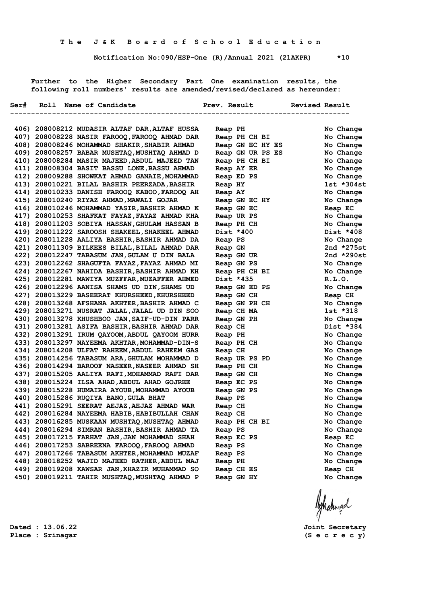**Notification No:090/HSP-One (R)/Annual 2021 (21AKPR) \*10**

 **Further to the Higher Secondary Part One examination results, the following roll numbers' results are amended/revised/declared as hereunder:**

|  | 406) 208008212 MUDASIR ALTAF DAR, ALTAF HUSSA | Reap PH          | No Change    |
|--|-----------------------------------------------|------------------|--------------|
|  | 407) 208008228 NASIR FAROOQ, FAROOQ AHMAD DAR | Reap PH CH BI    | No Change    |
|  | 408) 208008246 MOHAMMAD SHAKIR, SHABIR AHMAD  | Reap GN EC HY ES | No Change    |
|  | 409) 208008257 BABAR MUSHTAQ, MUSHTAQ AHMAD D | Reap GN UR PS ES | No Change    |
|  | 410) 208008284 MASIR MAJEED, ABDUL MAJEED TAN | Reap PH CH BI    | No Change    |
|  | 411) 208008304 BASIT BASSU LONE, BASSU AHMAD  | Reap AY ER       | No Change    |
|  | 412) 208009288 SHOWKAT AHMAD GANAIE, MOHAMMAD | Reap ED PS       | No Change    |
|  | 413) 208010221 BILAL BASHIR PEERZADA, BASHIR  | Reap HY          | 1st *304st   |
|  | 414) 208010233 DANISH FAROOQ KABOO, FAROOQ AH | Reap AY          | No Change    |
|  | 415) 208010240 RIYAZ AHMAD, MAWALI GOJAR      | Reap GN EC HY    | No Change    |
|  | 416) 208010246 MOHAMMAD YASIR, BASHIR AHMAD K | Reap GN EC       | Reap EC      |
|  | 417) 208010253 SHAFKAT FAYAZ, FAYAZ AHMAD KHA | Reap UR PS       | No Change    |
|  | 418) 208011203 SOBIYA HASSAN, GHULAM HASSAN B | Reap PH CH       | No Change    |
|  | 419) 208011222 SAROOSH SHAKEEL, SHAKEEL AHMAD | Dist *400        | Dist *408    |
|  | 420) 208011228 AALIYA BASHIR, BASHIR AHMAD DA | Reap PS          | No Change    |
|  | 421) 208011309 BILKEES BILAL, BILAL AHMAD DAR | Reap GN          | 2nd *275st   |
|  | 422) 208012247 TABASUM JAN, GULAM U DIN BALA  | Reap GN UR       | 2nd $*290st$ |
|  | 423) 208012262 SHAGUFTA FAYAZ, FAYAZ AHMAD MI | Reap GN PS       | No Change    |
|  | 424) 208012267 NAHIDA BASHIR, BASHIR AHMAD KH | Reap PH CH BI    | No Change    |
|  | 425) 208012281 MAWIYA MUZFFAR, MUZAFFER AHMED | Dist *435        | R.L.0.       |
|  | 426) 208012296 AANISA SHAMS UD DIN, SHAMS UD  | Reap GN ED PS    | No Change    |
|  | 427) 208013229 BASEERAT KHURSHEED, KHURSHEED  | Reap GN CH       | Reap CH      |
|  | 428) 208013268 AFSHANA AKHTER, BASHIR AHMAD C | Reap GN PH CH    | No Change    |
|  | 429) 208013271 NUSRAT JALAL, JALAL UD DIN SOO | Reap CH MA       | 1st *318     |
|  | 430) 208013278 KHUSHBOO JAN, SAIF-UD-DIN PARR | Reap GN PH       | No Change    |
|  | 431) 208013281 ASIFA BASHIR, BASHIR AHMAD DAR | Reap CH          | Dist *384    |
|  | 432) 208013291 IRUM QAYOOM, ABDUL QAYOOM HURR | Reap PH          | No Change    |
|  | 433) 208013297 NAYEEMA AKHTAR, MOHAMMAD-DIN-S | Reap PH CH       | No Change    |
|  | 434) 208014208 ULFAT RAHEEM, ABDUL RAHEEM GAS | Reap CH          | No Change    |
|  | 435) 208014256 TABASUM ARA, GHULAM MOHAMMAD D | Reap UR PS PD    | No Change    |
|  | 436) 208014294 BAROOF NASEER,NASEER AHMAD SH  | Reap PH CH       | No Change    |
|  | 437) 208015205 AALIYA RAFI, MOHAMMAD RAFI DAR | Reap GN CH       | No Change    |
|  | 438) 208015224 ILSA AHAD, ABDUL AHAD GOJREE   | Reap EC PS       | No Change    |
|  | 439) 208015228 HUMAIRA AYOUB, MOHAMMAD AYOUB  | Reap GN PS       | No Change    |
|  | 440) 208015286 RUQIYA BANO, GULA BHAT         | Reap PS          | No Change    |
|  | 441) 208015291 SEERAT AEJAZ, AEJAZ AHMAD WAR  | Reap CH          | No Change    |
|  | 442) 208016284 NAYEEMA HABIB, HABIBULLAH CHAN | Reap CH          | No Change    |
|  | 443) 208016285 MUSKAAN MUSHTAQ, MUSHTAQ AHMAD | Reap PH CH BI    | No Change    |
|  | 444) 208016294 SIMRAN BASHIR, BASHIR AHMAD TA | Reap PS          | No Change    |
|  | 445) 208017215 FARHAT JAN, JAN MOHAMMAD SHAH  | Reap EC PS       | Reap EC      |
|  | 446) 208017253 SABREENA FAROOQ, FAROOQ AHMAD  | Reap PS          | No Change    |
|  | 447) 208017266 TABASUM AKHTER, MOHAMMAD MUZAF | Reap PS          | No Change    |
|  | 448) 208018252 WAJID MAJEED RATHER, ABDUL MAJ | Reap PH          | No Change    |
|  | 449) 208019208 KAWSAR JAN, KHAZIR MUHAMMAD SO | Reap CH ES       | Reap CH      |
|  | 450) 208019211 TAHIR MUSHTAQ, MUSHTAQ AHMAD P | Reap GN HY       | No Change    |

**Dated : 13.06.22 Joint Secretary Place : Srinagar (S e c r e c y)**

Ashatingal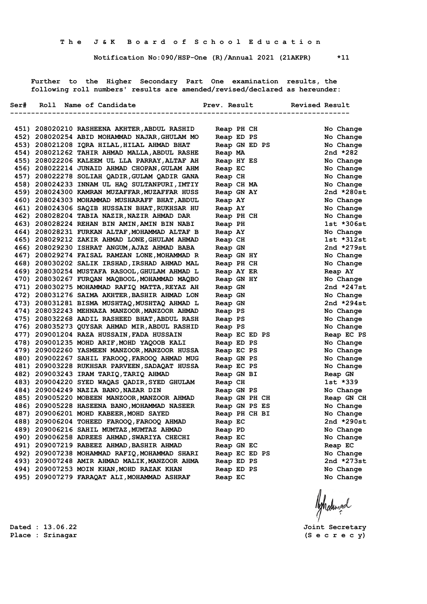**Notification No:090/HSP-One (R)/Annual 2021 (21AKPR) \*11**

 **Further to the Higher Secondary Part One examination results, the following roll numbers' results are amended/revised/declared as hereunder:**

|  | Ser# Roll Name of Candidate                                                                | Prev. Result Revised Result |                         |
|--|--------------------------------------------------------------------------------------------|-----------------------------|-------------------------|
|  |                                                                                            |                             | ------------------      |
|  | 451) 208020210 RASHEENA AKHTER, ABDUL RASHID                                               | Reap PH CH                  | No Change               |
|  | 452) 208020254 ABID MOHAMMAD NAJAR, GHULAM MO                                              | Reap ED PS                  | No Change               |
|  | 453) 208021208 IQRA HILAL, HILAL AHMAD BHAT                                                | Reap GN ED PS               | No Change               |
|  | 454) 208021262 TAHIR AHMAD MALLA, ABDUL RASHE                                              | Reap MA                     | 2nd $*282$              |
|  | 455) 208022206 KALEEM UL LLA PARRAY, ALTAF AH                                              | Reap HY ES                  | No Change               |
|  | 456) 208022214 JUNAID AHMAD CHOPAN, GULAM AHM                                              | Reap EC                     | No Change               |
|  | 457) 208022278 SOLIAH QADIR, GULAM QADIR GANA                                              | Reap CH                     | No Change               |
|  | 458) 208024233 INNAM UL HAQ SULTANPURI, IMTIY                                              | Reap CH MA                  | No Change               |
|  | 459) 208024300 KAMRAN MUZAFFAR, MUZAFFAR HUSS                                              | Reap GN AY                  | 2nd $*280st$            |
|  | 460) 208024303 MOHAMMAD MUSHARAFF BHAT, ABDUL                                              | Reap AY                     | No Change               |
|  | 461) 208024306 SAQIB HUSSAIN BHAT, RUKHSAR HU                                              | Reap AY                     | No Change               |
|  | 462) 208028204 TABIA NAZIR, NAZIR AHMAD DAR                                                | Reap PH CH                  | No Change               |
|  | 463) 208028224 REHAN BIN AMIN, AMIN BIN NABI                                               | Reap PH                     | 1st *306st              |
|  | 464) 208028231 FURKAN ALTAF, MOHAMMAD ALTAF B                                              | Reap AY                     | No Change               |
|  | 465) 208029212 ZAKIR AHMAD LONE, GHULAM AHMAD                                              | Reap CH                     | 1st *312st              |
|  | 466) 208029230 ISHRAT ANGUM, AJAZ AHMAD BABA                                               | Reap GN                     | 2nd *279st              |
|  | 467) 208029274 FAISAL RAMZAN LONE, MOHAMMAD R                                              | Reap GN HY                  | No Change               |
|  | 468) 208030202 SALIK IRSHAD, IRSHAD AHMAD MAL                                              | Reap PH CH                  | No Change               |
|  | 469) 208030254 MUSTAFA RASOOL, GHULAM AHMAD L                                              | Reap AY ER                  | Reap AY                 |
|  | 470) 208030267 FURQAN MAQBOOL, MOHAMMAD MAQBO                                              | Reap GN HY                  | No Change               |
|  | 471) 208030275 MOHAMMAD RAFIQ MATTA, REYAZ AH                                              | Reap GN                     | 2nd $*247st$            |
|  | 472) 208031276 SAIMA AKHTER, BASHIR AHMAD LON                                              | Reap GN                     | No Change               |
|  | 473) 208031281 BISMA MUSHTAQ, MUSHTAQ AHMAD L                                              | Reap GN                     | 2nd $*294st$            |
|  | 474) 208032243 MEHNAZA MANZOOR, MANZOOR AHMAD                                              | Reap PS                     | No Change               |
|  | 475) 208032268 AADIL RASHEED BHAT, ABDUL RASH                                              | Reap PS                     | No Change               |
|  | 476) 208035273 QUYSAR AHMAD MIR, ABDUL RASHID<br>477) 209001204 RAZA HUSSAIN, FADA HUSSAIN | Reap PS                     | No Change               |
|  | 478) 209001235 MOHD ARIF, MOHD YAQOOB KALI                                                 | Reap EC ED PS               | Reap EC PS<br>No Change |
|  | 479) 209002260 YASMEEN MANZOOR, MANZOOR HUSSA                                              | Reap ED PS<br>Reap EC PS    | No Change               |
|  | 480) 209002267 SAHIL FAROOQ, FAROOQ AHMAD MUG                                              | Reap GN PS                  | No Change               |
|  | 481) 209003228 RUKHSAR PARVEEN, SADAQAT HUSSA                                              | Reap EC PS                  | No Change               |
|  | 482) 209003243 IRAM TARIQ, TARIQ AHMAD                                                     | Reap GN BI                  | Reap GN                 |
|  | 483) 209004220 SYED WAQAS QADIR, SYED GHULAM                                               | Reap CH                     | 1st *339                |
|  | 484) 209004249 NAZIA BANO, NAZAR DIN                                                       | Reap GN PS                  | No Change               |
|  | 485) 209005220 MOBEEN MANZOOR, MANZOOR AHMAD                                               | Reap GN PH CH               | Reap GN CH              |
|  | 486) 209005228 HASEENA BANO, MOHAMMAD NASEER                                               | Reap GN PS ES               | No Change               |
|  | 487) 209006201 MOHD KABEER, MOHD SAYED                                                     | Reap PH CH BI               | No Change               |
|  | 488) 209006204 TOHEED FAROOQ, FAROOQ AHMAD                                                 | Reap EC                     | 2nd *290st              |
|  | 489) 209006216 SAHIL MUMTAZ, MUMTAZ AHMAD                                                  | Reap PD                     | No Change               |
|  | 490) 209006258 ADREES AHMAD, SWARIYA CHECHI                                                | Reap EC                     | No Change               |
|  | 491) 209007219 RABEEZ AHMAD, BASHIR AHMAD                                                  | Reap GN EC                  | Reap EC                 |
|  | 492) 209007238 MOHAMMAD RAFIQ, MOHAMMAD SHARI                                              | Reap EC ED PS               | No Change               |
|  | 493) 209007248 AMIR AHMAD MALIK, MANZOOR AHMA                                              | Reap ED PS                  | 2nd $*273st$            |
|  | 494) 209007253 MOIN KHAN, MOHD RAZAK KHAN                                                  | Reap ED PS                  | No Change               |
|  | 495) 209007279 FARAQAT ALI, MOHAMMAD ASHRAF                                                | Reap EC                     | No Change               |
|  |                                                                                            |                             |                         |

**Place : Srinagar (S e c r e c y)**

**Dated : 13.06.22 Joint Secretary**

Ashatingal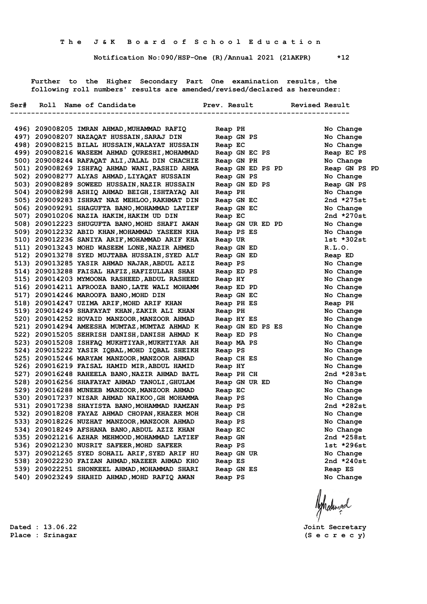**Notification No:090/HSP-One (R)/Annual 2021 (21AKPR) \*12**

 **Further to the Higher Secondary Part One examination results, the following roll numbers' results are amended/revised/declared as hereunder:**

|  | Ser# Roll Name of Candidate                                                                   |                    | Prev. Result Revised Result |                        |  |
|--|-----------------------------------------------------------------------------------------------|--------------------|-----------------------------|------------------------|--|
|  |                                                                                               |                    | ----------------            |                        |  |
|  | 496) 209008205 IMRAN AHMAD, MUHAMMAD RAFIQ                                                    | Reap PH            |                             | No Change              |  |
|  | 497) 209008207 NAZAQAT HUSSAIN, SARAJ DIN                                                     | Reap GN PS         |                             | No Change              |  |
|  | 498) 209008215 BILAL HUSSAIN, WALAYAT HUSSAIN                                                 | Reap EC            |                             | No Change              |  |
|  | 499) 209008216 WASEEM AHMAD QURESHI, MOHAMMAD                                                 | Reap GN EC PS      |                             | Reap EC PS             |  |
|  | 500) 209008244 RAFAQAT ALI, JALAL DIN CHACHIE                                                 | Reap GN PH         |                             | No Change              |  |
|  | 501) 209008269 ISHFAQ AHMAD WANI, RASHID AHMA                                                 | Reap GN ED PS PD   |                             | Reap GN PS PD          |  |
|  | 502) 209008277 ALYAS AHMAD, LIYAQAT HUSSAIN                                                   | Reap GN PS         |                             | No Change              |  |
|  | 503) 209008289 SOWEED HUSSAIN, NAZIR HUSSAIN                                                  |                    | Reap GN ED PS               | Reap GN PS             |  |
|  | 504) 209008298 ASHIQ AHMAD BEIGH, ISHTAYAQ AH                                                 | Reap PH            |                             | No Change              |  |
|  | 505) 209009283 ISHRAT NAZ MEHLOO, RAKHMAT DIN                                                 | Reap GN EC         |                             | 2nd *275st             |  |
|  | 506) 209009291 SHAGUFTA BANO, MOHAMMAD LATIEF                                                 | Reap GN EC         |                             | No Change              |  |
|  | 507) 209010206 NAZIA HAKIM, HAKIM UD DIN                                                      | Reap EC            |                             | 2nd *270st             |  |
|  | 508) 209012223 SHUGUFTA BANO, MOHD SHAFI AWAN                                                 |                    | Reap GN UR ED PD            | No Change              |  |
|  | 509) 209012232 ABID KHAN, MOHAMMAD YASEEN KHA                                                 | Reap PS ES         |                             | No Change              |  |
|  | 510) 209012236 SANIYA ARIF, MOHAMMAD ARIF KHA                                                 | Reap UR            |                             | 1st *302st             |  |
|  | 511) 209013243 MOHD WASEEM LONE, NAZIR AHMED                                                  | Reap GN ED         |                             | R.L.0.                 |  |
|  | 512) 209013278 SYED MUJTABA HUSSAIN, SYED ALT                                                 | Reap GN ED         |                             | Reap ED                |  |
|  | 513) 209013285 YASIR AHMAD NAJAR, ABDUL AZIZ                                                  | Reap PS            |                             | No Change              |  |
|  | 514) 209013288 FAISAL HAFIZ, HAFIZULLAH SHAH                                                  | Reap ED PS         |                             | No Change              |  |
|  | 515) 209014203 MYMOONA RASHEED, ABDUL RASHEED                                                 | Reap HY            |                             | No Change              |  |
|  | 516) 209014211 AFROOZA BANO, LATE WALI MOHAMM                                                 | Reap ED PD         |                             | No Change              |  |
|  | 517) 209014246 MAROOFA BANO, MOHD DIN                                                         | Reap GN EC         |                             | No Change              |  |
|  | 518) 209014247 UZIMA ARIF, MOHD ARIF KHAN                                                     | Reap PH ES         |                             | Reap PH                |  |
|  | 519) 209014249 SHAFAYAT KHAN, ZAKIR ALI KHAN                                                  | Reap PH            |                             | No Change              |  |
|  | 520) 209014252 HOVAID MANZOOR, MANZOOR AHMAD                                                  | Reap HY ES         |                             | No Change              |  |
|  | 521) 209014294 AMEESHA MUMTAZ, MUMTAZ AHMAD K                                                 |                    | Reap GN ED PS ES            | No Change              |  |
|  | 522) 209015205 SEHRISH DANISH, DANISH AHMAD K                                                 | Reap ED PS         |                             | No Change              |  |
|  | 523) 209015208 ISHFAQ MUKHTIYAR, MUKHTIYAR AH                                                 | Reap MA PS         |                             | No Change              |  |
|  | 524) 209015222 YASIR IQBAL, MOHD IQBAL SHEIKH                                                 | Reap PS            |                             | No Change              |  |
|  | 525) 209015246 MARYAM MANZOOR, MANZOOR AHMAD                                                  | Reap CH ES         |                             | No Change              |  |
|  | 526) 209016219 FAISAL HAMID MIR, ABDUL HAMID                                                  | Reap HY            |                             | No Change              |  |
|  | 527) 209016248 RAHEELA BANO, NAZIR AHMAD BATL<br>528) 209016256 SHAFAYAT AHMAD TANOLI, GHULAM | Reap PH CH         |                             | 2nd $*283st$           |  |
|  |                                                                                               |                    | Reap GN UR ED               | No Change              |  |
|  | 529) 209016288 MUNEEB MANZOOR, MANZOOR AHMAD<br>530) 209017237 NISAR AHMAD NAIKOO, GH MOHAMMA | Reap EC<br>Reap PS |                             | No Change<br>No Change |  |
|  | 531) 209017238 SHAYISTA BANO, MOHAMMAD RAMZAN                                                 | Reap PS            |                             | 2nd *282st             |  |
|  | 532) 209018208 FAYAZ AHMAD CHOPAN, KHAZER MOH                                                 | Reap CH            |                             | No Change              |  |
|  | 533) 209018226 NUZHAT MANZOOR, MANZOOR AHMAD                                                  | Reap PS            |                             | No Change              |  |
|  | 534) 209018249 AFSHANA BANO,ABDUL AZIZ KHAN                                                   | Reap EC            |                             | No Change              |  |
|  | 535) 209021216 AZHAR MEHMOOD, MOHAMMAD LATIEF                                                 | Reap GN            |                             | 2nd *258st             |  |
|  | 536) 209021230 NUSRIT SAFEER, MOHD SAFEER                                                     | Reap PS            |                             | 1st *296st             |  |
|  | 537) 209021265 SYED SOHAIL ARIF, SYED ARIF HU                                                 | Reap GN UR         |                             | No Change              |  |
|  | 538) 209022230 FAIZAN AHMAD, NAZEER AHMAD KHO                                                 | Reap ES            |                             | 2nd *240st             |  |
|  | 539) 209022251 SHONKEEL AHMAD, MOHAMMAD SHARI                                                 | Reap GN ES         |                             | Reap ES                |  |
|  | 540) 209023249 SHAHID AHMAD, MOHD RAFIQ AWAN                                                  | Reap PS            |                             | No Change              |  |
|  |                                                                                               |                    |                             |                        |  |

Ashalingal

**Dated : 13.06.22 Joint Secretary**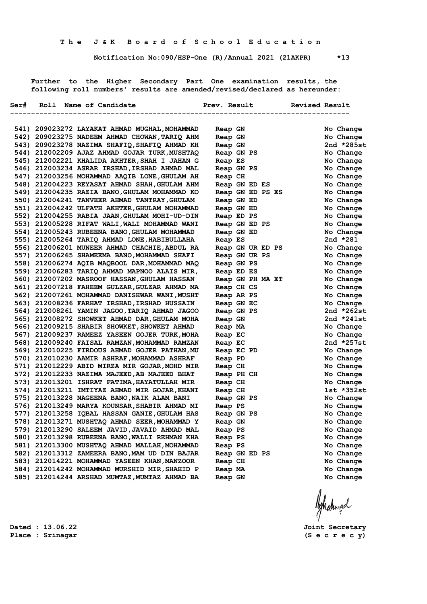**Notification No:090/HSP-One (R)/Annual 2021 (21AKPR) \*13**

 **Further to the Higher Secondary Part One examination results, the following roll numbers' results are amended/revised/declared as hereunder:**

|  | Ser# Roll Name of Candidate                   | Prev. Result          | <b>Revised Result</b> |
|--|-----------------------------------------------|-----------------------|-----------------------|
|  |                                               | --------------------- |                       |
|  | 541) 209023272 LAYAKAT AHMAD MUGHAL, MOHAMMAD | Reap GN               | No Change             |
|  | 542) 209023275 NADEEM AHMAD CHOWAN, TARIQ AHM | Reap GN               | No Change             |
|  | 543) 209023278 NAZIMA SHAFIQ, SHAFIQ AHMAD KH | Reap GN               | 2nd $*285st$          |
|  | 544) 212002209 AJAZ AHMAD GOJAR TURK, MUSHTAQ | Reap GN PS            | No Change             |
|  | 545) 212002221 KHALIDA AKHTER, SHAH I JAHAN G | Reap ES               | No Change             |
|  | 546) 212003234 ASRAR IRSHAD, IRSHAD AHMAD MAL | Reap GN PS            | No Change             |
|  | 547) 212003256 MOHAMMAD AAQIB LONE, GHULAM AH | Reap CH               | No Change             |
|  | 548) 212004223 REYASAT AHMAD SHAH, GHULAM AHM | Reap GN ED ES         | No Change             |
|  | 549) 212004235 RAZIA BANO, GHULAM MOHAMMAD KO | Reap GN ED PS ES      | No Change             |
|  | 550) 212004241 TANVEER AHMAD TANTRAY, GHULAM  | Reap GN ED            | No Change             |
|  | 551) 212004242 ULFATH AKHTER, GHULAM MOHAMMAD | Reap GN ED            | No Change             |
|  | 552) 212004255 RABIA JAAN, GHULAM MOHI-UD-DIN | Reap ED PS            | No Change             |
|  | 553) 212005228 RIFAT WALI, WALI MOHAMMAD WANI | Reap GN ED PS         | No Change             |
|  | 554) 212005243 RUBEENA BANO, GHULAM MOHAMMAD  | Reap GN ED            | No Change             |
|  | 555) 212005264 TARIQ AHMAD LONE, HABIBULLAHA  | Reap ES               | 2nd $*281$            |
|  | 556) 212006201 MUNEER AHMAD CHACHIE, ABDUL RA | Reap GN UR ED PS      | No Change             |
|  | 557) 212006265 SHAMEEMA BANO, MOHAMMAD SHAFI  | Reap GN UR PS         | No Change             |
|  | 558) 212006274 AQIB MAQBOOL DAR, MOHAMMAD MAQ | Reap GN PS            | No Change             |
|  | 559) 212006283 TARIQ AHMAD MAPNOO ALAIS MIR,  | Reap ED ES            | No Change             |
|  | 560) 212007202 MASROOF HASSAN, GHULAM HASSAN  | Reap GN PH MA ET      | No Change             |
|  | 561) 212007218 FAHEEM GULZAR, GULZAR AHMAD MA | Reap CH CS            | No Change             |
|  | 562) 212007261 MOHAMMAD DANISHWAR WANI, MUSHT | Reap AR PS            | No Change             |
|  | 563) 212008236 FARHAT IRSHAD, IRSHAD HUSSAIN  | Reap GN EC            | No Change             |
|  | 564) 212008261 YAMIN JAGOO, TARIQ AHMAD JAGOO | Reap GN PS            | 2nd $*262st$          |
|  | 565) 212008272 SHOWKET AHMAD DAR, GHULAM MOHA | Reap GN               | 2nd $*241st$          |
|  | 566) 212009215 SHABIR SHOWKET, SHOWKET AHMAD  | Reap MA               | No Change             |
|  | 567) 212009237 RAMEEZ YASEEN GOJER TURK, MOHA | Reap EC               | No Change             |
|  | 568) 212009240 FAISAL RAMZAN, MOHAMMAD RAMZAN | Reap EC               | 2nd *257st            |
|  | 569) 212010225 FIRDOUS AHMAD GOJER PATHAN, MU | Reap EC PD            | No Change             |
|  | 570) 212010230 AAMIR ASHRAF, MOHAMMAD ASHRAF  | Reap PD               | No Change             |
|  | 571) 212012229 ABID MIRZA MIR GOJAR, MOHD MIR | Reap CH               | No Change             |
|  | 572) 212012233 NAZIMA MAJEED, AB MAJEED BHAT  | Reap PH CH            | No Change             |
|  | 573) 212013201 ISHRAT FATIMA, HAYATULLAH MIR  | Reap CH               | No Change             |
|  | 574) 212013211 IMTIYAZ AHMAD MIR GOJAR, KHANI | Reap CH               | $1st *352st$          |
|  | 575) 212013228 NAGEENA BANO, NAIK ALAM BANI   | Reap GN PS            | No Change             |
|  | 576) 212013249 MARYA KOUNSAR, SHABIR AHMAD MI | Reap PS               | No Change             |
|  | 577) 212013258 IQBAL HASSAN GANIE, GHULAM HAS | Reap GN PS            | No Change             |
|  | 578) 212013271 MUSHTAQ AHMAD SEER, MOHAMMAD Y | Reap GN               | No Change             |
|  | 579) 212013290 SALEEM JAVID, JAVAID AHMAD MAL | Reap PS               | No Change             |
|  | 580) 212013298 RUBEENA BANO, WALLI REHMAN KHA | Reap PS               | No Change             |
|  | 581) 212013300 MUSHTAQ AHMAD MALLAH, MOHAMMAD | Reap PS               | No Change             |
|  | 582) 212013312 ZAMEERA BANO, MAM UD DIN BAJAR | Reap GN ED PS         | No Change             |
|  | 583) 212014221 MOHAMMAD YASEEN KHAN, MANZOOR  | Reap CH               | No Change             |
|  | 584) 212014242 MOHAMMAD MURSHID MIR, SHAHID P | Reap MA               | No Change             |
|  | 585) 212014244 ARSHAD MUMTAZ, MUMTAZ AHMAD BA | Reap GN               | No Change             |
|  |                                               |                       |                       |

Ashatingal

**Dated : 13.06.22 Joint Secretary**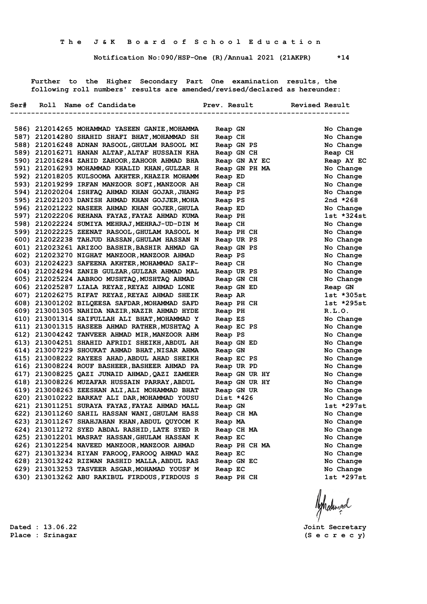**Notification No:090/HSP-One (R)/Annual 2021 (21AKPR) \*14**

 **Further to the Higher Secondary Part One examination results, the following roll numbers' results are amended/revised/declared as hereunder:**

|  | Ser# Roll Name of Candidate                                                                    |                       | Prev. Result  | Revised Result         |                         |
|--|------------------------------------------------------------------------------------------------|-----------------------|---------------|------------------------|-------------------------|
|  |                                                                                                |                       |               | ---------------------- |                         |
|  |                                                                                                |                       |               |                        |                         |
|  | 586) 212014265 MOHAMMAD YASEEN GANIE, MOHAMMA                                                  | Reap GN               |               |                        | No Change               |
|  | 587) 212014280 SHAHID SHAFI BHAT, MOHAMMAD SH                                                  | Reap CH               |               |                        | No Change               |
|  | 588) 212016248 ADNAN RASOOL, GHULAM RASOOL MI                                                  | Reap GN PS            |               |                        | No Change               |
|  | 589) 212016271 HANAN ALTAF, ALTAF HUSSAIN KHA                                                  | Reap GN CH            |               |                        | Reap CH                 |
|  | 590) 212016284 ZAHID ZAHOOR, ZAHOOR AHMAD BHA                                                  |                       | Reap GN AY EC |                        | Reap AY EC              |
|  | 591) 212016293 MOHAMMAD KHALID KHAN, GULZAR H<br>592) 212018205 KULSOOMA AKHTER, KHAZIR MOHAMM |                       | Reap GN PH MA |                        | No Change               |
|  | 593) 212019299 IRFAN MANZOOR SOFI, MANZOOR AH                                                  | Reap ED               |               |                        | No Change<br>No Change  |
|  | 594) 212020204 ISHFAQ AHMAD KHAN GOJAR, JHANG                                                  | Reap CH               |               |                        |                         |
|  | 595) 212021203 DANISH AHMAD KHAN GOJJER, MOHA                                                  | Reap PS               |               |                        | No Change<br>2nd $*268$ |
|  | 596) 212021222 NASEER AHMAD KHAN GOJER, GHULA                                                  | Reap PS               |               |                        | No Change               |
|  | 597) 212022206 REHANA FAYAZ, FAYAZ AHMAD KUMA                                                  | Reap ED               |               |                        | 1st *324st              |
|  | 598) 212022224 SUMIYA MEHRAJ, MEHRAJ-UD-DIN M                                                  | Reap PH               |               |                        | No Change               |
|  | 599) 212022225 ZEENAT RASOOL, GHULAM RASOOL M                                                  | Reap CH<br>Reap PH CH |               |                        | No Change               |
|  | 600) 212022238 TAHJUD HASSAN, GHULAM HASSAN N                                                  | Reap UR PS            |               |                        | No Change               |
|  | 601) 212023261 ARIZOO BASHIR, BASHIR AHMAD GA                                                  | Reap GN PS            |               |                        | No Change               |
|  | 602) 212023270 NIGHAT MANZOOR, MANZOOR AHMAD                                                   | Reap PS               |               |                        | No Change               |
|  | 603) 212024223 SAFEENA AKHTER, MOHAMMAD SAIF-                                                  | Reap CH               |               |                        | No Change               |
|  | 604) 212024294 ZANIB GULZAR, GULZAR AHMAD MAL                                                  | Reap UR PS            |               |                        | No Change               |
|  | 605) 212025224 AABROO MUSHTAQ, MUSHTAQ AHMAD                                                   | Reap GN CH            |               |                        | No Change               |
|  | 606) 212025287 LIALA REYAZ, REYAZ AHMAD LONE                                                   | Reap GN ED            |               |                        | Reap GN                 |
|  | 607) 212026275 RIFAT REYAZ, REYAZ AHMAD SHEIK                                                  | Reap AR               |               |                        | $1st * 305st$           |
|  | 608) 213001202 BILQEESA SAFDAR, MOHAMMAD SAFD                                                  | Reap PH CH            |               |                        | $1st *295st$            |
|  | 609) 213001305 NAHIDA NAZIR, NAZIR AHMAD HYDE                                                  | Reap PH               |               |                        | R.L.0.                  |
|  | 610) 213001314 SAIFULLAH ALI BHAT, MOHAMMAD Y                                                  | Reap ES               |               |                        | No Change               |
|  | 611) 213001315 HASEEB AHMAD RATHER, MUSHTAQ A                                                  | Reap EC PS            |               |                        | No Change               |
|  | 612) 213004242 TANVEER AHMAD MIR, MANZOOR AHM                                                  | Reap PS               |               |                        | No Change               |
|  | 613) 213004251 SHAHID AFRIDI SHEIKH, ABDUL AH                                                  | Reap GN ED            |               |                        | No Change               |
|  | 614) 213007229 SHOUKAT AHMAD BHAT, NISAR AHMA                                                  | Reap GN               |               |                        | No Change               |
|  | 615) 213008222 RAYEES AHAD, ABDUL AHAD SHEIKH                                                  | Reap EC PS            |               |                        | No Change               |
|  | 616) 213008224 ROUF BASHEER, BASHEER AHMAD PA                                                  | Reap UR PD            |               |                        | No Change               |
|  | 617) 213008225 QAZI JUNAID AHMAD, QAZI ZAMEER                                                  |                       | Reap GN UR HY |                        | No Change               |
|  | 618) 213008226 MUZAFAR HUSSAIN PARRAY, ABDUL                                                   |                       | Reap GN UR HY |                        | No Change               |
|  | 619) 213008263 ZEESHAN ALI, ALI MOHAMMAD BHAT                                                  | Reap GN UR            |               |                        | No Change               |
|  | 620) 213010222 BARKAT ALI DAR, MOHAMMAD YOUSU                                                  | Dist *426             |               |                        | No Change               |
|  | 621) 213011251 SURAYA FAYAZ, FAYAZ AHMAD MALL                                                  | Reap GN               |               |                        | 1st *297st              |
|  | 622) 213011260 SAHIL HASSAN WANI, GHULAM HASS                                                  | Reap CH MA            |               |                        | No Change               |
|  | 623) 213011267 SHAHJAHAN KHAN, ABDUL QUYOOM K                                                  | Reap MA               |               |                        | No Change               |
|  | 624) 213011272 SYED ABDAL RASHID, LATE SYED R                                                  | Reap CH MA            |               |                        | No Change               |
|  | 625) 213012201 MASRAT HASSAN, GHULAM HASSAN K                                                  | Reap EC               |               |                        | No Change               |
|  | 626) 213012254 NAVEED MANZOOR, MANZOOR AHMAD                                                   |                       | Reap PH CH MA |                        | No Change               |
|  | 627) 213013234 RIYAN FAROOQ, FAROOQ AHMAD WAZ                                                  | Reap EC               |               |                        | No Change               |
|  | 628) 213013242 RIZWAN RASHID MALLA, ABDUL RAS                                                  | Reap GN EC            |               |                        | No Change               |
|  | 629) 213013253 TASVEER ASGAR, MOHAMAD YOUSF M                                                  | Reap EC               |               |                        | No Change               |
|  | 630) 213013262 ABU RAKIBUL FIRDOUS, FIRDOUS S                                                  | Reap PH CH            |               |                        | 1st *297st              |
|  |                                                                                                |                       |               |                        |                         |
|  |                                                                                                |                       |               |                        |                         |
|  |                                                                                                |                       |               |                        | Ashatingal              |
|  |                                                                                                |                       |               |                        |                         |
|  |                                                                                                |                       |               |                        |                         |

**Place : Srinagar (S e c r e c y)**

**Dated : 13.06.22 Joint Secretary**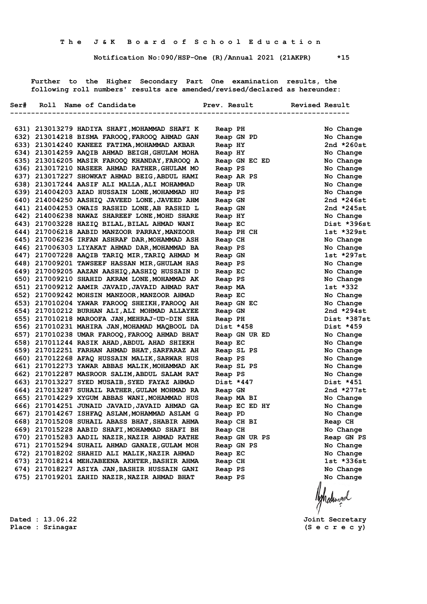**Notification No:090/HSP-One (R)/Annual 2021 (21AKPR) \*15**

 **Further to the Higher Secondary Part One examination results, the following roll numbers' results are amended/revised/declared as hereunder:**

|  | Ser# Roll Name of Candidate                   |               | Prev. Result<br><b>Revised Result</b> |              |
|--|-----------------------------------------------|---------------|---------------------------------------|--------------|
|  |                                               |               |                                       |              |
|  | 631) 213013279 HADIYA SHAFI, MOHAMMAD SHAFI K | Reap PH       |                                       | No Change    |
|  | 632) 213014218 BISMA FAROOQ, FAROOQ AHMAD GAN | Reap GN PD    |                                       | No Change    |
|  | 633) 213014240 KANEEZ FATIMA, MOHAMMAD AKBAR  | Reap HY       |                                       | 2nd $*260st$ |
|  | 634) 213014259 AAQIB AHMAD BEIGH, GHULAM MOHA | Reap HY       |                                       | No Change    |
|  | 635) 213016205 MASIR FAROOQ KHANDAY, FAROOQ A | Reap GN EC ED |                                       | No Change    |
|  | 636) 213017210 NASEER AHMAD RATHER, GHULAM MO | Reap PS       |                                       | No Change    |
|  | 637) 213017227 SHOWKAT AHMAD BEIG, ABDUL HAMI | Reap AR PS    |                                       | No Change    |
|  | 638) 213017244 AASIF ALI MALLA, ALI MOHAMMAD  | Reap UR       |                                       | No Change    |
|  | 639) 214004203 AZAD HUSSAIN LONE, MOHAMMAD HU | Reap PS       |                                       | No Change    |
|  | 640) 214004250 AASHIQ JAVEED LONE, JAVEED AHM | Reap GN       |                                       | 2nd $*246st$ |
|  | 641) 214004253 OWAIS RASHID LONE, AB RASHID L | Reap GN       |                                       | 2nd *245st   |
|  | 642) 214006238 NAWAZ SHAREEF LONE, MOHD SHARE | Reap HY       |                                       | No Change    |
|  | 643) 217003228 HAZIQ BILAL, BILAL AHMAD WANI  | Reap EC       |                                       | Dist *396st  |
|  | 644) 217006218 AABID MANZOOR PARRAY, MANZOOR  | Reap PH CH    |                                       | 1st *329st   |
|  | 645) 217006236 IRFAN ASHRAF DAR, MOHAMMAD ASH | Reap CH       |                                       | No Change    |
|  | 646) 217006303 LIYAKAT AHMAD DAR, MOHAMMAD BA | Reap PS       |                                       | No Change    |
|  | 647) 217007228 AAQIB TARIQ MIR, TARIQ AHMAD M | Reap GN       |                                       | $1st *297st$ |
|  | 648) 217009201 TAWSEEF HASSAN MIR, GHULAM HAS | Reap PS       |                                       | No Change    |
|  | 649) 217009205 AAZAN AASHIQ, AASHIQ HUSSAIN D | Reap EC       |                                       | No Change    |
|  | 650) 217009210 SHAHID AKRAM LONE, MOHAMMAD AK | Reap PS       |                                       | No Change    |
|  | 651) 217009212 AAMIR JAVAID, JAVAID AHMAD RAT | Reap MA       |                                       | 1st *332     |
|  | 652) 217009242 MOHSIN MANZOOR, MANZOOR AHMAD  | Reap EC       |                                       | No Change    |
|  | 653) 217010204 YAWAR FAROOQ SHEIKH, FAROOQ AH | Reap GN EC    |                                       | No Change    |
|  | 654) 217010212 BURHAN ALI, ALI MOHMAD ALLAYEE | Reap GN       |                                       | 2nd *294st   |
|  | 655) 217010218 MAROOFA JAN, MEHRAJ-UD-DIN SHA | Reap PH       |                                       | Dist *387st  |
|  | 656) 217010231 MAHIRA JAN, MOHAMAD MAQBOOL DA | Dist *458     |                                       | Dist *459    |
|  | 657) 217010238 UMAR FAROOQ, FAROOQ AHMAD BHAT | Reap GN UR ED |                                       | No Change    |
|  | 658) 217011244 RASIK AHAD, ABDUL AHAD SHIEKH  | Reap EC       |                                       | No Change    |
|  | 659) 217012251 FARHAN AHMAD BHAT, SARFARAZ AH | Reap SL PS    |                                       | No Change    |
|  | 660) 217012268 AFAQ HUSSAIN MALIK, SARWAR HUS | Reap PS       |                                       | No Change    |
|  | 661) 217012273 YAWAR ABBAS MALIK, MOHAMMAD AK | Reap SL PS    |                                       | No Change    |
|  | 662) 217012287 MASROOR SALIM, ABDUL SALAM RAT | Reap PS       |                                       | No Change    |
|  | 663) 217013227 SYED MUSAIB, SYED FAYAZ AHMAD  | Dist *447     |                                       | Dist *451    |
|  | 664) 217013287 SUHAIL RATHER, GULAM MOHMAD RA | Reap GN       |                                       | 2nd $*277st$ |
|  | 665) 217014229 XYGUM ABBAS WANI, MOHAMMAD HUS | Reap MA BI    |                                       | No Change    |
|  | 666) 217014251 JUNAID JAVAID, JAVAID AHMAD GA | Reap EC ED HY |                                       | No Change    |
|  | 667) 217014267 ISHFAQ ASLAM, MOHAMMAD ASLAM G | Reap PD       |                                       | No Change    |
|  | 668) 217015208 SUHAIL ABASS BHAT, SHABIR AHMA | Reap CH BI    |                                       | Reap CH      |
|  | 669) 217015228 AABID SHAFI, MOHAMMAD SHAFI BH | Reap CH       |                                       | No Change    |
|  | 670) 217015283 AADIL NAZIR, NAZIR AHMAD RATHE | Reap GN UR PS |                                       | Reap GN PS   |
|  | 671) 217015294 SUHAIL AHMAD GANAIE, GULAM MOH | Reap GN PS    |                                       | No Change    |
|  | 672) 217018202 SHAHID ALI MALIK, NAZIR AHMAD  | Reap EC       |                                       | No Change    |
|  | 673) 217018214 MEHJABEENA AKHTER, BASHIR AHMA | Reap CH       |                                       | 1st *336st   |
|  | 674) 217018227 ASIYA JAN, BASHIR HUSSAIN GANI | Reap PS       |                                       | No Change    |
|  | 675) 217019201 ZAHID NAZIR, NAZIR AHMAD BHAT  | Reap PS       |                                       | No Change    |
|  |                                               |               |                                       |              |
|  |                                               |               |                                       |              |
|  |                                               |               |                                       | Aghalunad    |
|  |                                               |               |                                       |              |

**Dated : 13.06.22 Joint Secretary**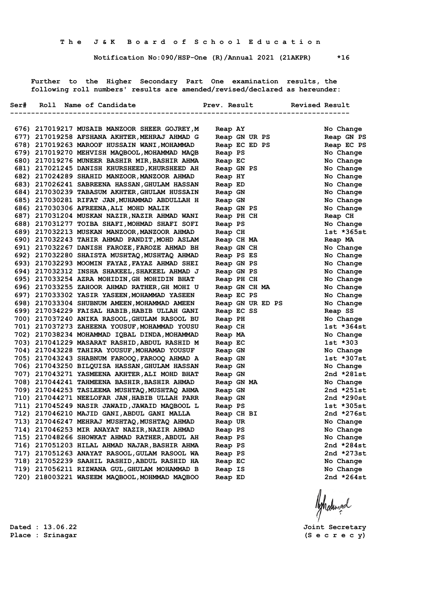**Notification No:090/HSP-One (R)/Annual 2021 (21AKPR) \*16**

 **Further to the Higher Secondary Part One examination results, the following roll numbers' results are amended/revised/declared as hereunder:**

|  | Ser# Roll Name of Candidate                                                                   | Prev. Result       | Revised Result          |
|--|-----------------------------------------------------------------------------------------------|--------------------|-------------------------|
|  |                                                                                               |                    |                         |
|  | 676) 217019217 MUSAIB MANZOOR SHEER GOJREY, M                                                 | Reap AY            | No Change               |
|  | 677) 217019258 AFSHANA AKHTER, MEHRAJ AHMAD G                                                 | Reap GN UR PS      | Reap GN PS              |
|  | 678) 217019263 MAROOF HUSSAIN WANI, MOHAMMAD                                                  | Reap EC ED PS      | Reap EC PS              |
|  | 679) 217019270 MEHVISH MAQBOOL, MOHAMMAD MAQB                                                 | Reap PS            | No Change               |
|  | 680) 217019276 MUNEER BASHIR MIR, BASHIR AHMA                                                 | Reap EC            | No Change               |
|  | 681) 217021245 DANISH KHURSHEED, KHURSHEED AH                                                 | Reap GN PS         | No Change               |
|  | 682) 217024289 SHAHID MANZOOR, MANZOOR AHMAD                                                  | Reap HY            | No Change               |
|  | 683) 217026241 SABREENA HASSAN, GHULAM HASSAN                                                 | Reap ED            | No Change               |
|  | 684) 217030239 TABASUM AKHTER, GHULAM HUSSAIN                                                 | Reap GN            | No Change               |
|  | 685) 217030281 RIFAT JAN, MUHAMMAD ABDULLAH H                                                 | Reap GN            | No Change               |
|  | 686) 217030306 AFREENA, ALI MOHD MALIK                                                        | Reap GN PS         | No Change               |
|  | 687) 217031204 MUSKAN NAZIR, NAZIR AHMAD WANI                                                 | Reap PH CH         | Reap CH                 |
|  | 688) 217031277 TOIBA SHAFI, MOHMAD SHAFI SOFI                                                 | Reap PS            | No Change               |
|  | 689) 217032213 MUSKAN MANZOOR, MANZOOR AHMAD                                                  | Reap CH            | $1st * 365st$           |
|  | 690) 217032243 TAHIR AHMAD PANDIT, MOHD ASLAM                                                 | Reap CH MA         | Reap MA                 |
|  | 691) 217032267 DANISH FAROZE, FAROZE AHMAD BH                                                 | Reap GN CH         | No Change               |
|  | 692) 217032280 SHAISTA MUSHTAQ, MUSHTAQ AHMAD                                                 | Reap PS ES         | No Change               |
|  | 693) 217032293 MOOMIN FAYAZ, FAYAZ AHMAD SHEI                                                 | Reap GN PS         | No Change               |
|  | 694) 217032312 INSHA SHAKEEL, SHAKEEL AHMAD J                                                 | Reap GN PS         | No Change               |
|  | 695) 217033254 AZRA MOHIDIN, GH MOHIDIN BHAT                                                  | Reap PH CH         | No Change               |
|  | 696) 217033255 ZAHOOR AHMAD RATHER, GH MOHI U                                                 | Reap GN CH MA      | No Change               |
|  | 697) 217033302 YASIR YASEEN, MOHAMMAD YASEEN                                                  | Reap EC PS         | No Change               |
|  | 698) 217033304 SHUBNUM AMEEN, MOHAMMAD AMEEN                                                  | Reap GN UR ED PS   | No Change               |
|  | 699) 217034229 FAISAL HABIB, HABIB ULLAH GANI                                                 | Reap EC SS         | Reap SS                 |
|  | 700) 217037240 ANIKA RASOOL, GHULAM RASOOL BU                                                 | Reap PH            | No Change               |
|  | 701) 217037273 ZAHEENA YOUSUF, MOHAMMAD YOUSU                                                 | Reap CH            | 1st *364st              |
|  | 702) 217038234 MOHAMMAD IQBAL DINDA, MOHAMMAD                                                 | Reap MA            | No Change               |
|  | 703) 217041229 MASARAT RASHID, ABDUL RASHID M                                                 | Reap EC            | 1st *303                |
|  | 704) 217043228 TAHIRA YOUSUF, MOHAMAD YOUSUF<br>705) 217043243 SHABNUM FAROOQ, FAROOQ AHMAD A | Reap GN            | No Change<br>1st *307st |
|  | 706) 217043250 BILQUISA HASSAN, GHULAM HASSAN                                                 | Reap GN<br>Reap GN | No Change               |
|  | 707) 217043271 YASMEENA AKHTER, ALI MOHD BHAT                                                 | Reap GN            | 2nd $*281st$            |
|  | 708) 217044241 TAHMEENA BASHIR, BASHIR AHMAD                                                  | Reap GN MA         | No Change               |
|  | 709) 217044253 TASLEEMA MUSHTAQ, MUSHTAQ AHMA                                                 | Reap GN            | 2nd *251st              |
|  | 710) 217044271 NEELOFAR JAN, HABIB ULLAH PARR                                                 | Reap GN            | 2nd *290st              |
|  | 711) 217045249 NASIR JAWAID, JAWAID MAQBOOL L                                                 | Reap PS            | $1st * 305st$           |
|  | 712) 217046210 MAJID GANI, ABDUL GANI MALLA                                                   | Reap CH BI         | 2nd $*276st$            |
|  | 713) 217046247 MEHRAJ MUSHTAQ, MUSHTAQ AHMAD                                                  | Reap UR            | No Change               |
|  | 714) 217046253 MIR ANAYAT NAZIR, NAZIR AHMAD                                                  | Reap PS            | No Change               |
|  | 715) 217048266 SHOWKAT AHMAD RATHER, ABDUL AH                                                 | Reap PS            | No Change               |
|  | 716) 217051203 HILAL AHMAD NAJAR, BASHIR AHMA                                                 | Reap PS            | 2nd $*284st$            |
|  | 717) 217051263 ANAYAT RASOOL, GULAM RASOOL WA                                                 | Reap PS            | 2nd *273st              |
|  | 718) 217052239 SAAHIL RASHID, ABDUL RASHID HA                                                 | Reap EC            | No Change               |
|  | 719) 217056211 RIZWANA GUL, GHULAM MOHAMMAD B                                                 | Reap IS            | No Change               |
|  | 720) 218003221 WASEEM MAQBOOL, MOHMMAD MAQBOO                                                 | Reap ED            | 2nd *264st              |
|  |                                                                                               |                    |                         |

Aghalunad

**Dated : 13.06.22 Joint Secretary**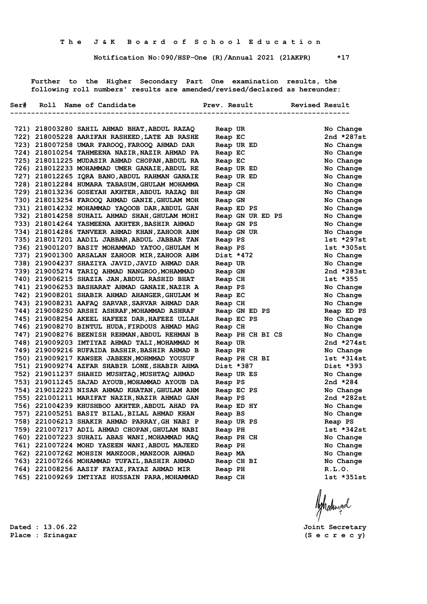**Notification No:090/HSP-One (R)/Annual 2021 (21AKPR) \*17**

 **Further to the Higher Secondary Part One examination results, the following roll numbers' results are amended/revised/declared as hereunder:**

|  | Ser# Roll Name of Candidate                                                                    |                       | Prev. Result Revised Result |
|--|------------------------------------------------------------------------------------------------|-----------------------|-----------------------------|
|  |                                                                                                | -------------         |                             |
|  | 721) 218003280 SAHIL AHMAD BHAT, ABDUL RAZAQ                                                   | Reap UR               | No Change                   |
|  | 722) 218005228 AARIFAH RASHEED, LATE AB RASHE                                                  | Reap EC               | 2nd *287st                  |
|  | 723) 218007258 UMAR FAROOQ, FAROOQ AHMAD DAR                                                   | Reap UR ED            | No Change                   |
|  | 724) 218010254 TAHMEENA NAZIR, NAZIR AHMAD PA                                                  | Reap EC               | No Change                   |
|  | 725) 218011225 MUDASIR AHMAD CHOPAN, ABDUL RA                                                  | Reap EC               | No Change                   |
|  | 726) 218012233 MOHAMMAD UMER GANAIE, ABDUL RE                                                  | Reap UR ED            | No Change                   |
|  | 727) 218012265 IQRA BANO, ABDUL RAHMAN GANAIE                                                  | Reap UR ED            | No Change                   |
|  | 728) 218012284 HUMARA TABASUM, GHULAM MOHAMMA                                                  | Reap CH               | No Change                   |
|  | 729) 218013236 GOSEYAH AKHTER, ABDUL RAZAQ BH                                                  | Reap GN               | No Change                   |
|  | 730) 218013254 FAROOQ AHMAD GANIE, GHULAM MOH                                                  | Reap GN               | No Change                   |
|  | 731) 218014232 MOHAMMAD YAQOOB DAR, ABDUL GAN                                                  | Reap ED PS            | No Change                   |
|  | 732) 218014258 SUHAIL AHMAD SHAH, GHULAM MOHI                                                  | Reap GN UR ED PS      | No Change                   |
|  | 733) 218014264 YASMEENA AKHTER, BASHIR AHMAD                                                   | Reap GN PS            | No Change                   |
|  | 734) 218014286 TANVEER AHMAD KHAN, ZAHOOR AHM                                                  | Reap GN UR            | No Change                   |
|  | 735) 218017201 AADIL JABBAR, ABDUL JABBAR TAN                                                  | Reap PS               | 1st *297st                  |
|  | 736) 219001207 BASIT MOHAMMAD YATOO, GHULAM M                                                  | Reap PS               | $1st * 305st$               |
|  | 737) 219001300 ARSALAN ZAHOOR MIR, ZAHOOR AHM                                                  | Dist *472             | No Change                   |
|  | 738) 219004237 SHAZIYA JAVID, JAVID AHMAD DAR                                                  | Reap UR               | No Change                   |
|  | 739) 219005274 TARIQ AHMAD NANGROO, MOHAMMAD                                                   | Reap GN               | 2nd $*283st$                |
|  | 740) 219006215 SHAZIA JAN, ABDUL RASHID BHAT                                                   | Reap CH               | 1st *355                    |
|  | 741) 219006253 BASHARAT AHMAD GANAIE, NAZIR A                                                  | Reap PS               | No Change                   |
|  | 742) 219008201 SHABIR AHMAD AHANGER, GHULAM M                                                  | Reap EC               | No Change                   |
|  | 743) 219008231 AAFAQ SARVAR, SARVAR AHMAD DAR                                                  | Reap CH               | No Change                   |
|  | 744) 219008250 ARSHI ASHRAF, MOHAMMAD ASHRAF                                                   | Reap GN ED PS         | Reap ED PS                  |
|  | 745) 219008254 AKEEL HAFEEZ DAR, HAFEEZ ULLAH                                                  | Reap EC PS            | No Change                   |
|  | 746) 219008270 BINTUL HUDA, FIRDOUS AHMAD MAG                                                  | Reap CH               | No Change                   |
|  | 747) 219008276 BEENISH REHMAN, ABDUL REHMAN B                                                  | Reap PH CH BI CS      | No Change                   |
|  | 748) 219009203 IMTIYAZ AHMAD TALI, MOHAMMAD M                                                  | Reap UR               | 2nd $*274st$                |
|  | 749) 219009216 RUFAIDA BASHIR, BASHIR AHMAD B                                                  | Reap PH               | No Change                   |
|  | 750) 219009217 KAWSER JABEEN, MOHMMAD YOUSUF                                                   | Reap PH CH BI         | $1st * 314st$               |
|  | 751) 219009274 AZFAR SHABIR LONE, SHABIR AHMA                                                  | Dist *387             | Dist *393                   |
|  | 752) 219011237 SHAHID MUSHTAQ, MUSHTAQ AHMAD                                                   | Reap UR ES            | No Change                   |
|  | 753) 219011245 SAJAD AYOUB, MOHAMMAD AYOUB DA<br>754) 219012223 NISAR AHMAD KHATAN, GHULAM AHM | Reap PS<br>Reap EC PS | 2nd $*284$<br>No Change     |
|  | 755) 221001211 MARIFAT NAZIR, NAZIR AHMAD GAN                                                  | Reap PS               | 2nd *282st                  |
|  | 756) 221004239 KHUSHBOO AKHTER, ABDUL AHAD PA                                                  | Reap ED HY            | No Change                   |
|  | 757) 221005251 BASIT BILAL, BILAL AHMAD KHAN                                                   | Reap BS               | No Change                   |
|  | 758) 221006213 SHAKIR AHMAD PARRAY, GH NABI P                                                  | Reap UR PS            | Reap PS                     |
|  | 759) 221007217 ADIL AHMAD CHOPAN, GHULAM NABI                                                  | Reap PH               | $1st *342st$                |
|  | 760) 221007223 SUHAIL ABAS WANI, MOHAMMAD MAO                                                  | Reap PH CH            | No Change                   |
|  | 761) 221007224 MOHD YASEEN WANI, ABDUL MAJEED                                                  | Reap PH               | No Change                   |
|  | 762) 221007262 MOHSIN MANZOOR, MANZOOR AHMAD                                                   | Reap MA               | No Change                   |
|  | 763) 221007266 MOHAMMAD TUFAIL, BASHIR AHMAD                                                   | Reap CH BI            | No Change                   |
|  | 764) 221008256 AASIF FAYAZ, FAYAZ AHMAD MIR                                                    | Reap PH               | R.L.O.                      |
|  | 765) 221009269 IMTIYAZ HUSSAIN PARA, MOHAMMAD                                                  | Reap CH               | lst *351st                  |
|  |                                                                                                |                       |                             |

Aghalunad

**Dated : 13.06.22 Joint Secretary**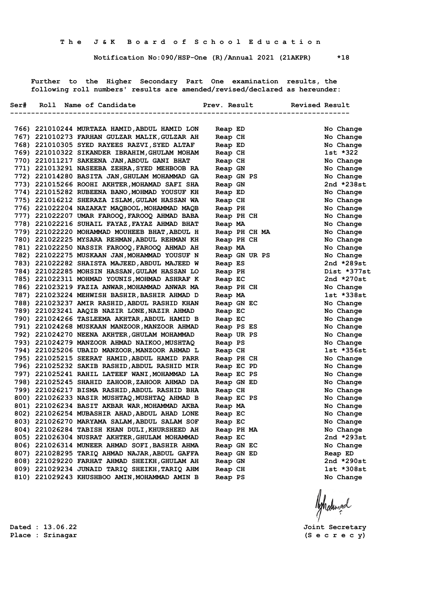**Notification No:090/HSP-One (R)/Annual 2021 (21AKPR) \*18**

 **Further to the Higher Secondary Part One examination results, the following roll numbers' results are amended/revised/declared as hereunder:**

|  | Ser# Roll Name of Candidate                                                                    | Prev. Result             | Revised Result          |
|--|------------------------------------------------------------------------------------------------|--------------------------|-------------------------|
|  |                                                                                                |                          |                         |
|  | 766) 221010244 MURTAZA HAMID, ABDUL HAMID LON                                                  | Reap ED                  | No Change               |
|  | 767) 221010273 FARHAN GULZAR MALIK, GULZAR AH                                                  | Reap CH                  | No Change               |
|  | 768) 221010305 SYED RAYEES RAZVI, SYED ALTAF                                                   | Reap ED                  | No Change               |
|  | 769) 221010322 SIKANDER IBRAHIM, GHULAM MOHAM                                                  | Reap CH                  | 1st *322                |
|  | 770) 221011217 SAKEENA JAN, ABDUL GANI BHAT                                                    | Reap CH                  | No Change               |
|  | 771) 221013291 NASEEBA ZEHRA, SYED MEHBOOB RA                                                  | Reap GN                  | No Change               |
|  | 772) 221014280 BASITA JAN, GHULAM MOHAMMAD GA                                                  | Reap GN PS               | No Change               |
|  | 773) 221015266 ROOHI AKHTER, MOHAMAD SAFI SHA                                                  | Reap GN                  | 2nd *238st              |
|  | 774) 221015282 RUBEENA BANO, MOHMAD YOUSUF KH                                                  | Reap ED                  | No Change               |
|  | 775) 221016212 SHERAZA ISLAM, GULAM HASSAN WA                                                  | Reap CH                  | No Change               |
|  | 776) 221022204 NAZAKAT MAQBOOL, MOHAMMAD MAQB                                                  | Reap PH                  | No Change               |
|  | 777) 221022207 UMAR FAROOQ, FAROOQ AHMAD BABA                                                  | Reap PH CH               | No Change               |
|  | 778) 221022216 SUHAIL FAYAZ, FAYAZ AHMAD BHAT                                                  | Reap MA                  | No Change               |
|  | 779) 221022220 MOHAMMAD MOUHEEB BHAT, ABDUL H                                                  | Reap PH CH MA            | No Change               |
|  | 780) 221022225 MYSARA REHMAN, ABDUL REHMAN KH                                                  | Reap PH CH               | No Change               |
|  | 781) 221022250 NASSIR FAROOQ, FAROOQ AHMAD AH                                                  | Reap MA                  | No Change               |
|  | 782) 221022275 MUSKAAN JAN, MOHAMMAD YOUSUF N                                                  | Reap GN UR PS            | No Change               |
|  | 783) 221022282 SHAISTA MAJEED, ABDUL MAJEED W                                                  | Reap ES                  | 2nd *289st              |
|  | 784) 221022285 MOHSIN HASSAN, GULAM HASSAN LO                                                  | Reap PH                  | Dist *377st             |
|  | 785) 221022311 MOHMAD YOUNIS, MOHMAD ASHRAF K                                                  | Reap EC                  | 2nd *270st              |
|  | 786) 221023219 FAZIA ANWAR, MOHAMMAD ANWAR MA                                                  | Reap PH CH               | No Change               |
|  | 787) 221023224 MEHWISH BASHIR, BASHIR AHMAD D                                                  | Reap MA                  | lst *338st              |
|  | 788) 221023237 AMIR RASHID, ABDUL RASHID KHAN                                                  | Reap GN EC               | No Change               |
|  | 789) 221023241 AAQIB NAZIR LONE, NAZIR AHMAD                                                   | Reap EC                  | No Change               |
|  | 790) 221024266 TASLEEMA AKHTAR, ABDUL HAMID B                                                  | Reap EC                  | No Change               |
|  | 791) 221024268 MUSKAAN MANZOOR, MANZOOR AHMAD                                                  | Reap PS ES               | No Change               |
|  | 792) 221024270 NEENA AKHTER, GHULAM MOHAMMAD                                                   | Reap UR PS               | No Change               |
|  | 793) 221024279 MANZOOR AHMAD NAIKOO, MUSHTAQ                                                   | Reap PS                  | No Change<br>1st *356st |
|  | 794) 221025206 UBAID MANZOOR, MANZOOR AHMAD L<br>795) 221025215 SEERAT HAMID, ABDUL HAMID PARR | Reap CH                  | No Change               |
|  | 796) 221025232 SAKIB RASHID, ABDUL RASHID MIR                                                  | Reap PH CH               | No Change               |
|  | 797) 221025241 RAHIL LATEEF WANI, MOHAMMAD LA                                                  | Reap EC PD<br>Reap EC PS | No Change               |
|  | 798) 221025245 SHAHID ZAHOOR, ZAHOOR AHMAD DA                                                  | Reap GN ED               | No Change               |
|  | 799) 221026217 BISMA RASHID, ABDUL RASHID BHA                                                  | Reap CH                  | No Change               |
|  | 800) 221026233 NASIR MUSHTAQ, MUSHTAQ AHMAD B                                                  | Reap EC PS               | No Change               |
|  | 801) 221026234 BASIT AKBAR WAR, MOHAMMAD AKBA                                                  | Reap MA                  | No Change               |
|  | 802) 221026254 MUBASHIR AHAD, ABDUL AHAD LONE                                                  | Reap EC                  | No Change               |
|  | 803) 221026270 MARYAMA SALAM, ABDUL SALAM SOF                                                  | Reap EC                  | No Change               |
|  | 804) 221026284 TABISH KHAN DULI, KHURSHEED AH                                                  | Reap PH MA               | No Change               |
|  | 805) 221026304 NUSRAT AKHTER, GHULAM MOHAMMAD                                                  | Reap EC                  | 2nd *293st              |
|  | 806) 221026314 MUNEER AHMAD SOFI, BASHIR AHMA                                                  | Reap GN EC               | No Change               |
|  | 807) 221028295 TARIQ AHMAD NAJAR, ABDUL GAFFA                                                  | Reap GN ED               | Reap ED                 |
|  | 808) 221029220 FARHAT AHMAD SHEIKH, GHULAM AH                                                  | Reap GN                  | 2nd *290st              |
|  | 809) 221029234 JUNAID TARIQ SHEIKH, TARIQ AHM                                                  | Reap CH                  | 1st *308st              |
|  | 810) 221029243 KHUSHBOO AMIN, MOHAMMAD AMIN B                                                  | Reap PS                  | No Change               |
|  |                                                                                                |                          |                         |

Ashalingal

**Dated : 13.06.22 Joint Secretary**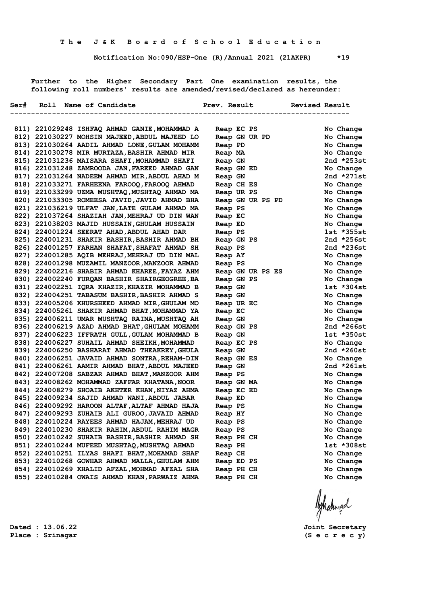**Notification No:090/HSP-One (R)/Annual 2021 (21AKPR) \*19**

 **Further to the Higher Secondary Part One examination results, the following roll numbers' results are amended/revised/declared as hereunder:**

|  | Ser# Roll Name of Candidate                                                                   |                       |  | Prev. Result Revised Result |                           |
|--|-----------------------------------------------------------------------------------------------|-----------------------|--|-----------------------------|---------------------------|
|  |                                                                                               |                       |  | -----------------           |                           |
|  | 811) 221029248 ISHFAQ AHMAD GANIE, MOHAMMAD A                                                 | Reap EC PS            |  |                             | No Change                 |
|  | 812) 221030227 MOHSIN MAJEED, ABDUL MAJEED LO                                                 |                       |  | Reap GN UR PD               | No Change                 |
|  | 813) 221030264 AADIL AHMAD LONE, GULAM MOHAMM                                                 | Reap PD               |  |                             | No Change                 |
|  | 814) 221030278 MIR MURTAZA, BASHIR AHMAD MIR                                                  | Reap MA               |  |                             | No Change                 |
|  | 815) 221031236 MAISARA SHAFI, MOHAMMAD SHAFI                                                  | Reap GN               |  |                             | 2nd $*253st$              |
|  | 816) 221031248 ZAMROODA JAN, FAREED AHMAD GAN                                                 | Reap GN ED            |  |                             | No Change                 |
|  | 817) 221031264 NADEEM AHMAD MIR, ABDUL AHAD M                                                 | Reap GN               |  |                             | 2nd $*271st$              |
|  | 818) 221033271 FARHEENA FAROOQ, FAROOQ AHMAD                                                  | Reap CH ES            |  |                             | No Change                 |
|  | 819) 221033299 UZMA MUSHTAQ, MUSHTAQ AHMAD MA                                                 | Reap UR PS            |  |                             | No Change                 |
|  | 820) 221033305 ROMEESA JAVID, JAVID AHMAD BHA                                                 | Reap GN UR PS PD      |  |                             | No Change                 |
|  | 821) 221036219 ULFAT JAN, LATE GULAM AHMAD MA                                                 | Reap PS               |  |                             | No Change                 |
|  | 822) 221037264 SHAZIAH JAN, MEHRAJ UD DIN WAN                                                 | Reap EC               |  |                             | No Change                 |
|  | 823) 221038203 MAJID HUSSAIN, GHULAM HUSSAIN                                                  | Reap ED               |  |                             | No Change                 |
|  | 824) 224001224 SEERAT AHAD, ABDUL AHAD DAR                                                    | Reap PS               |  |                             | $1st$ *355st              |
|  | 825) 224001231 SHAKIR BASHIR, BASHIR AHMAD BH                                                 | Reap GN PS            |  |                             | 2nd $*256st$              |
|  | 826) 224001257 FARHAN SHAFAT, SHAFAT AHMAD SH                                                 | Reap PS               |  |                             | 2nd $*236st$              |
|  | 827) 224001285 AQIB MEHRAJ, MEHRAJ UD DIN MAL                                                 | Reap AY               |  |                             | No Change                 |
|  | 828) 224001298 MUZAMIL MANZOOR, MANZOOR AHMAD                                                 | Reap PS               |  |                             | No Change                 |
|  | 829) 224002216 SHABIR AHMAD KHAREE, FAYAZ AHM                                                 |                       |  | Reap GN UR PS ES            | No Change                 |
|  | 830) 224002240 FURQAN BASHIR SHAIRGEOGREE, BA                                                 | Reap GN PS            |  |                             | No Change                 |
|  | 831) 224002251 IQRA KHAZIR, KHAZIR MOHAMMAD B                                                 | Reap GN               |  |                             | $1st * 304st$             |
|  | 832) 224004251 TABASUM BASHIR, BASHIR AHMAD S                                                 | Reap GN               |  |                             | No Change                 |
|  | 833) 224005206 KHURSHEED AHMAD MIR, GHULAM MO                                                 | Reap UR EC            |  |                             | No Change                 |
|  | 834) 224005261 SHAKIR AHMAD BHAT, MOHAMMAD YA                                                 | Reap EC               |  |                             | No Change                 |
|  | 835) 224006211 UMAR MUSHTAQ RAINA, MUSHTAQ AH                                                 | Reap GN               |  |                             | No Change                 |
|  | 836) 224006219 AZAD AHMAD BHAT, GHULAM MOHAMM                                                 | Reap GN PS            |  |                             | 2nd $*266st$              |
|  | 837) 224006223 IFFRATH GULL, GULAM MOHAMMAD B<br>838) 224006227 SUHAIL AHMAD SHEIKH, MOHAMMAD | Reap GN               |  |                             | 1st *350st                |
|  | 839) 224006250 BASHARAT AHMAD THEAKREY, GHULA                                                 | Reap EC PS            |  |                             | No Change<br>2nd $*260st$ |
|  | 840) 224006251 JAVAID AHMAD SONTRA, REHAM-DIN                                                 | Reap GN               |  |                             | No Change                 |
|  | 841) 224006261 AAMIR AHMAD BHAT, ABDUL MAJEED                                                 | Reap GN ES<br>Reap GN |  |                             | 2nd $*261st$              |
|  | 842) 224007208 SABZAR AHMAD BHAT, MANZOOR AHM                                                 | Reap PS               |  |                             | No Change                 |
|  | 843) 224008262 MOHAMMAD ZAFFAR KHATANA, NOOR                                                  | Reap GN MA            |  |                             | No Change                 |
|  | 844) 224008279 SHOAIB AKHTER KHAN, NIYAZ AHMA                                                 | Reap EC ED            |  |                             | No Change                 |
|  | 845) 224009234 SAJID AHMAD WANI, ABDUL JABAR                                                  | Reap ED               |  |                             | No Change                 |
|  | 846) 224009292 HAROON ALTAF, ALTAF AHMAD HAJA                                                 | Reap PS               |  |                             | No Change                 |
|  | 847) 224009293 ZUHAIB ALI GUROO, JAVAID AHMAD                                                 | Reap HY               |  |                             | No Change                 |
|  | 848) 224010224 RAYEES AHMAD HAJAM, MEHRAJ UD                                                  | Reap PS               |  |                             | No Change                 |
|  | 849) 224010230 SHAKIR RAHIM, ABDUL RAHIM MAGR                                                 | Reap PS               |  |                             | No Change                 |
|  | 850) 224010242 SUHAIB BASHIR, BASHIR AHMAD SH                                                 | Reap PH CH            |  |                             | No Change                 |
|  | 851) 224010244 MUFEED MUSHTAQ, MUSHTAQ AHMAD                                                  | Reap PH               |  |                             | $1st * 308st$             |
|  | 852) 224010251 ILYAS SHAFI BHAT, MOHAMAD SHAF                                                 | Reap CH               |  |                             | No Change                 |
|  | 853) 224010268 GOWHAR AHMAD MALLA, GHULAM AHM                                                 | Reap ED PS            |  |                             | No Change                 |
|  | 854) 224010269 KHALID AFZAL, MOHMAD AFZAL SHA                                                 | Reap PH CH            |  |                             | No Change                 |
|  | 855) 224010284 OWAIS AHMAD KHAN, PARWAIZ AHMA                                                 | Reap PH CH            |  |                             | No Change                 |
|  |                                                                                               |                       |  |                             |                           |

Ashatingal

**Dated : 13.06.22 Joint Secretary**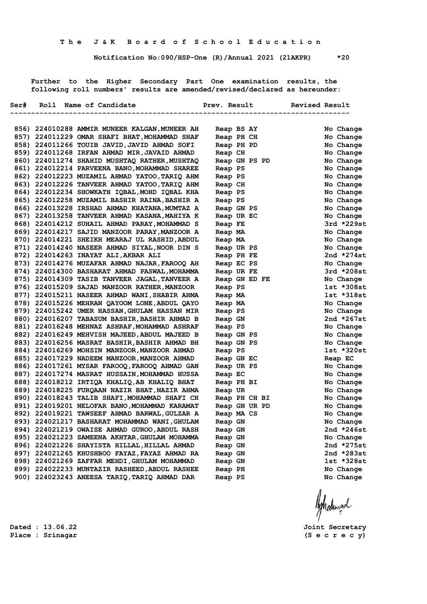**Notification No:090/HSP-One (R)/Annual 2021 (21AKPR) \*20**

 **Further to the Higher Secondary Part One examination results, the following roll numbers' results are amended/revised/declared as hereunder:**

|  | 856) 224010288 AMMIR MUNEER KALGAN, MUNEER AH                                                  |                    | Reap BS AY    |               | No Change               |
|--|------------------------------------------------------------------------------------------------|--------------------|---------------|---------------|-------------------------|
|  | 857) 224011229 OMAR SHAFI BHAT, MOHAMMAD SHAF                                                  |                    | Reap PH CH    |               | No Change               |
|  | 858) 224011266 TOUIB JAVID, JAVID AHMAD SOFI                                                   |                    | Reap PH PD    |               | No Change               |
|  | 859) 224011268 IRFAN AHMAD MIR, JAVAID AHMAD                                                   | Reap CH            |               |               | No Change               |
|  | 860) 224011274 SHAHID MUSHTAQ RATHER, MUSHTAQ                                                  |                    | Reap GN PS PD |               | No Change               |
|  | 861) 224012214 PARVEENA BANO, MOHAMMAD SHAREE                                                  | Reap PS            |               |               | No Change               |
|  | 862) 224012223 MUZAMIL AHMAD YATOO, TARIQ AHM                                                  | Reap PS            |               |               | No Change               |
|  | 863) 224012226 TANVEER AHMAD YATOO, TARIQ AHM                                                  | Reap CH            |               |               | No Change               |
|  | 864) 224012234 SHOWKATH IQBAL, MOHD IQBAL KHA                                                  | Reap PS            |               |               | No Change               |
|  | 865) 224012258 MUZAMIL BASHIR RAINA, BASHIR A                                                  | Reap PS            |               |               | No Change               |
|  | 866) 224013228 IRSHAD AHMAD KHATANA, MUMTAZ A                                                  |                    | Reap GN PS    |               | No Change               |
|  | 867) 224013258 TANVEER AHMAD KASANA, MAHIYA K                                                  |                    | Reap UR EC    |               | No Change               |
|  | 868) 224014212 SUHAIL AHMAD PARAY, MOHAMMAD S                                                  | Reap FE            |               |               | $3rd *229st$            |
|  | 869) 224014217 SAJID MANZOOR PARAY, MANZOOR A                                                  | Reap MA            |               |               | No Change               |
|  | 870) 224014221 SHEIKH MEARAJ UL RASHID, ABDUL                                                  | Reap MA            |               |               | No Change               |
|  | 871) 224014240 NASEER AHMAD SIYAL, NOOR DIN S                                                  |                    | Reap UR PS    |               | No Change               |
|  | 872) 224014263 INAYAT ALI, AKBAR ALI                                                           |                    | Reap PH FE    |               | 2nd $*274st$            |
|  | 873) 224014276 MUZAFAR AHMAD NAJAR, FAROOQ AH                                                  |                    | Reap EC PS    |               | No Change               |
|  | 874) 224014300 BASHARAT AHMAD PASWAL, MOHAMMA                                                  |                    | Reap UR FE    |               | 3rd *208st              |
|  | 875) 224014309 TASIB TANVEER JAGAL, TANVEER A                                                  |                    | Reap GN ED FE |               | No Change               |
|  | 876) 224015209 SAJAD MANZOOR RATHER, MANZOOR                                                   | Reap PS            |               |               | 1st *308st              |
|  | 877) 224015211 NASEER AHMAD WANI, SHABIR AHMA                                                  | Reap MA            |               |               | 1st *318st              |
|  | 878) 224015226 MEHRAN QAYOOM LONE, ABDUL QAYO                                                  | Reap MA            |               |               | No Change               |
|  | 879) 224015242 UMER HASSAN, GHULAM HASSAN MIR                                                  | Reap PS            |               |               | No Change               |
|  | 880) 224016207 TABASUM BASHIR, BASHIR AHMAD B                                                  | Reap GN            |               |               | 2nd $*267st$            |
|  | 881) 224016248 MEHNAZ ASHRAF, MOHAMMAD ASHRAF                                                  | Reap PS            |               |               | No Change               |
|  | 882) 224016249 MEHVISH MAJEED, ABDUL MAJEED B<br>883) 224016256 MASRAT BASHIR, BASHIR AHMAD BH |                    | Reap GN PS    |               | No Change               |
|  |                                                                                                |                    | Reap GN PS    |               | No Change<br>1st *320st |
|  | 884) 224016269 MOHSIN MANZOOR, MANZOOR AHMAD                                                   | Reap PS            |               |               |                         |
|  | 885) 224017229 NADEEM MANZOOR,MANZOOR AHMAD<br>886) 224017261 MYSAR FAROOQ, FAROOQ AHMAD GAN   |                    | Reap GN EC    |               | Reap EC<br>No Change    |
|  | 887) 224017274 MASRAT HUSSAIN, MOHAMMAD HUSSA                                                  |                    | Reap UR PS    |               |                         |
|  | 888) 224018212 IRTIQA KHALIQ, AB KHALIQ BHAT                                                   | Reap EC            | Reap PH BI    |               | No Change<br>No Change  |
|  | 889) 224018225 FURQAAN NAZIR BHAT, NAZIR AHMA                                                  |                    |               |               | No Change               |
|  | 890) 224018243 TALIB SHAFI, MOHAMMAD SHAFI CH                                                  | Reap UR            |               | Reap PH CH BI | No Change               |
|  | 891) 224019201 NELOFAR BANO, MOHAMMAD KARAMAT                                                  |                    | Reap GN UR PD |               | No Change               |
|  | 892) 224019221 TAWSEEF AHMAD BARWAL, GULZAR A                                                  |                    | Reap MA CS    |               | No Change               |
|  | 893) 224021217 BASHARAT MOHAMMAD WANI, GHULAM                                                  | Reap GN            |               |               | No Change               |
|  | 894) 224021219 OWAISE AHMAD GUROO, ABDUL RASH                                                  |                    |               |               | 2nd *246st              |
|  | 895) 224021223 SAMEENA AKHTAR, GHULAM MOHAMMA                                                  | Reap GN<br>Reap GN |               |               | No Change               |
|  | 896) 224021226 SHAYISTA HILLAL, HILLAL AHMAD                                                   | Reap GN            |               |               | 2nd $*275st$            |
|  | 897) 224021265 KHUSHBOO FAYAZ, FAYAZ AHMAD RA                                                  | Reap GN            |               |               | 2nd *283st              |
|  | 898) 224021269 ZAFFAR MEHDI, GHULAM MOHAMMAD                                                   | Reap GN            |               |               | 1st *328st              |
|  | 899) 224022233 MUNTAZIR RASHEED, ABDUL RASHEE                                                  | Reap PH            |               |               | No Change               |
|  | 900) 224023243 ANEESA TARIQ, TARIQ AHMAD DAR                                                   | Reap PS            |               |               | No Change               |
|  |                                                                                                |                    |               |               |                         |

Ashatingal

**Dated : 13.06.22 Joint Secretary Place : Srinagar (S e c r e c y)**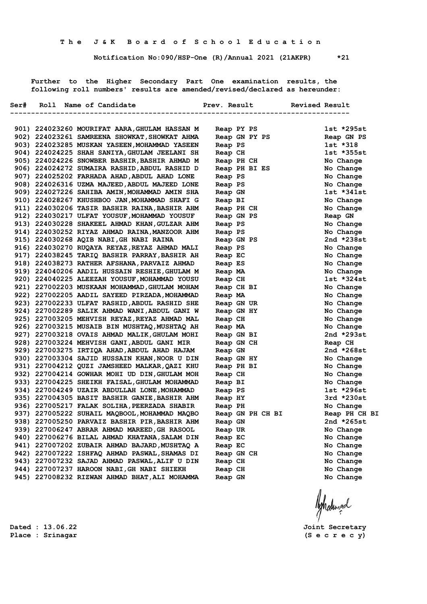**Notification No:090/HSP-One (R)/Annual 2021 (21AKPR) \*21**

 **Further to the Higher Secondary Part One examination results, the following roll numbers' results are amended/revised/declared as hereunder:**

| Ser# | Roll Name of Candidate                        | Prev. Result |            | <b>Revised Result</b> |               |
|------|-----------------------------------------------|--------------|------------|-----------------------|---------------|
|      |                                               |              |            |                       |               |
|      | 901) 224023260 MOURIFAT AARA, GHULAM HASSAN M |              | Reap PY PS |                       | $1st *295st$  |
|      | 902) 224023261 SAMREENA SHOWKAT, SHOWKAT AHMA |              |            | Reap GN PY PS         | Reap GN PS    |
|      | 903) 224023285 MUSKAN YASEEN, MOHAMMAD YASEEN | Reap PS      |            |                       | 1st *318      |
|      | 904) 224024225 SHAH SANIYA, GHULAM JEELANI SH | Reap CH      |            |                       | $1st$ *355st  |
|      | 905) 224024226 SNOWBER BASHIR, BASHIR AHMAD M |              | Reap PH CH |                       | No Change     |
|      | 906) 224024272 SUMAIRA RASHID, ABDUL RASHID D |              |            | Reap PH BI ES         | No Change     |
|      | 907) 224025202 FARHADA AHAD, ABDUL AHAD LONE  | Reap PS      |            |                       | No Change     |
|      | 908) 224026316 UZMA MAJEED, ABDUL MAJEED LONE | Reap PS      |            |                       | No Change     |
|      | 909) 224027226 SAHIBA AMIN, MOHAMMAD AMIN SHA | Reap GN      |            |                       | $1st *341st$  |
|      | 910) 224028267 KHUSHBOO JAN, MOHAMMAD SHAFI G | Reap BI      |            |                       | No Change     |
|      | 911) 224030206 TASIR BASHIR RAINA, BASHIR AHM |              | Reap PH CH |                       | No Change     |
|      | 912) 224030217 ULFAT YOUSUF, MOHAMMAD YOUSUF  |              | Reap GN PS |                       | Reap GN       |
|      | 913) 224030228 SHAKEEL AHMAD KHAN, GULZAR AHM | Reap PS      |            |                       | No Change     |
|      | 914) 224030252 RIYAZ AHMAD RAINA, MANZOOR AHM | Reap PS      |            |                       | No Change     |
|      | 915) 224030268 AQIB NABI, GH NABI RAINA       |              | Reap GN PS |                       | 2nd *238st    |
|      | 916) 224030270 RUQAYA REYAZ, REYAZ AHMAD MALI | Reap PS      |            |                       | No Change     |
|      | 917) 224038245 TARIQ BASHIR PARRAY, BASHIR AH | Reap EC      |            |                       | No Change     |
|      | 918) 224038273 RATHER AFSHANA, PARVAIZ AHMAD  | Reap ES      |            |                       | No Change     |
|      | 919) 224040206 AADIL HUSSAIN RESHIE, GHULAM M | Reap MA      |            |                       | No Change     |
|      | 920) 224040225 ALEEZAH YOUSUF, MOHAMMAD YOUSU | Reap CH      |            |                       | $1st$ *324st  |
|      | 921) 227002203 MUSKAAN MOHAMMAD, GHULAM MOHAM |              | Reap CH BI |                       | No Change     |
|      | 922) 227002205 AADIL SAYEED PIRZADA, MOHAMMAD | Reap MA      |            |                       | No Change     |
|      | 923) 227002233 ULFAT RASHID, ABDUL RASHID SHE |              | Reap GN UR |                       | No Change     |
|      | 924) 227002289 SALIK AHMAD WANI, ABDUL GANI W |              | Reap GN HY |                       | No Change     |
|      | 925) 227003205 MEHVISH REYAZ, REYAZ AHMAD MAL | Reap CH      |            |                       | No Change     |
|      | 926) 227003215 MUSAIB BIN MUSHTAQ,MUSHTAQ AH  | Reap MA      |            |                       | No Change     |
|      | 927) 227003218 OVAIS AHMAD MALIK, GHULAM MOHI |              | Reap GN BI |                       | 2nd $*293st$  |
|      | 928) 227003224 MEHVISH GANI, ABDUL GANI MIR   |              | Reap GN CH |                       | Reap CH       |
|      | 929) 227003275 IRTIQA AHAD, ABDUL AHAD HAJAM  | Reap GN      |            |                       | 2nd $*268st$  |
|      | 930) 227003304 SAJID HUSSAIN KHAN, NOOR U DIN |              | Reap GN HY |                       | No Change     |
|      | 931) 227004212 QUZI JAMSHEED MALKAR, QAZI KHU |              | Reap PH BI |                       | No Change     |
|      | 932) 227004214 GOWHAR MOHI UD DIN, GHULAM MOH | Reap CH      |            |                       | No Change     |
|      | 933) 227004225 SHEIKH FAISAL, GHULAM MOHAMMAD | Reap BI      |            |                       | No Change     |
|      | 934) 227004249 UZAIR ABDULLAH LONE, MOHAMMAD  | Reap PS      |            |                       | 1st *296st    |
|      | 935) 227004305 BASIT BASHIR GANIE, BASHIR AHM | Reap HY      |            |                       | $3rd *230st$  |
|      | 936) 227005217 FALAK SOLIHA, PEERZADA SHABIR  | Reap PH      |            |                       | No Change     |
|      | 937) 227005222 SUHAIL MAQBOOL, MOHAMMAD MAQBO |              |            | Reap GN PH CH BI      | Reap PH CH BI |
|      | 938) 227005250 PARVAIZ BASHIR PIR, BASHIR AHM | Reap GN      |            |                       | 2nd *265st    |
|      | 939) 227006247 ABRAR AHMAD MAREED, GH RASOOL  | Reap UR      |            |                       | No Change     |
|      | 940) 227006276 BILAL AHMAD KHATANA, SALAM DIN | Reap EC      |            |                       | No Change     |
|      | 941) 227007202 ZUBAIR AHMAD BAJARD, MUSHTAQ A | Reap EC      |            |                       | No Change     |
|      | 942) 227007222 ISHFAQ AHMAD PASWAL, SHAMAS DI |              | Reap GN CH |                       | No Change     |
|      | 943) 227007232 SAJAD AHMAD PASWAL, ALIF U DIN | Reap CH      |            |                       | No Change     |
|      | 944) 227007237 HAROON NABI, GH NABI SHIEKH    | Reap CH      |            |                       | No Change     |
|      | 945) 227008232 RIZWAN AHMAD BHAT, ALI MOHAMMA | Reap GN      |            |                       | No Change     |
|      |                                               |              |            |                       |               |

Ashatingal

**Dated : 13.06.22 Joint Secretary**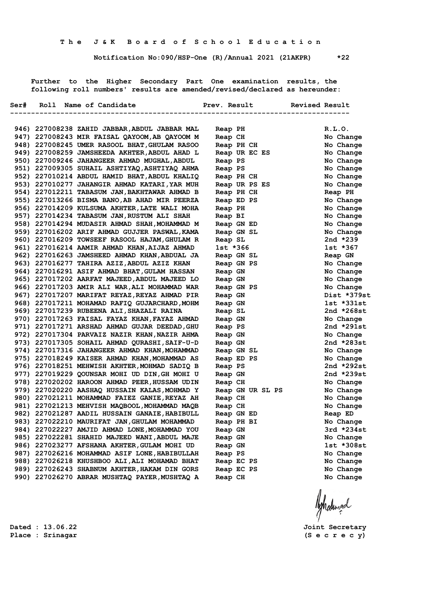**Notification No:090/HSP-One (R)/Annual 2021 (21AKPR) \*22**

 **Further to the Higher Secondary Part One examination results, the following roll numbers' results are amended/revised/declared as hereunder:**

|  | Ser# Roll Name of Candidate                                                                    | Prev. Result                      | <b>Revised Result</b>    |
|--|------------------------------------------------------------------------------------------------|-----------------------------------|--------------------------|
|  |                                                                                                | --------------------------------- |                          |
|  | 946) 227008238 ZAHID JABBAR, ABDUL JABBAR MAL                                                  | Reap PH                           | R.L.0.                   |
|  | 947) 227008243 MIR FAISAL QAYOOM, AB QAYOOM M                                                  | Reap CH                           | No Change                |
|  | 948) 227008245 UMER RASOOL BHAT, GHULAM RASOO                                                  | Reap PH CH                        | No Change                |
|  | 949) 227008259 JAMSHEEDA AKHTER, ABDUL AHAD L                                                  | Reap UR EC ES                     | No Change                |
|  | 950) 227009246 JAHANGEER AHMAD MUGHAL, ABDUL                                                   | Reap PS                           | No Change                |
|  | 951) 227009305 SUHAIL ASHTIYAQ, ASHTIYAQ AHMA                                                  | Reap PS                           | No Change                |
|  | 952) 227010214 ABDUL HAMID BHAT, ABDUL KHALIQ                                                  | Reap PH CH                        | No Change                |
|  | 953) 227010277 JAHANGIR AHMAD KATARI, YAR MUH                                                  | Reap UR PS ES                     | No Change                |
|  | 954) 227012211 TABASUM JAN, BAKHTAWAR AHMAD B                                                  | Reap PH CH                        | Reap PH                  |
|  | 955) 227013266 BISMA BANO, AB AHAD MIR PEERZA                                                  | Reap ED PS                        | No Change                |
|  | 956) 227014209 KULSUMA AKHTER, LATE WALI MOHA                                                  | Reap PH                           | No Change                |
|  | 957) 227014234 TABASUM JAN, RUSTUM ALI SHAH                                                    | Reap BI                           | No Change                |
|  | 958) 227014294 MUDASIR AHMAD SHAH, MOHAMMAD M                                                  | Reap GN ED                        | No Change                |
|  | 959) 227016202 ARIF AHMAD GUJJER PASWAL, KAMA                                                  | Reap GN SL                        | No Change                |
|  | 960) 227016209 TOWSEEF RASOOL HAJAM, GHULAM R                                                  | Reap SL                           | 2nd *239                 |
|  | 961) 227016214 AAMIR AHMAD KHAN, AIJAZ AHMAD                                                   | lst *366                          | 1st *367                 |
|  | 962) 227016263 JAMSHEED AHMAD KHAN, ABDUAL JA                                                  | Reap GN SL                        | Reap GN                  |
|  | 963) 227016277 TAHIRA AZIZ, ABDUL AZIZ KHAN                                                    | Reap GN PS                        | No Change                |
|  | 964) 227016291 ASIF AHMAD BHAT, GULAM HASSAN                                                   | Reap GN                           | No Change                |
|  | 965) 227017202 AARFAT MAJEED, ABDUL MAJEED LO                                                  | Reap GN                           | No Change                |
|  | 966) 227017203 AMIR ALI WAR, ALI MOHAMMAD WAR                                                  | Reap GN PS                        | No Change                |
|  | 967) 227017207 MARIFAT REYAZ, REYAZ AHMAD PIR                                                  | Reap GN                           | Dist *379st              |
|  | 968) 227017211 MOHAMAD RAFIQ GUJARCHARD, MOHM                                                  | Reap GN                           | 1st *331st               |
|  | 969) 227017239 RUBEENA ALI, SHAZALI RAINA                                                      | Reap SL                           | 2nd *268st               |
|  | 970) 227017263 FAISAL FAYAZ KHAN, FAYAZ AHMAD                                                  | Reap GN                           | No Change                |
|  | 971) 227017271 ARSHAD AHMAD GUJAR DEEDAD, GHU                                                  | Reap PS                           | 2nd *291st               |
|  | 972) 227017304 PARVAIZ NAZIR KHAN, NAZIR AHMA                                                  | Reap GN                           | No Change                |
|  | 973) 227017305 SOHAIL AHMAD QURASHI, SAIF-U-D                                                  | Reap GN                           | 2nd *283st               |
|  | 974) 227017316 JAHANGEER AHMAD KHAN, MOHAMMAD                                                  | Reap GN SL                        | No Change                |
|  | 975) 227018249 KAISER AHMAD KHAN, MOHAMMAD AS                                                  | Reap ED PS                        | No Change                |
|  | 976) 227018251 MEHWISH AKHTER, MOHMAD SADIQ B<br>977) 227019229 QOUNSAR MOHI UD DIN, GH MOHI U | Reap PS                           | 2nd *292st<br>2nd *239st |
|  | 978) 227020202 HAROON AHMAD PEER, HUSSAM UDIN                                                  | Reap GN                           |                          |
|  | 979) 227020220 AASHAQ HUSSAIN KALAS, MOHMAD Y                                                  | Reap CH                           | No Change                |
|  | 980) 227021211 MOHAMMAD FAIEZ GANIE, REYAZ AH                                                  | Reap GN UR SL PS<br>Reap CH       | No Change<br>No Change   |
|  | 981) 227021213 MEHVISH MAQBOOL, MOHAMMAD MAQB                                                  | Reap CH                           | No Change                |
|  | 982) 227021287 AADIL HUSSAIN GANAIE, HABIBULL                                                  | Reap GN ED                        | Reap ED                  |
|  | 983) 227022210 MAURIFAT JAN, GHULAM MOHAMMAD                                                   | Reap PH BI                        | No Change                |
|  | 984) 227022227 AMJID AHMAD LONE, MOHAMMAD YOU                                                  | Reap GN                           | 3rd *234st               |
|  | 985) 227022281 SHAHID MAJEED WANI, ABDUL MAJE                                                  | Reap GN                           | No Change                |
|  | 986) 227023277 AFSHANA AKHTER, GULAM MOHI UD                                                   | Reap GN                           | 1st *308st               |
|  | 987) 227026216 MOHAMMAD ASIF LONE, HABIBULLAH                                                  | Reap PS                           | No Change                |
|  | 988) 227026218 KHUSHBOO ALI, ALI MOHAMAD BHAT                                                  | Reap EC PS                        | No Change                |
|  | 989) 227026243 SHABNUM AKHTER, HAKAM DIN GORS                                                  | Reap EC PS                        | No Change                |
|  | 990) 227026270 ABRAR MUSHTAQ PAYER, MUSHTAQ A                                                  | Reap CH                           | No Change                |
|  |                                                                                                |                                   |                          |
|  |                                                                                                |                                   |                          |

Ashalingd

**Dated : 13.06.22 Joint Secretary**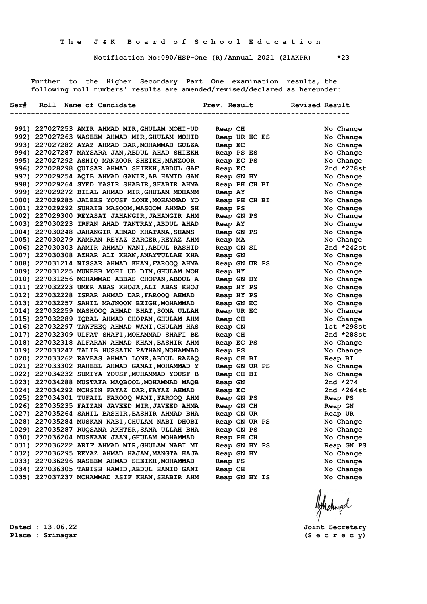**Notification No:090/HSP-One (R)/Annual 2021 (21AKPR) \*23**

 **Further to the Higher Secondary Part One examination results, the following roll numbers' results are amended/revised/declared as hereunder:**

|  | Ser# Roll Name of Candidate Manuel Prev. Result Nevised Result                                   |                          |                               |
|--|--------------------------------------------------------------------------------------------------|--------------------------|-------------------------------|
|  |                                                                                                  |                          | ----------------------------- |
|  | 991) 227027253 AMIR AHMAD MIR, GHULAM MOHI-UD                                                    |                          | No Change                     |
|  | 992) 227027263 WASEEM AHMAD MIR, GHULAM MOHID                                                    | Reap CH<br>Reap UR EC ES | No Change                     |
|  | 993) 227027282 AYAZ AHMAD DAR, MOHAMMAD GULZA                                                    | Reap EC                  | No Change                     |
|  | 994) 227027287 MAYSARA JAN, ABDUL AHAD SHIEKH                                                    | Reap PS ES               | No Change                     |
|  | 995) 227027292 ASHIQ MANZOOR SHEIKH, MANZOOR                                                     | Reap EC PS               | No Change                     |
|  | 996) 227028298 QUISAR AHMAD SHIEKH, ABDUL GAF                                                    | Reap EC                  | 2nd $*278st$                  |
|  | 997) 227029254 AQIB AHMAD GANIE, AB HAMID GAN                                                    | Reap GN HY               | No Change                     |
|  | 998) 227029264 SYED YASIR SHABIR, SHABIR AHMA                                                    | Reap PH CH BI            | No Change                     |
|  | 999) 227029272 BILAL AHMAD MIR, GHULAM MOHAMM                                                    | Reap AY                  | No Change                     |
|  | 1000) 227029285 JALEES YOUSF LONE, MOHAMMAD YO                                                   | Reap PH CH BI            | No Change                     |
|  | 1001) 227029292 SUHAIB MASOOM, MASOOM AHMAD SH                                                   | Reap PS                  | No Change                     |
|  | 1002) 227029300 REYASAT JAHANGIR, JAHANGIR AHM                                                   | Reap GN PS               | No Change                     |
|  | 1003) 227030223 IRFAN AHAD TANTRAY, ABDUL AHAD                                                   | Reap AY                  | No Change                     |
|  | 1004) 227030248 JAHANGIR AHMAD KHATANA, SHAMS-                                                   | Reap GN PS               | No Change                     |
|  | 1005) 227030279 KAMRAN REYAZ ZARGER, REYAZ AHM                                                   | Reap MA                  | No Change                     |
|  | 1006) 227030303 AAMIR AHMAD WANI, ABDUL RASHID                                                   | Reap GN SL               | 2nd $*242st$                  |
|  | 1007) 227030308 AZHAR ALI KHAN, ANAYTULLAH KHA                                                   | Reap GN                  | No Change                     |
|  | 1008) 227031214 NISSAR AHMAD KHAN, FAROOQ AHMA                                                   | Reap GN UR PS            | No Change                     |
|  | 1009) 227031225 MUNEEB MOHI UD DIN, GHULAM MOH                                                   | Reap HY                  | No Change                     |
|  | 1010) 227031256 MOHAMMAD ABBAS CHOPAN, ABDUL A                                                   | Reap GN HY               | No Change                     |
|  | 1011) 227032223 UMER ABAS KHOJA, ALI ABAS KHOJ                                                   | Reap HY PS               | No Change                     |
|  | 1012) 227032228 ISRAR AHMAD DAR, FAROOQ AHMAD                                                    | Reap HY PS               | No Change                     |
|  | 1013) 227032257 SAHIL MAJNOON BEIGH, MOHAMMAD                                                    | Reap GN EC               | No Change                     |
|  | 1014) 227032259 MASHOOQ AHMAD BHAT, SONA ULLAH                                                   | Reap UR EC               | No Change                     |
|  | 1015) 227032289 IQBAL AHMAD CHOPAN, GHULAM AHM                                                   | Reap CH                  | No Change                     |
|  | 1016) 227032297 TAWFEEQ AHMAD WANI, GHULAM HAS                                                   | Reap GN                  | 1st *298st                    |
|  | 1017) 227032309 ULFAT SHAFI, MOHAMMAD SHAFI BE                                                   | Reap CH                  | 2nd $*288st$                  |
|  | 1018) 227032318 ALFARAN AHMAD KHAN, BASHIR AHM                                                   | Reap EC PS               | No Change                     |
|  | 1019) 227033247 TALIB HUSSAIN PATHAN, MOHAMMAD                                                   | Reap PS                  | No Change                     |
|  | 1020) 227033262 RAYEAS AHMAD LONE, ABDUL RAZAQ                                                   | Reap CH BI               | Reap BI                       |
|  | 1021) 227033302 RAHEEL AHMAD GANAI, MOHAMMAD Y                                                   | Reap GN UR PS            | No Change                     |
|  | 1022) 227034232 SUMIYA YOUSF, MUHAMMAD YOUSF B                                                   | Reap CH BI               | No Change                     |
|  | 1023) 227034288 MUSTAFA MAQBOOL, MOHAMMAD MAQB                                                   | Reap GN                  | 2nd $*274$                    |
|  | 1024) 227034292 MOHSIN FAYAZ DAR, FAYAZ AHMAD<br>1025) 227034301 TUFAIL FAROOQ WANI, FAROOQ AHM  | Reap EC                  | 2nd $*264st$                  |
|  |                                                                                                  | Reap GN PS               | Reap PS                       |
|  | 1026) 227035235 FAIZAN JAVEED MIR, JAVEED AHMA<br>1027) 227035264 SAHIL BASHIR, BASHIR AHMAD BHA | Reap GN CH<br>Reap GN UR | Reap GN<br>Reap UR            |
|  | 1028) 227035284 MUSKAN NABI, GHULAM NABI DHOBI                                                   | Reap GN UR PS            | No Change                     |
|  | 1029) 227035287 RUQSANA AKHTER, SANA ULLAH BHA                                                   | Reap GN PS               | No Change                     |
|  | 1030) 227036204 MUSKAAN JAAN, GHULAM MOHAMMAD                                                    | Reap PH CH               | No Change                     |
|  | 1031) 227036222 ARIF AHMAD MIR, GHULAM NABI MI                                                   | Reap GN HY PS            | Reap GN PS                    |
|  | 1032) 227036295 REYAZ AHMAD HAJAM, MANGTA HAJA                                                   | Reap GN HY               | No Change                     |
|  | 1033) 227036296 NASEEM AHMAD SHEIKH, MOHAMMAD                                                    | Reap PS                  | No Change                     |
|  | 1034) 227036305 TABISH HAMID, ABDUL HAMID GANI                                                   | Reap CH                  | No Change                     |
|  | 1035) 227037237 MOHAMMAD ASIF KHAN, SHABIR AHM                                                   | Reap GN HY IS            | No Change                     |
|  |                                                                                                  |                          |                               |
|  |                                                                                                  |                          |                               |

Ashadinad

**Dated : 13.06.22 Joint Secretary**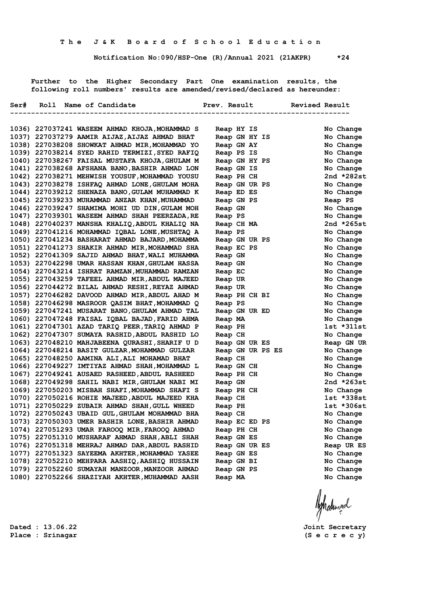**Notification No:090/HSP-One (R)/Annual 2021 (21AKPR) \*24**

 **Further to the Higher Secondary Part One examination results, the following roll numbers' results are amended/revised/declared as hereunder:**

|  | Ser# Roll Name of Candidate                    |         |               |                  | Prev. Result Revised Result |                |
|--|------------------------------------------------|---------|---------------|------------------|-----------------------------|----------------|
|  |                                                |         |               |                  | --------------------        |                |
|  | 1036) 227037241 WASEEM AHMAD KHOJA, MOHAMMAD S |         | Reap HY IS    |                  |                             | No Change      |
|  | 1037) 227037279 AAMIR AIJAZ, AIJAZ AHMAD BHAT  |         | Reap GN HY IS |                  |                             | No Change      |
|  | 1038) 227038208 SHOWKAT AHMAD MIR, MOHAMMAD YO |         | Reap GN AY    |                  |                             | No Change      |
|  | 1039) 227038214 SYED RAHID TERMIZI, SYED RAFIQ |         | Reap PS IS    |                  |                             | No Change      |
|  | 1040) 227038267 FAISAL MUSTAFA KHOJA, GHULAM M |         |               | Reap GN HY PS    |                             | No Change      |
|  | 1041) 227038268 AFSHANA BANO, BASHIR AHMAD LON |         | Reap GN IS    |                  |                             | No Change      |
|  | 1042) 227038271 MEHWISH YOUSUF, MOHAMMAD YOUSU |         | Reap PH CH    |                  |                             | 2nd *282st     |
|  | 1043) 227038278 ISHFAQ AHMAD LONE, GHULAM MOHA |         |               | Reap GN UR PS    |                             | No Change      |
|  | 1044) 227039212 SHENAZA BANO, GULAM MUHAMMAD K |         | Reap ED ES    |                  |                             | No Change      |
|  | 1045) 227039233 MUHAMMAD ANZAR KHAN, MUHAMMAD  |         | Reap GN PS    |                  |                             | Reap PS        |
|  | 1046) 227039247 SHAMIMA MOHI UD DIN, GULAM MOH | Reap GN |               |                  |                             | No Change      |
|  | 1047) 227039301 WASEEM AHMAD SHAH PEERZADA, RE | Reap PS |               |                  |                             | No Change      |
|  | 1048) 227040237 MANSHA KHALIQ, ABDUL KHALIQ NA |         | Reap CH MA    |                  |                             | 2nd $*265st$   |
|  | 1049) 227041216 MOHAMMAD IQBAL LONE, MUSHTAQ A | Reap PS |               |                  |                             | No Change      |
|  | 1050) 227041234 BASHARAT AHMAD BAJARD, MOHAMMA |         |               | Reap GN UR PS    |                             | No Change      |
|  | 1051) 227041273 SHAKIR AHMAD MIR, MOHAMMAD SHA |         | Reap EC PS    |                  |                             | No Change      |
|  | 1052) 227041309 SAJID AHMAD BHAT, WALI MUHAMMA | Reap GN |               |                  |                             | No Change      |
|  | 1053) 227042298 UMAR HASSAN KHAN, GHULAM HASSA | Reap GN |               |                  |                             | No Change      |
|  | 1054) 227043214 ISHRAT RAMZAN, MUHAMMAD RAMZAN | Reap EC |               |                  |                             | No Change      |
|  | 1055) 227043259 TAFEEL AHMAD MIR, ABDUL MAJEED | Reap UR |               |                  |                             | No Change      |
|  | 1056) 227044272 BILAL AHMAD RESHI, REYAZ AHMAD | Reap UR |               |                  |                             | No Change      |
|  | 1057) 227046282 DAVOOD AHMAD MIR, ABDUL AHAD M |         |               | Reap PH CH BI    |                             | No Change      |
|  | 1058) 227046298 MASROOR QASIM BHAT, MOHAMMAD Q | Reap PS |               |                  |                             | No Change      |
|  | 1059) 227047241 MUSARAT BANO, GHULAM AHMAD TAL |         |               | Reap GN UR ED    |                             | No Change      |
|  | 1060) 227047248 FAISAL IQBAL BAJAD, FARID AHMA | Reap MA |               |                  |                             | No Change      |
|  | 1061) 227047301 AZAD TARIQ PEER, TARIQ AHMAD P | Reap PH |               |                  |                             | 1st *311st     |
|  | 1062) 227047307 SUMAYA RASHID, ABDUL RASHID LO | Reap CH |               |                  |                             | No Change      |
|  | 1063) 227048210 MAHJABEENA QURASHI, SHARIF U D |         | Reap GN UR ES |                  |                             | Reap GN UR     |
|  | 1064) 227048214 BASIT GULZAR, MOHAMMAD GULZAR  |         |               | Reap GN UR PS ES |                             | No Change      |
|  | 1065) 227048250 AAMINA ALI, ALI MOHAMAD BHAT   | Reap CH |               |                  |                             | No Change      |
|  | 1066) 227049227 IMTIYAZ AHMAD SHAH, MOHAMMAD L |         | Reap GN CH    |                  |                             | No Change      |
|  | 1067) 227049241 AUSAED RASHEED, ABDUL RASHEED  |         | Reap PH CH    |                  |                             | No Change      |
|  | 1068) 227049298 SAHIL NABI MIR, GHULAM NABI MI | Reap GN |               |                  |                             | 2nd $*263st$   |
|  | 1069) 227050203 MISBAH SHAFI, MOHAMMAD SHAFI S |         | Reap PH CH    |                  |                             | No Change      |
|  | 1070) 227050216 ROHIE MAJEED, ABDUL MAJEED KHA | Reap CH |               |                  |                             | $1st$ $*338st$ |
|  | 1071) 227050229 ZUBAIR AHMAD SHAH, GULL WHEED  | Reap PH |               |                  |                             | $1st * 306st$  |
|  | 1072) 227050243 UBAID GUL, GHULAM MOHAMMAD BHA | Reap CH |               |                  |                             | No Change      |
|  | 1073) 227050303 UMER BASHIR LONE, BASHIR AHMAD |         | Reap EC ED PS |                  |                             | No Change      |
|  | 1074) 227051293 UMAR FAROOQ MIR, FAROOQ AHMAD  |         | Reap PH CH    |                  |                             | No Change      |
|  | 1075) 227051310 MUSHARAF AHMAD SHAH, ABLI SHAH |         | Reap GN ES    |                  |                             | No Change      |
|  | 1076) 227051318 MEHRAJ AHMAD DAR, ABDUL RASHID |         | Reap GN UR ES |                  |                             | Reap UR ES     |
|  | 1077) 227051323 SAYEEMA AKHTER, MOHAMMAD YASEE |         | Reap GN ES    |                  |                             | No Change      |
|  | 1078) 227052210 MEHPARA AASHIQ, AASHIQ HUSSAIN |         | Reap GN BI    |                  |                             | No Change      |
|  | 1079) 227052260 SUMAYAH MANZOOR, MANZOOR AHMAD |         | Reap GN PS    |                  |                             | No Change      |
|  | 1080) 227052266 SHAZIYAH AKHTER, MUHAMMAD AASH | Reap MA |               |                  |                             | No Change      |
|  |                                                |         |               |                  |                             |                |

**Dated : 13.06.22 Joint Secretary Place : Srinagar (S e c r e c y)**

Ashalingd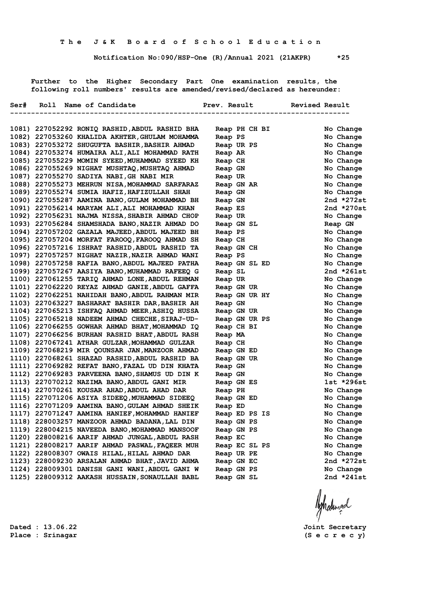**Notification No:090/HSP-One (R)/Annual 2021 (21AKPR) \*25**

 **Further to the Higher Secondary Part One examination results, the following roll numbers' results are amended/revised/declared as hereunder:**

|  | Ser# Roll Name of Candidate                    |               | Prev. Result  | <b>Revised Result</b><br>---------------------------- |              |
|--|------------------------------------------------|---------------|---------------|-------------------------------------------------------|--------------|
|  |                                                |               |               |                                                       |              |
|  | 1081) 227052292 RONIQ RASHID, ABDUL RASHID BHA |               | Reap PH CH BI |                                                       | No Change    |
|  | 1082) 227053260 KHALIDA AKHTER, GHULAM MOHAMMA | Reap PS       |               |                                                       | No Change    |
|  | 1083) 227053272 SHUGUFTA BASHIR, BASHIR AHMAD  | Reap UR PS    |               |                                                       | No Change    |
|  | 1084) 227053274 HUMAIRA ALI, ALI MOHAMMAD RATH | Reap AR       |               |                                                       | No Change    |
|  | 1085) 227055229 MOMIN SYEED, MUHAMMAD SYEED KH | Reap CH       |               |                                                       | No Change    |
|  | 1086) 227055269 NIGHAT MUSHTAQ, MUSHTAQ AHMAD  | Reap GN       |               |                                                       | No Change    |
|  | 1087) 227055270 SADIYA NABI, GH NABI MIR       | Reap UR       |               |                                                       | No Change    |
|  | 1088) 227055273 MEHRUN NISA, MOHAMMAD SARFARAZ | Reap GN AR    |               |                                                       | No Change    |
|  | 1089) 227055274 SUMIA HAFIZ, HAFIZULLAH SHAH   | Reap GN       |               |                                                       | No Change    |
|  | 1090) 227055287 AAMINA BANO, GULAM MOHAMMAD BH | Reap GN       |               |                                                       | 2nd $*272st$ |
|  | 1091) 227056214 MARYAM ALI, ALI MOHAMMAD KHAN  | Reap ES       |               |                                                       | 2nd *270st   |
|  | 1092) 227056231 NAJMA NISSA, SHABIR AHMAD CHOP | Reap UR       |               |                                                       | No Change    |
|  | 1093) 227056284 SHAMSHADA BANO, NAZIR AHMAD DO | Reap GN SL    |               |                                                       | Reap GN      |
|  | 1094) 227057202 GAZALA MAJEED, ABDUL MAJEED BH | Reap PS       |               |                                                       | No Change    |
|  | 1095) 227057204 MORFAT FAROOQ, FAROOQ AHMAD SH | Reap CH       |               |                                                       | No Change    |
|  | 1096) 227057216 ISHRAT RASHID, ABDUL RASHID TA | Reap GN CH    |               |                                                       | No Change    |
|  | 1097) 227057257 NIGHAT NAZIR, NAZIR AHMAD WANI | Reap PS       |               |                                                       | No Change    |
|  | 1098) 227057258 RAFIA BANO, ABDUL MAJEED PATHA |               | Reap GN SL ED |                                                       | No Change    |
|  | 1099) 227057267 AASIYA BANO, MUHAMMAD RAFEEQ G | Reap SL       |               |                                                       | 2nd *261st   |
|  | 1100) 227061255 TARIQ AHMAD LONE, ABDUL REHMAN | Reap UR       |               |                                                       | No Change    |
|  | 1101) 227062220 REYAZ AHMAD GANIE, ABDUL GAFFA | Reap GN UR    |               |                                                       | No Change    |
|  | 1102) 227062251 NAHIDAH BANO, ABDUL RAHMAN MIR | Reap GN UR HY |               |                                                       | No Change    |
|  | 1103) 227063227 BASHARAT BASHIR DAR, BASHIR AH | Reap GN       |               |                                                       | No Change    |
|  | 1104) 227065213 ISHFAQ AHMAD MEER, ASHIQ HUSSA | Reap GN UR    |               |                                                       | No Change    |
|  | 1105) 227065218 NADEEM AHMAD CHECHE, SIRAJ-UD- |               | Reap GN UR PS |                                                       | No Change    |
|  | 1106) 227066255 GOWHAR AHMAD BHAT, MOHAMMAD IQ | Reap CH BI    |               |                                                       | No Change    |
|  | 1107) 227066256 BURHAN RASHID BHAT, ABDUL RASH | Reap MA       |               |                                                       | No Change    |
|  | 1108) 227067241 ATHAR GULZAR, MOHAMMAD GULZAR  | Reap CH       |               |                                                       | No Change    |
|  | 1109) 227068219 MIR QOUNSAR JAN, MANZOOR AHMAD | Reap GN ED    |               |                                                       | No Change    |
|  | 1110) 227068261 SHAZAD RASHID, ABDUL RASHID BA | Reap GN UR    |               |                                                       | No Change    |
|  | 1111) 227069282 REFAT BANO, FAZAL UD DIN KHATA | Reap GN       |               |                                                       | No Change    |
|  | 1112) 227069283 PARVEENA BANO, SHAMUS UD DIN K | Reap GN       |               |                                                       | No Change    |
|  | 1113) 227070212 NAZIMA BANO, ABDUL GANI MIR    | Reap GN ES    |               |                                                       | 1st *296st   |
|  | 1114) 227070261 KOUSAR AHAD, ABDUL AHAD DAR    | Reap PH       |               |                                                       | No Change    |
|  | 1115) 227071206 ASIYA SIDEEQ, MUHAMMAD SIDEEQ  | Reap GN ED    |               |                                                       | No Change    |
|  | 1116) 227071209 AAMINA BANO, GULAM AHMAD SHEIK | Reap ED       |               |                                                       | No Change    |
|  | 1117) 227071247 AAMINA HANIEF, MOHAMMAD HANIEF | Reap ED PS IS |               |                                                       | No Change    |
|  | 1118) 228003257 MANZOOR AHMAD BADANA, LAL DIN  | Reap GN PS    |               |                                                       | No Change    |
|  | 1119) 228004215 NAVEEDA BANO, MOHAMMAD MANSOOF | Reap GN PS    |               |                                                       | No Change    |
|  | 1120) 228008216 AARIF AHMAD JUNGAL, ABDUL RASH | Reap EC       |               |                                                       | No Change    |
|  | 1121) 228008217 AARIF AHMAD PASWAL, FAQEER MUH | Reap EC SL PS |               |                                                       | No Change    |
|  | 1122) 228008307 OWAIS HILAL, HILAL AHMAD DAR   | Reap UR PE    |               |                                                       | No Change    |
|  | 1123) 228009230 ARSALAN AHMAD BHAT, JAVID AHMA | Reap GN EC    |               |                                                       | 2nd *272st   |
|  | 1124) 228009301 DANISH GANI WANI, ABDUL GANI W | Reap GN PS    |               |                                                       | No Change    |
|  | 1125) 228009312 AAKASH HUSSAIN, SONAULLAH BABL | Reap GN SL    |               |                                                       | 2nd *241st   |
|  |                                                |               |               |                                                       |              |
|  |                                                |               |               |                                                       |              |
|  |                                                |               |               |                                                       | Ashatingal   |
|  |                                                |               |               |                                                       |              |

**Place : Srinagar (S e c r e c y)**

**Dated : 13.06.22 Joint Secretary**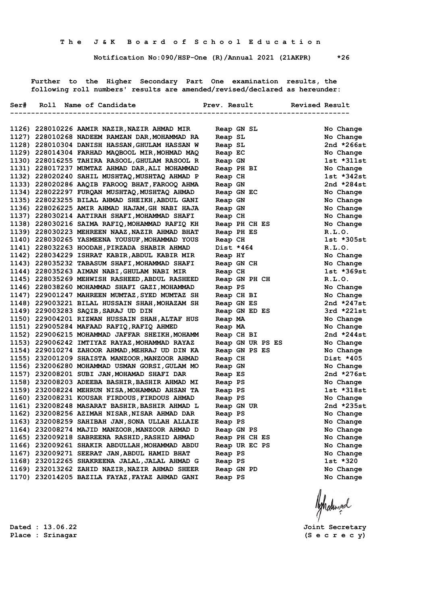**Notification No:090/HSP-One (R)/Annual 2021 (21AKPR) \*26**

 **Further to the Higher Secondary Part One examination results, the following roll numbers' results are amended/revised/declared as hereunder:**

|  | Ser# Roll Name of Candidate                    |            |               | Prev. Result Revised Result |                |
|--|------------------------------------------------|------------|---------------|-----------------------------|----------------|
|  | 1126) 228010226 AAMIR NAZIR, NAZIR AHMAD MIR   | Reap GN SL |               |                             | No Change      |
|  | 1127) 228010268 NADEEM RAMZAN DAR, MOHAMMAD RA | Reap SL    |               |                             | No Change      |
|  | 1128) 228010304 DANISH HASSAN, GHULAM HASSAN W | Reap SL    |               |                             | 2nd $*266st$   |
|  | 1129) 228014304 FARHAD MAQBOOL MIR, MOHMAD MAQ | Reap EC    |               |                             | No Change      |
|  | 1130) 228016255 TAHIRA RASOOL, GHULAM RASOOL R | Reap GN    |               |                             | 1st *311st     |
|  | 1131) 228017237 MUMTAZ AHMAD DAR, ALI MOHAMMAD | Reap PH BI |               |                             | No Change      |
|  | 1132) 228020240 SAHIL MUSHTAQ, MUSHTAQ AHMAD P | Reap CH    |               |                             | $1st$ *342st   |
|  | 1133) 228020286 AAQIB FAROOQ BHAT, FAROOQ AHMA | Reap GN    |               |                             | 2nd $*284st$   |
|  | 1134) 228022297 FURQAN MUSHTAQ, MUSHTAQ AHMAD  | Reap GN EC |               |                             | No Change      |
|  | 1135) 228023255 BILAL AHMAD SHEIKH, ABDUL GANI | Reap GN    |               |                             | No Change      |
|  | 1136) 228026225 AMIR AHMAD HAJAM, GH NABI HAJA | Reap GN    |               |                             | No Change      |
|  | 1137) 228030214 AATIRAH SHAFI, MOHAMMAD SHAFI  | Reap CH    |               |                             | No Change      |
|  | 1138) 228030216 SAIMA RAFIQ, MOHAMMAD RAFIQ KH |            | Reap PH CH ES |                             | No Change      |
|  | 1139) 228030223 MEHREEN NAAZ, NAZIR AHMAD BHAT | Reap PH ES |               |                             | R.L.0.         |
|  | 1140) 228030265 YASMEENA YOUSUF, MOHAMMAD YOUS | Reap CH    |               |                             | $1st$ $*305st$ |
|  | 1141) 228032263 HOODAH, PIRZADA SHABIR AHMAD   | Dist *464  |               |                             | R.L.O.         |
|  | 1142) 228034229 ISHRAT KABIR, ABDUL KABIR MIR  | Reap HY    |               |                             | No Change      |
|  | 1143) 228035232 TABASUM SHAFI, MOHAMMAD SHAFI  | Reap GN CH |               |                             | No Change      |
|  | 1144) 228035263 AIMAN NABI, GHULAM NABI MIR    | Reap CH    |               |                             | $1st * 369st$  |
|  | 1145) 228035269 MEHWISH RASHEED, ABDUL RASHEED |            | Reap GN PH CH |                             | R.L.O.         |
|  | 1146) 228038260 MOHAMMAD SHAFI GAZI, MOHAMMAD  | Reap PS    |               |                             | No Change      |
|  | 1147) 229001247 MAHREEN MUMTAZ, SYED MUMTAZ SH | Reap CH BI |               |                             | No Change      |
|  | 1148) 229003221 BILAL HUSSAIN SHAH, MOHAZAM SH | Reap GN ES |               |                             | 2nd $*247st$   |
|  | 1149) 229003283 SAQIB, SARAJ UD DIN            |            | Reap GN ED ES |                             | $3rd *221st$   |
|  | 1150) 229004201 RIZWAN HUSSAIN SHAH, ALTAF HUS | Reap MA    |               |                             | No Change      |
|  | 1151) 229005284 MAFAAD RAFIQ, RAFIQ AHMED      | Reap MA    |               |                             | No Change      |
|  | 1152) 229006215 MOHAMMAD JAFFAR SHEIKH, MOHAMM | Reap CH BI |               |                             | 2nd $*244st$   |
|  | 1153) 229006242 IMTIYAZ RAYAZ, MOHAMMAD RAYAZ  |            |               | Reap GN UR PS ES            | No Change      |
|  | 1154) 229010274 ZAHOOR AHMAD, MEHRAJ UD DIN KA |            | Reap GN PS ES |                             | No Change      |
|  | 1155) 232001209 SHAISTA MANZOOR, MANZOOR AHMAD | Reap CH    |               |                             | Dist *405      |
|  | 1156) 232006280 MOHAMMAD USMAN GORSI, GULAM MO | Reap GN    |               |                             | No Change      |
|  | 1157) 232008201 SUBI JAN, MOHAMAD SHAFI DAR    | Reap ES    |               |                             | 2nd $*276st$   |
|  | 1158) 232008203 ADEEBA BASHIR, BASHIR AHMAD MI | Reap PS    |               |                             | No Change      |
|  | 1159) 232008224 MEHRUN NISA, MOHAMMAD AHSAN TA | Reap PS    |               |                             | $1st * 318st$  |
|  | 1160) 232008231 KOUSAR FIRDOUS, FIRDOUS AHMAD  | Reap PS    |               |                             | No Change      |
|  | 1161) 232008248 MASARAT BASHIR, BASHIR AHMAD L | Reap GN UR |               |                             | 2nd $*235st$   |
|  | 1162) 232008256 AZIMAH NISAR, NISAR AHMAD DAR  | Reap PS    |               |                             | No Change      |
|  | 1163) 232008259 SAHIBAH JAN, SONA ULLAH ALLAIE | Reap PS    |               |                             | No Change      |
|  | 1164) 232008274 MAJID MANZOOR, MANZOOR AHMAD D | Reap GN PS |               |                             | No Change      |
|  | 1165) 232009218 SABREENA RASHID, RASHID AHMAD  |            | Reap PH CH ES |                             | No Change      |
|  | 1166) 232009261 SHAKIR ABDULLAH, MOHAMMAD ABDU |            | Reap UR EC PS |                             | No Change      |
|  | 1167) 232009271 SEERAT JAN, ABDUL HAMID BHAT   | Reap PS    |               |                             | No Change      |
|  | 1168) 232012265 SHAKREENA JALAL, JALAL AHMAD G | Reap PS    |               |                             | 1st *320       |
|  | 1169) 232013262 ZAHID NAZIR, NAZIR AHMAD SHEER | Reap GN PD |               |                             | No Change      |
|  | 1170) 232014205 BAZILA FAYAZ, FAYAZ AHMAD GANI | Reap PS    |               |                             | No Change      |

**Place : Srinagar (S e c r e c y)**

**Dated : 13.06.22 Joint Secretary**

Ashalingal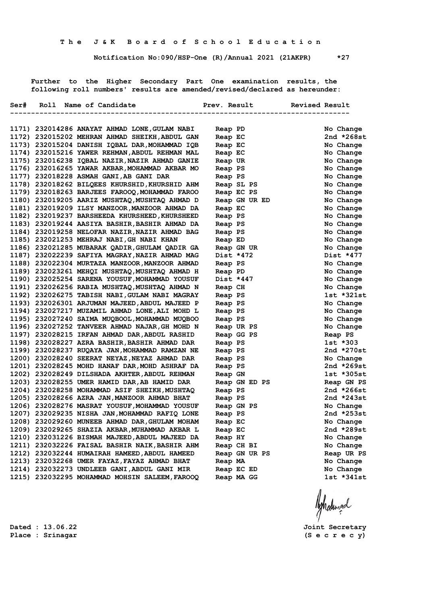**Notification No:090/HSP-One (R)/Annual 2021 (21AKPR) \*27**

 **Further to the Higher Secondary Part One examination results, the following roll numbers' results are amended/revised/declared as hereunder:**

|  | Ser# Roll Name of Candidate                    |               | Prev. Result Revised Result |               |
|--|------------------------------------------------|---------------|-----------------------------|---------------|
|  | --------------------------------               |               |                             |               |
|  | 1171) 232014286 ANAYAT AHMAD LONE, GULAM NABI  | Reap PD       |                             | No Change     |
|  | 1172) 232015202 MEHRAN AHMAD SHEIKH, ABDUL GAN | Reap EC       |                             | 2nd $*268st$  |
|  | 1173) 232015204 DANISH IQBAL DAR, MOHAMMAD IQB | Reap EC       |                             | No Change     |
|  | 1174) 232015216 YAWER REHMAN, ABDUL REHMAN MAL | Reap EC       |                             | No Change     |
|  | 1175) 232016238 IQBAL NAZIR, NAZIR AHMAD GANIE | Reap UR       |                             | No Change     |
|  | 1176) 232016265 YAWAR AKBAR, MOHAMMAD AKBAR MO | Reap PS       |                             | No Change     |
|  | 1177) 232018228 ASMAH GANI, AB GANI DAR        | Reap PS       |                             | No Change     |
|  | 1178) 232018262 BILQEES KHURSHID, KHURSHID AHM | Reap SL PS    |                             | No Change     |
|  | 1179) 232018263 BARJEES FAROOQ, MOHAMMAD FAROO | Reap EC PS    |                             | No Change     |
|  | 1180) 232019205 AARIZ MUSHTAQ, MUSHTAQ AHMAD D |               | Reap GN UR ED               | No Change     |
|  | 1181) 232019209 ILSY MANZOOR, MANZOOR AHMAD DA | Reap EC       |                             | No Change     |
|  | 1182) 232019237 BARSHEEDA KHURSHEED, KHURSHEED | Reap PS       |                             | No Change     |
|  | 1183) 232019244 AASIYA BASHIR, BASHIR AHMAD DA | Reap PS       |                             | No Change     |
|  | 1184) 232019258 NELOFAR NAZIR, NAZIR AHMAD BAG | Reap PS       |                             | No Change     |
|  | 1185) 232021253 MEHRAJ NABI, GH NABI KHAN      | Reap ED       |                             | No Change     |
|  | 1186) 232021285 MUBARAK QADIR, GHULAM QADIR GA | Reap GN UR    |                             | No Change     |
|  | 1187) 232022239 SAFIYA MAGRAY, NAZIR AHMAD MAG | Dist *472     |                             | Dist *477     |
|  | 1188) 232022304 MURTAZA MANZOOR, MANZOOR AHMAD | Reap PS       |                             | No Change     |
|  | 1189) 232023261 MEHQI MUSHTAQ, MUSHTAQ AHMAD H | Reap PD       |                             | No Change     |
|  | 1190) 232025254 SARENA YOUSUF, MOHAMMAD YOUSUF | Dist *447     |                             | No Change     |
|  | 1191) 232026256 RABIA MUSHTAQ, MUSHTAQ AHMAD N | Reap CH       |                             | No Change     |
|  | 1192) 232026275 TABISH NABI, GULAM NABI MAGRAY | Reap PS       |                             | $1st$ *321st  |
|  | 1193) 232026301 ARJUMAN MAJEED, ABDUL MAJEED P | Reap PS       |                             | No Change     |
|  | 1194) 232027217 MUZAMIL AHMAD LONE, ALI MOHD L | Reap PS       |                             | No Change     |
|  | 1195) 232027240 SAIMA MUQBOOL, MOHAMMAD MUQBOO | Reap PS       |                             | No Change     |
|  | 1196) 232027252 TANVEER AHMAD NAJAR, GH MOHD N | Reap UR PS    |                             | No Change     |
|  | 1197) 232028215 IRFAN AHMAD DAR, ABDUL RASHID  | Reap GG PS    |                             | Reap PS       |
|  | 1198) 232028227 AZRA BASHIR, BASHIR AHMAD DAR  | Reap PS       |                             | $1st * 303$   |
|  | 1199) 232028237 RUQAYA JAN, MOHAMMAD RAMZAN NE | Reap PS       |                             | 2nd $*270st$  |
|  | 1200) 232028240 SEERAT NEYAZ, NEYAZ AHMAD DAR  | Reap PS       |                             | No Change     |
|  | 1201) 232028245 MOHD HANAF DAR, MOHD ASHRAF DA | Reap PS       |                             | 2nd $*269$ st |
|  | 1202) 232028249 DILSHADA AKHTER, ABDUL REHMAN  | Reap GN       |                             | $1st * 305st$ |
|  | 1203) 232028255 UMER HAMID DAR, AB HAMID DAR   |               | Reap GN ED PS               | Reap GN PS    |
|  | 1204) 232028258 MOHAMMAD ASIF SHEIKH, MUSHTAQ  | Reap PS       |                             | 2nd $*266st$  |
|  | 1205) 232028266 AZRA JAN, MANZOOR AHMAD BHAT   | Reap PS       |                             | 2nd $*243st$  |
|  | 1206) 232028276 MASRAT YOUSUF, MOHAMMAD YOUSUF | Reap GN PS    |                             | No Change     |
|  | 1207) 232029235 NISHA JAN, MOHAMMAD RAFIQ LONE | Reap PS       |                             | 2nd *253st    |
|  | 1208) 232029260 MUNEEB AHMAD DAR, GHULAM MOHAM | Reap EC       |                             | No Change     |
|  | 1209) 232029265 SHAZIA AKBAR, MUHAMMAD AKBAR L | Reap EC       |                             | 2nd *289st    |
|  | 1210) 232031226 BISMAH MAJEED, ABDUL MAJEED DA | Reap HY       |                             | No Change     |
|  | 1211) 232032226 FAISAL BASHIR NAIK, BASHIR AHM | Reap CH BI    |                             | No Change     |
|  | 1212) 232032244 HUMAIRAH HAMEED, ABDUL HAMEED  | Reap GN UR PS |                             | Reap UR PS    |
|  | 1213) 232032268 UMER FAYAZ, FAYAZ AHMAD BHAT   | Reap MA       |                             | No Change     |
|  | 1214) 232032273 UNDLEEB GANI, ABDUL GANI MIR   | Reap EC ED    |                             | No Change     |
|  | 1215) 232032295 MOHAMMAD MOHSIN SALEEM, FAROOQ | Reap MA GG    |                             | $1st *341st$  |
|  |                                                |               |                             |               |

Aghalunad

**Dated : 13.06.22 Joint Secretary**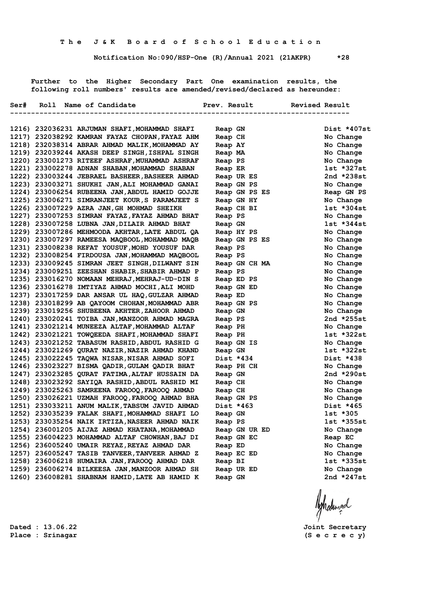**Notification No:090/HSP-One (R)/Annual 2021 (21AKPR) \*28**

 **Further to the Higher Secondary Part One examination results, the following roll numbers' results are amended/revised/declared as hereunder:**

|  | Ser# Roll Name of Candidate                    | Prev. Result  | Revised Result<br>----------------- |
|--|------------------------------------------------|---------------|-------------------------------------|
|  |                                                |               |                                     |
|  | 1216) 232036231 ARJUMAN SHAFI, MOHAMMAD SHAFI  | Reap GN       | Dist *407st                         |
|  | 1217) 232038292 KAMRAN FAYAZ CHOPAN, FAYAZ AHM | Reap CH       | No Change                           |
|  | 1218) 232038314 ABRAR AHMAD MALIK, MOHAMMAD AY | Reap AY       | No Change                           |
|  | 1219) 232039244 AKASH DEEP SINGH, ISHPAL SINGH | Reap MA       | No Change                           |
|  | 1220) 233001273 RITEEF ASHRAF, MUHAMMAD ASHRAF | Reap PS       | No Change                           |
|  | 1221) 233002278 ADNAN SHABAN, MOHAMMAD SHABAN  | Reap ER       | 1st *327st                          |
|  | 1222) 233003244 JEBRAEL BASHEER, BASHEER AHMAD | Reap UR ES    | 2nd $*238st$                        |
|  | 1223) 233003271 SHUKHI JAN, ALI MOHAMMAD GANAI | Reap GN PS    | No Change                           |
|  | 1224) 233006254 RUBEENA JAN, ABDUL HAMID GOJJE | Reap GN PS ES | Reap GN PS                          |
|  | 1225) 233006271 SIMRANJEET KOUR, S PARAMJEET S | Reap GN HY    | No Change                           |
|  | 1226) 233007229 AZRA JAN, GH MOHMAD SHEIKH     | Reap CH BI    | 1st *304st                          |
|  | 1227) 233007253 SIMRAN FAYAZ, FAYAZ AHMAD BHAT | Reap PS       | No Change                           |
|  | 1228) 233007258 LUBNA JAN, DILAIR AHMAD BHAT   | Reap GN       | $1st *344st$                        |
|  | 1229) 233007286 MEHMOODA AKHTAR, LATE ABDUL QA | Reap HY PS    | No Change                           |
|  | 1230) 233007297 RAMEESA MAQBOOL, MOHAMMAD MAQB | Reap GN PS ES | No Change                           |
|  | 1231) 233008238 REFAT YOUSUF, MOHD YOUSUF DAR  | Reap PS       | No Change                           |
|  | 1232) 233008254 FIRDOUSA JAN, MOHAMMAD MAQBOOL | Reap PS       | No Change                           |
|  | 1233) 233009245 SIMRAN JEET SINGH, DILWANT SIN | Reap GN CH MA | No Change                           |
|  | 1234) 233009251 ZEESHAN SHABIR, SHABIR AHMAD P | Reap PS       | No Change                           |
|  | 1235) 233016270 NOMAAN MEHRAJ, MEHRAJ-UD-DIN S | Reap ED PS    | No Change                           |
|  | 1236) 233016278 IMTIYAZ AHMAD MOCHI, ALI MOHD  | Reap GN ED    | No Change                           |
|  | 1237) 233017259 DAR ANSAR UL HAQ, GULZAR AHMAD | Reap ED       | No Change                           |
|  | 1238) 233018299 AB QAYOOM CHOHAN, MOHAMMAD ABR | Reap GN PS    | No Change                           |
|  | 1239) 233019256 SHUBEENA AKHTER, ZAHOOR AHMAD  | Reap GN       | No Change                           |
|  | 1240) 233020241 TOIBA JAN, MANZOOR AHMAD MAGRA | Reap PS       | 2nd *255st                          |
|  | 1241) 233021214 MUNEEZA ALTAF, MOHAMMAD ALTAF  | Reap PH       | No Change                           |
|  | 1242) 233021221 TOWQEEDA SHAFI, MOHAMMAD SHAFI | Reap PH       | 1st *322st                          |
|  | 1243) 233021252 TABASUM RASHID, ABDUL RASHID G | Reap GN IS    | No Change                           |
|  | 1244) 233021269 QURAT NAZIR, NAZIR AHMAD KHAND | Reap GN       | 1st *322st                          |
|  | 1245) 233022245 TAQWA NISAR, NISAR AHMAD SOFI  | Dist *434     | Dist *438                           |
|  | 1246) 233023227 BISMA QADIR, GULAM QADIR BHAT  | Reap PH CH    | No Change                           |
|  | 1247) 233023285 QURAT FATIMA, ALTAF HUSSAIN DA | Reap GN       | 2nd *290st                          |
|  | 1248) 233023292 SAYIQA RASHID, ABDUL RASHID MI | Reap CH       | No Change                           |
|  | 1249) 233025263 SAMREENA FAROOQ, FAROOQ AHMAD  | Reap CH       | No Change                           |
|  | 1250) 233026221 UZMAH FAROOQ, FAROOQ AHMAD BHA | Reap GN PS    | No Change                           |
|  | 1251) 233033211 ANUM MALIK, TABSUM JAVID AHMAD | Dist *463     | Dist *465                           |
|  | 1252) 233035239 FALAK SHAFI, MOHAMMAD SHAFI LO | Reap GN       | 1st *305                            |
|  | 1253) 233035254 NAIK IRTIZA, NASEER AHMAD NAIK | Reap PS       | 1st *355st                          |
|  | 1254) 236001205 AIJAZ AHMAD KHATANA, MOHAMMAD  | Reap GN UR ED | No Change                           |
|  | 1255) 236004223 MOHAMMAD ALTAF CHOWHAN, BAJ DI | Reap GN EC    | Reap EC                             |
|  | 1256) 236005240 UMAIR REYAZ, REYAZ AHMAD DAR   | Reap ED       | No Change                           |
|  | 1257) 236005247 TASIB TANVEER, TANVEER AHMAD Z | Reap EC ED    | No Change                           |
|  | 1258) 236006218 HUMAIRA JAN, FAROOQ AHMAD DAR  | Reap BI       | 1st *335st                          |
|  | 1259) 236006274 BILKEESA JAN, MANZOOR AHMAD SH | Reap UR ED    | No Change                           |
|  | 1260) 236008281 SHABNAM HAMID, LATE AB HAMID K | Reap GN       | 2nd *247st                          |
|  |                                                |               |                                     |

**Place : Srinagar (S e c r e c y)**

**Dated : 13.06.22 Joint Secretary**

Ashatingal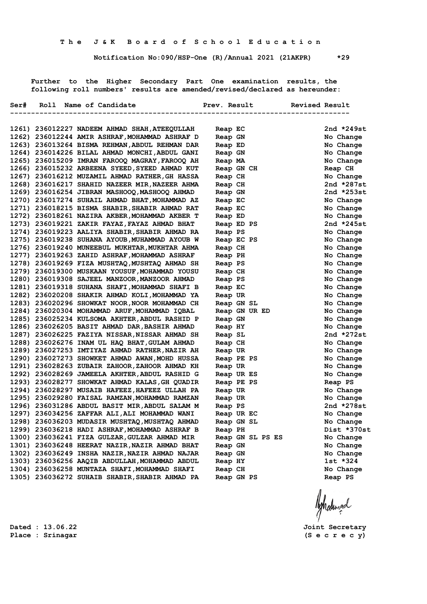**Notification No:090/HSP-One (R)/Annual 2021 (21AKPR) \*29**

 **Further to the Higher Secondary Part One examination results, the following roll numbers' results are amended/revised/declared as hereunder:**

| 2nd *249st<br>1261) 236012227 NADEEM AHMAD SHAH, ATEEQULLAH<br>Reap EC<br>1262) 236012244 AMIR ASHRAF, MOHAMMAD ASHRAF D<br>Reap GN<br>No Change<br>1263) 236013264 BISMA REHMAN, ABDUL REHMAN DAR<br>No Change<br>Reap ED<br>1264) 236014226 BILAL AHMAD MONCHI, ABDUL GANI<br>Reap GN<br>No Change<br>1265) 236015209 IMRAN FAROOQ MAGRAY, FAROOQ AH<br>No Change<br>Reap MA<br>1266) 236015232 ARBEENA SYEED, SYEED AHMAD KUT<br>Reap CH<br>Reap GN CH<br>1267) 236016212 MUZAMIL AHMAD RATHER, GH HASSA<br>Reap CH<br>No Change<br>1268) 236016217 SHAHID NAZEER MIR, NAZEER AHMA<br>2nd *287st<br>Reap CH<br>1269) 236016254 JIBRAN MASHOOQ, MASHOOQ AHMAD<br>2nd $*253st$<br>Reap GN<br>1270) 236017274 SUHAIL AHMAD BHAT, MOHAMMAD AZ<br>No Change<br>Reap EC<br>1271) 236018215 BISMA SHABIR, SHABIR AHMAD RAT<br>No Change<br>Reap EC<br>1272) 236018261 NAZIRA AKBER, MOHAMMAD AKBER T<br>No Change<br>Reap ED<br>1273) 236019221 ZAKIR FAYAZ, FAYAZ AHMAD BHAT<br>2nd *245st<br>Reap ED PS<br>1274) 236019223 AALIYA SHABIR, SHABIR AHMAD RA<br>Reap PS<br>No Change<br>1275) 236019238 SUHANA AYOUB, MUHAMMAD AYOUB W<br>Reap EC PS<br>No Change<br>1276) 236019240 MUNEEBUL MUKHTAR, MUKHTAR AHMA<br>No Change<br>Reap CH<br>1277) 236019263 ZAHID ASHRAF, MOHAMMAD ASHRAF<br>No Change<br>Reap PH<br>1278) 236019269 FIZA MUSHTAQ, MUSHTAQ AHMAD SH<br>No Change<br>Reap PS<br>1279) 236019300 MUSKAAN YOUSUF, MOHAMMAD YOUSU<br>No Change<br>Reap CH<br>1280) 236019308 SAJEEL MANZOOR, MANZOOR AHMAD<br>No Change<br>Reap PS<br>1281) 236019318 SUHANA SHAFI, MOHAMMAD SHAFI B<br>Reap EC<br>1282) 236020208 SHAKIR AHMAD KOLI, MOHAMMAD YA<br>Reap UR<br>1283) 236020296 SHOWKAT NOOR, NOOR MOHAMMAD CH<br>Reap GN SL<br>1284) 236020304 MOHAMMAD ARUF, MOHAMMAD IOBAL<br>Reap GN UR ED<br>1285) 236025234 KULSOMA AKHTER, ABDUL RASHID P<br>Reap GN<br>1286) 236026205 BASIT AHMAD DAR, BASHIR AHMAD<br>Reap HY<br>1287) 236026225 FAZIYA NISSAR, NISSAR AHMAD SH<br>Reap SL<br>1288) 236026276 INAM UL HAQ BHAT, GULAM AHMAD<br>Reap CH<br>1289) 236027253 IMTIYAZ AHMAD RATHER, NAZIR AH<br>Reap UR<br>1290) 236027273 SHOWKET AHMAD AWAN, MOHD HUSSA<br>Reap PE PS<br>1291) 236028263 ZUBAIR ZAHOOR, ZAHOOR AHMAD KH<br>Reap UR<br>1292) 236028269 JAMEELA AKHTER, ABDUL RASHID G<br>Reap UR ES<br>1293) 236028277 SHOWKAT AHMAD KALAS, GH QUADIR<br>Reap PE PS<br>Reap PS<br>1294) 236028297 MUSAIB HAFEEZ, HAFEEZ ULLAH PA<br>Reap UR<br>1295) 236029280 FAISAL RAMZAN, MOHAMMAD RAMZAN<br>Reap UR<br>1296) 236031286 ABDUL BASIT MIR, ABDUL SALAM M<br>Reap PS<br>1297) 236034256 ZAFFAR ALI, ALI MOHAMMAD WANI<br>Reap UR EC<br>1298) 236036203 MUDASIR MUSHTAQ, MUSHTAQ AHMAD<br>Reap GN SL<br>1299) 236036218 HADI ASHRAF, MOHAMMAD ASHRAF B<br>Reap PH<br>1300) 236036241 FIZA GULZAR, GULZAR AHMAD MIR<br>Reap GN SL PS ES<br>1301) 236036248 HEERAT NAZIR, NAZIR AHMAD BHAT<br>Reap GN<br>1302) 236036249 INSHA NAZIR, NAZIR AHMAD NAJAR<br>Reap GN<br>1303) 236036256 AAQIB ABDULLAH, MOHAMMAD ABDUL<br>$1st * 324$<br>Reap HY<br>1304) 236036258 MUNTAZA SHAFI, MOHAMMAD SHAFI |  | Ser# Roll Name of Candidate | Prev. Result | Revised Result |
|----------------------------------------------------------------------------------------------------------------------------------------------------------------------------------------------------------------------------------------------------------------------------------------------------------------------------------------------------------------------------------------------------------------------------------------------------------------------------------------------------------------------------------------------------------------------------------------------------------------------------------------------------------------------------------------------------------------------------------------------------------------------------------------------------------------------------------------------------------------------------------------------------------------------------------------------------------------------------------------------------------------------------------------------------------------------------------------------------------------------------------------------------------------------------------------------------------------------------------------------------------------------------------------------------------------------------------------------------------------------------------------------------------------------------------------------------------------------------------------------------------------------------------------------------------------------------------------------------------------------------------------------------------------------------------------------------------------------------------------------------------------------------------------------------------------------------------------------------------------------------------------------------------------------------------------------------------------------------------------------------------------------------------------------------------------------------------------------------------------------------------------------------------------------------------------------------------------------------------------------------------------------------------------------------------------------------------------------------------------------------------------------------------------------------------------------------------------------------------------------------------------------------------------------------------------------------------------------------------------------------------------------------------------------------------------------------------------------------------------------------------------------------------------------------------------------------------------------------------------------------------------------------------------------------------------------------------------------------------------------------------------------------------------------------------------------------------------------------------------|--|-----------------------------|--------------|----------------|
|                                                                                                                                                                                                                                                                                                                                                                                                                                                                                                                                                                                                                                                                                                                                                                                                                                                                                                                                                                                                                                                                                                                                                                                                                                                                                                                                                                                                                                                                                                                                                                                                                                                                                                                                                                                                                                                                                                                                                                                                                                                                                                                                                                                                                                                                                                                                                                                                                                                                                                                                                                                                                                                                                                                                                                                                                                                                                                                                                                                                                                                                                                                |  |                             |              |                |
|                                                                                                                                                                                                                                                                                                                                                                                                                                                                                                                                                                                                                                                                                                                                                                                                                                                                                                                                                                                                                                                                                                                                                                                                                                                                                                                                                                                                                                                                                                                                                                                                                                                                                                                                                                                                                                                                                                                                                                                                                                                                                                                                                                                                                                                                                                                                                                                                                                                                                                                                                                                                                                                                                                                                                                                                                                                                                                                                                                                                                                                                                                                |  |                             |              |                |
|                                                                                                                                                                                                                                                                                                                                                                                                                                                                                                                                                                                                                                                                                                                                                                                                                                                                                                                                                                                                                                                                                                                                                                                                                                                                                                                                                                                                                                                                                                                                                                                                                                                                                                                                                                                                                                                                                                                                                                                                                                                                                                                                                                                                                                                                                                                                                                                                                                                                                                                                                                                                                                                                                                                                                                                                                                                                                                                                                                                                                                                                                                                |  |                             |              |                |
|                                                                                                                                                                                                                                                                                                                                                                                                                                                                                                                                                                                                                                                                                                                                                                                                                                                                                                                                                                                                                                                                                                                                                                                                                                                                                                                                                                                                                                                                                                                                                                                                                                                                                                                                                                                                                                                                                                                                                                                                                                                                                                                                                                                                                                                                                                                                                                                                                                                                                                                                                                                                                                                                                                                                                                                                                                                                                                                                                                                                                                                                                                                |  |                             |              |                |
|                                                                                                                                                                                                                                                                                                                                                                                                                                                                                                                                                                                                                                                                                                                                                                                                                                                                                                                                                                                                                                                                                                                                                                                                                                                                                                                                                                                                                                                                                                                                                                                                                                                                                                                                                                                                                                                                                                                                                                                                                                                                                                                                                                                                                                                                                                                                                                                                                                                                                                                                                                                                                                                                                                                                                                                                                                                                                                                                                                                                                                                                                                                |  |                             |              |                |
|                                                                                                                                                                                                                                                                                                                                                                                                                                                                                                                                                                                                                                                                                                                                                                                                                                                                                                                                                                                                                                                                                                                                                                                                                                                                                                                                                                                                                                                                                                                                                                                                                                                                                                                                                                                                                                                                                                                                                                                                                                                                                                                                                                                                                                                                                                                                                                                                                                                                                                                                                                                                                                                                                                                                                                                                                                                                                                                                                                                                                                                                                                                |  |                             |              |                |
|                                                                                                                                                                                                                                                                                                                                                                                                                                                                                                                                                                                                                                                                                                                                                                                                                                                                                                                                                                                                                                                                                                                                                                                                                                                                                                                                                                                                                                                                                                                                                                                                                                                                                                                                                                                                                                                                                                                                                                                                                                                                                                                                                                                                                                                                                                                                                                                                                                                                                                                                                                                                                                                                                                                                                                                                                                                                                                                                                                                                                                                                                                                |  |                             |              |                |
|                                                                                                                                                                                                                                                                                                                                                                                                                                                                                                                                                                                                                                                                                                                                                                                                                                                                                                                                                                                                                                                                                                                                                                                                                                                                                                                                                                                                                                                                                                                                                                                                                                                                                                                                                                                                                                                                                                                                                                                                                                                                                                                                                                                                                                                                                                                                                                                                                                                                                                                                                                                                                                                                                                                                                                                                                                                                                                                                                                                                                                                                                                                |  |                             |              |                |
|                                                                                                                                                                                                                                                                                                                                                                                                                                                                                                                                                                                                                                                                                                                                                                                                                                                                                                                                                                                                                                                                                                                                                                                                                                                                                                                                                                                                                                                                                                                                                                                                                                                                                                                                                                                                                                                                                                                                                                                                                                                                                                                                                                                                                                                                                                                                                                                                                                                                                                                                                                                                                                                                                                                                                                                                                                                                                                                                                                                                                                                                                                                |  |                             |              |                |
|                                                                                                                                                                                                                                                                                                                                                                                                                                                                                                                                                                                                                                                                                                                                                                                                                                                                                                                                                                                                                                                                                                                                                                                                                                                                                                                                                                                                                                                                                                                                                                                                                                                                                                                                                                                                                                                                                                                                                                                                                                                                                                                                                                                                                                                                                                                                                                                                                                                                                                                                                                                                                                                                                                                                                                                                                                                                                                                                                                                                                                                                                                                |  |                             |              |                |
|                                                                                                                                                                                                                                                                                                                                                                                                                                                                                                                                                                                                                                                                                                                                                                                                                                                                                                                                                                                                                                                                                                                                                                                                                                                                                                                                                                                                                                                                                                                                                                                                                                                                                                                                                                                                                                                                                                                                                                                                                                                                                                                                                                                                                                                                                                                                                                                                                                                                                                                                                                                                                                                                                                                                                                                                                                                                                                                                                                                                                                                                                                                |  |                             |              |                |
|                                                                                                                                                                                                                                                                                                                                                                                                                                                                                                                                                                                                                                                                                                                                                                                                                                                                                                                                                                                                                                                                                                                                                                                                                                                                                                                                                                                                                                                                                                                                                                                                                                                                                                                                                                                                                                                                                                                                                                                                                                                                                                                                                                                                                                                                                                                                                                                                                                                                                                                                                                                                                                                                                                                                                                                                                                                                                                                                                                                                                                                                                                                |  |                             |              |                |
|                                                                                                                                                                                                                                                                                                                                                                                                                                                                                                                                                                                                                                                                                                                                                                                                                                                                                                                                                                                                                                                                                                                                                                                                                                                                                                                                                                                                                                                                                                                                                                                                                                                                                                                                                                                                                                                                                                                                                                                                                                                                                                                                                                                                                                                                                                                                                                                                                                                                                                                                                                                                                                                                                                                                                                                                                                                                                                                                                                                                                                                                                                                |  |                             |              |                |
|                                                                                                                                                                                                                                                                                                                                                                                                                                                                                                                                                                                                                                                                                                                                                                                                                                                                                                                                                                                                                                                                                                                                                                                                                                                                                                                                                                                                                                                                                                                                                                                                                                                                                                                                                                                                                                                                                                                                                                                                                                                                                                                                                                                                                                                                                                                                                                                                                                                                                                                                                                                                                                                                                                                                                                                                                                                                                                                                                                                                                                                                                                                |  |                             |              |                |
|                                                                                                                                                                                                                                                                                                                                                                                                                                                                                                                                                                                                                                                                                                                                                                                                                                                                                                                                                                                                                                                                                                                                                                                                                                                                                                                                                                                                                                                                                                                                                                                                                                                                                                                                                                                                                                                                                                                                                                                                                                                                                                                                                                                                                                                                                                                                                                                                                                                                                                                                                                                                                                                                                                                                                                                                                                                                                                                                                                                                                                                                                                                |  |                             |              |                |
|                                                                                                                                                                                                                                                                                                                                                                                                                                                                                                                                                                                                                                                                                                                                                                                                                                                                                                                                                                                                                                                                                                                                                                                                                                                                                                                                                                                                                                                                                                                                                                                                                                                                                                                                                                                                                                                                                                                                                                                                                                                                                                                                                                                                                                                                                                                                                                                                                                                                                                                                                                                                                                                                                                                                                                                                                                                                                                                                                                                                                                                                                                                |  |                             |              |                |
|                                                                                                                                                                                                                                                                                                                                                                                                                                                                                                                                                                                                                                                                                                                                                                                                                                                                                                                                                                                                                                                                                                                                                                                                                                                                                                                                                                                                                                                                                                                                                                                                                                                                                                                                                                                                                                                                                                                                                                                                                                                                                                                                                                                                                                                                                                                                                                                                                                                                                                                                                                                                                                                                                                                                                                                                                                                                                                                                                                                                                                                                                                                |  |                             |              |                |
|                                                                                                                                                                                                                                                                                                                                                                                                                                                                                                                                                                                                                                                                                                                                                                                                                                                                                                                                                                                                                                                                                                                                                                                                                                                                                                                                                                                                                                                                                                                                                                                                                                                                                                                                                                                                                                                                                                                                                                                                                                                                                                                                                                                                                                                                                                                                                                                                                                                                                                                                                                                                                                                                                                                                                                                                                                                                                                                                                                                                                                                                                                                |  |                             |              |                |
|                                                                                                                                                                                                                                                                                                                                                                                                                                                                                                                                                                                                                                                                                                                                                                                                                                                                                                                                                                                                                                                                                                                                                                                                                                                                                                                                                                                                                                                                                                                                                                                                                                                                                                                                                                                                                                                                                                                                                                                                                                                                                                                                                                                                                                                                                                                                                                                                                                                                                                                                                                                                                                                                                                                                                                                                                                                                                                                                                                                                                                                                                                                |  |                             |              |                |
|                                                                                                                                                                                                                                                                                                                                                                                                                                                                                                                                                                                                                                                                                                                                                                                                                                                                                                                                                                                                                                                                                                                                                                                                                                                                                                                                                                                                                                                                                                                                                                                                                                                                                                                                                                                                                                                                                                                                                                                                                                                                                                                                                                                                                                                                                                                                                                                                                                                                                                                                                                                                                                                                                                                                                                                                                                                                                                                                                                                                                                                                                                                |  |                             |              |                |
|                                                                                                                                                                                                                                                                                                                                                                                                                                                                                                                                                                                                                                                                                                                                                                                                                                                                                                                                                                                                                                                                                                                                                                                                                                                                                                                                                                                                                                                                                                                                                                                                                                                                                                                                                                                                                                                                                                                                                                                                                                                                                                                                                                                                                                                                                                                                                                                                                                                                                                                                                                                                                                                                                                                                                                                                                                                                                                                                                                                                                                                                                                                |  |                             |              | No Change      |
|                                                                                                                                                                                                                                                                                                                                                                                                                                                                                                                                                                                                                                                                                                                                                                                                                                                                                                                                                                                                                                                                                                                                                                                                                                                                                                                                                                                                                                                                                                                                                                                                                                                                                                                                                                                                                                                                                                                                                                                                                                                                                                                                                                                                                                                                                                                                                                                                                                                                                                                                                                                                                                                                                                                                                                                                                                                                                                                                                                                                                                                                                                                |  |                             |              | No Change      |
|                                                                                                                                                                                                                                                                                                                                                                                                                                                                                                                                                                                                                                                                                                                                                                                                                                                                                                                                                                                                                                                                                                                                                                                                                                                                                                                                                                                                                                                                                                                                                                                                                                                                                                                                                                                                                                                                                                                                                                                                                                                                                                                                                                                                                                                                                                                                                                                                                                                                                                                                                                                                                                                                                                                                                                                                                                                                                                                                                                                                                                                                                                                |  |                             |              | No Change      |
|                                                                                                                                                                                                                                                                                                                                                                                                                                                                                                                                                                                                                                                                                                                                                                                                                                                                                                                                                                                                                                                                                                                                                                                                                                                                                                                                                                                                                                                                                                                                                                                                                                                                                                                                                                                                                                                                                                                                                                                                                                                                                                                                                                                                                                                                                                                                                                                                                                                                                                                                                                                                                                                                                                                                                                                                                                                                                                                                                                                                                                                                                                                |  |                             |              | No Change      |
|                                                                                                                                                                                                                                                                                                                                                                                                                                                                                                                                                                                                                                                                                                                                                                                                                                                                                                                                                                                                                                                                                                                                                                                                                                                                                                                                                                                                                                                                                                                                                                                                                                                                                                                                                                                                                                                                                                                                                                                                                                                                                                                                                                                                                                                                                                                                                                                                                                                                                                                                                                                                                                                                                                                                                                                                                                                                                                                                                                                                                                                                                                                |  |                             |              | No Change      |
|                                                                                                                                                                                                                                                                                                                                                                                                                                                                                                                                                                                                                                                                                                                                                                                                                                                                                                                                                                                                                                                                                                                                                                                                                                                                                                                                                                                                                                                                                                                                                                                                                                                                                                                                                                                                                                                                                                                                                                                                                                                                                                                                                                                                                                                                                                                                                                                                                                                                                                                                                                                                                                                                                                                                                                                                                                                                                                                                                                                                                                                                                                                |  |                             |              | No Change      |
|                                                                                                                                                                                                                                                                                                                                                                                                                                                                                                                                                                                                                                                                                                                                                                                                                                                                                                                                                                                                                                                                                                                                                                                                                                                                                                                                                                                                                                                                                                                                                                                                                                                                                                                                                                                                                                                                                                                                                                                                                                                                                                                                                                                                                                                                                                                                                                                                                                                                                                                                                                                                                                                                                                                                                                                                                                                                                                                                                                                                                                                                                                                |  |                             |              | 2nd *272st     |
|                                                                                                                                                                                                                                                                                                                                                                                                                                                                                                                                                                                                                                                                                                                                                                                                                                                                                                                                                                                                                                                                                                                                                                                                                                                                                                                                                                                                                                                                                                                                                                                                                                                                                                                                                                                                                                                                                                                                                                                                                                                                                                                                                                                                                                                                                                                                                                                                                                                                                                                                                                                                                                                                                                                                                                                                                                                                                                                                                                                                                                                                                                                |  |                             |              | No Change      |
|                                                                                                                                                                                                                                                                                                                                                                                                                                                                                                                                                                                                                                                                                                                                                                                                                                                                                                                                                                                                                                                                                                                                                                                                                                                                                                                                                                                                                                                                                                                                                                                                                                                                                                                                                                                                                                                                                                                                                                                                                                                                                                                                                                                                                                                                                                                                                                                                                                                                                                                                                                                                                                                                                                                                                                                                                                                                                                                                                                                                                                                                                                                |  |                             |              | No Change      |
|                                                                                                                                                                                                                                                                                                                                                                                                                                                                                                                                                                                                                                                                                                                                                                                                                                                                                                                                                                                                                                                                                                                                                                                                                                                                                                                                                                                                                                                                                                                                                                                                                                                                                                                                                                                                                                                                                                                                                                                                                                                                                                                                                                                                                                                                                                                                                                                                                                                                                                                                                                                                                                                                                                                                                                                                                                                                                                                                                                                                                                                                                                                |  |                             |              | No Change      |
|                                                                                                                                                                                                                                                                                                                                                                                                                                                                                                                                                                                                                                                                                                                                                                                                                                                                                                                                                                                                                                                                                                                                                                                                                                                                                                                                                                                                                                                                                                                                                                                                                                                                                                                                                                                                                                                                                                                                                                                                                                                                                                                                                                                                                                                                                                                                                                                                                                                                                                                                                                                                                                                                                                                                                                                                                                                                                                                                                                                                                                                                                                                |  |                             |              | No Change      |
|                                                                                                                                                                                                                                                                                                                                                                                                                                                                                                                                                                                                                                                                                                                                                                                                                                                                                                                                                                                                                                                                                                                                                                                                                                                                                                                                                                                                                                                                                                                                                                                                                                                                                                                                                                                                                                                                                                                                                                                                                                                                                                                                                                                                                                                                                                                                                                                                                                                                                                                                                                                                                                                                                                                                                                                                                                                                                                                                                                                                                                                                                                                |  |                             |              | No Change      |
|                                                                                                                                                                                                                                                                                                                                                                                                                                                                                                                                                                                                                                                                                                                                                                                                                                                                                                                                                                                                                                                                                                                                                                                                                                                                                                                                                                                                                                                                                                                                                                                                                                                                                                                                                                                                                                                                                                                                                                                                                                                                                                                                                                                                                                                                                                                                                                                                                                                                                                                                                                                                                                                                                                                                                                                                                                                                                                                                                                                                                                                                                                                |  |                             |              |                |
|                                                                                                                                                                                                                                                                                                                                                                                                                                                                                                                                                                                                                                                                                                                                                                                                                                                                                                                                                                                                                                                                                                                                                                                                                                                                                                                                                                                                                                                                                                                                                                                                                                                                                                                                                                                                                                                                                                                                                                                                                                                                                                                                                                                                                                                                                                                                                                                                                                                                                                                                                                                                                                                                                                                                                                                                                                                                                                                                                                                                                                                                                                                |  |                             |              | No Change      |
|                                                                                                                                                                                                                                                                                                                                                                                                                                                                                                                                                                                                                                                                                                                                                                                                                                                                                                                                                                                                                                                                                                                                                                                                                                                                                                                                                                                                                                                                                                                                                                                                                                                                                                                                                                                                                                                                                                                                                                                                                                                                                                                                                                                                                                                                                                                                                                                                                                                                                                                                                                                                                                                                                                                                                                                                                                                                                                                                                                                                                                                                                                                |  |                             |              | No Change      |
|                                                                                                                                                                                                                                                                                                                                                                                                                                                                                                                                                                                                                                                                                                                                                                                                                                                                                                                                                                                                                                                                                                                                                                                                                                                                                                                                                                                                                                                                                                                                                                                                                                                                                                                                                                                                                                                                                                                                                                                                                                                                                                                                                                                                                                                                                                                                                                                                                                                                                                                                                                                                                                                                                                                                                                                                                                                                                                                                                                                                                                                                                                                |  |                             |              | 2nd *278st     |
|                                                                                                                                                                                                                                                                                                                                                                                                                                                                                                                                                                                                                                                                                                                                                                                                                                                                                                                                                                                                                                                                                                                                                                                                                                                                                                                                                                                                                                                                                                                                                                                                                                                                                                                                                                                                                                                                                                                                                                                                                                                                                                                                                                                                                                                                                                                                                                                                                                                                                                                                                                                                                                                                                                                                                                                                                                                                                                                                                                                                                                                                                                                |  |                             |              | No Change      |
|                                                                                                                                                                                                                                                                                                                                                                                                                                                                                                                                                                                                                                                                                                                                                                                                                                                                                                                                                                                                                                                                                                                                                                                                                                                                                                                                                                                                                                                                                                                                                                                                                                                                                                                                                                                                                                                                                                                                                                                                                                                                                                                                                                                                                                                                                                                                                                                                                                                                                                                                                                                                                                                                                                                                                                                                                                                                                                                                                                                                                                                                                                                |  |                             |              | No Change      |
|                                                                                                                                                                                                                                                                                                                                                                                                                                                                                                                                                                                                                                                                                                                                                                                                                                                                                                                                                                                                                                                                                                                                                                                                                                                                                                                                                                                                                                                                                                                                                                                                                                                                                                                                                                                                                                                                                                                                                                                                                                                                                                                                                                                                                                                                                                                                                                                                                                                                                                                                                                                                                                                                                                                                                                                                                                                                                                                                                                                                                                                                                                                |  |                             |              | Dist *370st    |
|                                                                                                                                                                                                                                                                                                                                                                                                                                                                                                                                                                                                                                                                                                                                                                                                                                                                                                                                                                                                                                                                                                                                                                                                                                                                                                                                                                                                                                                                                                                                                                                                                                                                                                                                                                                                                                                                                                                                                                                                                                                                                                                                                                                                                                                                                                                                                                                                                                                                                                                                                                                                                                                                                                                                                                                                                                                                                                                                                                                                                                                                                                                |  |                             |              | No Change      |
|                                                                                                                                                                                                                                                                                                                                                                                                                                                                                                                                                                                                                                                                                                                                                                                                                                                                                                                                                                                                                                                                                                                                                                                                                                                                                                                                                                                                                                                                                                                                                                                                                                                                                                                                                                                                                                                                                                                                                                                                                                                                                                                                                                                                                                                                                                                                                                                                                                                                                                                                                                                                                                                                                                                                                                                                                                                                                                                                                                                                                                                                                                                |  |                             |              | No Change      |
|                                                                                                                                                                                                                                                                                                                                                                                                                                                                                                                                                                                                                                                                                                                                                                                                                                                                                                                                                                                                                                                                                                                                                                                                                                                                                                                                                                                                                                                                                                                                                                                                                                                                                                                                                                                                                                                                                                                                                                                                                                                                                                                                                                                                                                                                                                                                                                                                                                                                                                                                                                                                                                                                                                                                                                                                                                                                                                                                                                                                                                                                                                                |  |                             |              | No Change      |
|                                                                                                                                                                                                                                                                                                                                                                                                                                                                                                                                                                                                                                                                                                                                                                                                                                                                                                                                                                                                                                                                                                                                                                                                                                                                                                                                                                                                                                                                                                                                                                                                                                                                                                                                                                                                                                                                                                                                                                                                                                                                                                                                                                                                                                                                                                                                                                                                                                                                                                                                                                                                                                                                                                                                                                                                                                                                                                                                                                                                                                                                                                                |  |                             |              |                |
|                                                                                                                                                                                                                                                                                                                                                                                                                                                                                                                                                                                                                                                                                                                                                                                                                                                                                                                                                                                                                                                                                                                                                                                                                                                                                                                                                                                                                                                                                                                                                                                                                                                                                                                                                                                                                                                                                                                                                                                                                                                                                                                                                                                                                                                                                                                                                                                                                                                                                                                                                                                                                                                                                                                                                                                                                                                                                                                                                                                                                                                                                                                |  |                             | Reap CH      | No Change      |
| 1305) 236036272 SUHAIB SHABIR, SHABIR AHMAD PA<br>Reap GN PS<br>Reap PS                                                                                                                                                                                                                                                                                                                                                                                                                                                                                                                                                                                                                                                                                                                                                                                                                                                                                                                                                                                                                                                                                                                                                                                                                                                                                                                                                                                                                                                                                                                                                                                                                                                                                                                                                                                                                                                                                                                                                                                                                                                                                                                                                                                                                                                                                                                                                                                                                                                                                                                                                                                                                                                                                                                                                                                                                                                                                                                                                                                                                                        |  |                             |              |                |

Aghalunad

**Dated : 13.06.22 Joint Secretary Place : Srinagar (S e c r e c y)**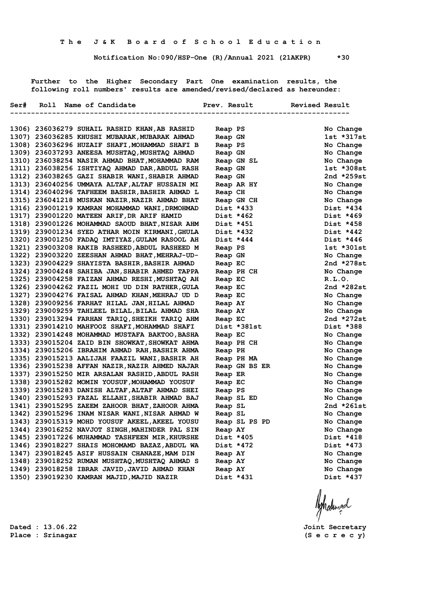**Notification No:090/HSP-One (R)/Annual 2021 (21AKPR) \*30**

 **Further to the Higher Secondary Part One examination results, the following roll numbers' results are amended/revised/declared as hereunder:**

|  | Ser# Roll Name of Candidate The Prev. Result Revised Result |                          |               |
|--|-------------------------------------------------------------|--------------------------|---------------|
|  |                                                             | ------------------------ |               |
|  | 1306) 236036279 SUHAIL RASHID KHAN, AB RASHID               | Reap PS                  | No Change     |
|  | 1307) 236036285 KHUSHI MUBARAK, MUBARAK AHMAD               | Reap GN                  | $1st * 317st$ |
|  | 1308) 236036296 HUZAIF SHAFI, MOHAMMAD SHAFI B              | Reap PS                  | No Change     |
|  | 1309) 236037293 ANEESA MUSHTAQ, MUSHTAQ AHMAD               | Reap GN                  | No Change     |
|  | 1310) 236038254 NASIR AHMAD BHAT, MOHAMMAD RAM              | Reap GN SL               | No Change     |
|  | 1311) 236038256 ISHTIYAQ AHMAD DAR, ABDUL RASH              | Reap GN                  | $1st * 308st$ |
|  | 1312) 236038265 GAZI SHABIR WANI, SHABIR AHMAD              | Reap GN                  | 2nd $*259st$  |
|  | 1313) 236040256 UMMAYA ALTAF, ALTAF HUSSAIN MI              | Reap AR HY               | No Change     |
|  | 1314) 236040296 TAFHEEM BASHIR, BASHIR AHMAD L              | Reap CH                  | No Change     |
|  | 1315) 236041218 MUSKAN NAZIR, NAZIR AHMAD BHAT              | Reap GN CH               | No Change     |
|  | 1316) 239001219 KAMRAN MOHAMMAD WANI, DRMOHMAD              | Dist *433                | Dist *434     |
|  | 1317) 239001220 MATEEN ARIF, DR ARIF HAMID                  | Dist *462                | Dist *469     |
|  | 1318) 239001226 MOHAMMAD SAOUD BHAT, NISAR AHM              | Dist *451                | Dist *458     |
|  | 1319) 239001234 SYED ATHAR MOIN KIRMANI, GHULA              | Dist *432                | Dist *442     |
|  | 1320) 239001250 FADAQ IMTIYAZ, GULAM RASOOL AH              | Dist *444                | Dist *446     |
|  | 1321) 239003208 RAKIB RASHEED, ABDUL RASHEED M              | Reap PS                  | $1st *301st$  |
|  | 1322) 239003220 ZEESHAN AHMAD BHAT, MEHRAJ-UD-              | Reap GN                  | No Change     |
|  | 1323) 239004229 SHAYISTA BASHIR, BASHIR AHMAD               | Reap EC                  | 2nd $*278st$  |
|  | 1324) 239004248 SAHIBA JAN, SHABIR AHMED TAPPA              | Reap PH CH               | No Change     |
|  | 1325) 239004258 FAIZAN AHMAD RESHI, MUSHTAQ AH              | Reap EC                  | R.L.0.        |
|  | 1326) 239004262 FAZIL MOHI UD DIN RATHER, GULA              | Reap EC                  | 2nd $*282st$  |
|  | 1327) 239004276 FAISAL AHMAD KHAN, MEHRAJ UD D              | Reap EC                  | No Change     |
|  | 1328) 239009256 FARHAT HILAL JAN, HILAL AHMAD               | Reap AY                  | No Change     |
|  | 1329) 239009259 TAHLEEL BILAL, BILAL AHMAD SHA              | Reap AY                  | No Change     |
|  | 1330) 239013294 FARHAN TARIQ, SHEIKH TARIQ AHM              | Reap EC                  | 2nd $*272st$  |
|  | 1331) 239014210 MAHFOOZ SHAFI, MOHAMMAD SHAFI               | Dist *381st              | Dist *388     |
|  | 1332) 239014248 MOHAMMAD MUSTAFA BAKTOO, BASHA              | Reap EC                  | No Change     |
|  | 1333) 239015204 ZAID BIN SHOWKAT, SHOWKAT AHMA              | Reap PH CH               | No Change     |
|  | 1334) 239015206 IBRAHIM AHMAD RAH, BASHIR AHMA              | Reap PH                  | No Change     |
|  | 1335) 239015213 AALIJAH FAAZIL WANI, BASHIR AH              | Reap PH MA               | No Change     |
|  | 1336) 239015238 AFFAN NAZIR, NAZIR AHMED NAJAR              | Reap GN BS ER            | No Change     |
|  | 1337) 239015250 MIR ARSALAN RASHID, ABDUL RASH              | Reap ER                  | No Change     |
|  | 1338) 239015282 MOMIN YOUSUF, MOHAMMAD YOUSUF               | Reap EC                  | No Change     |
|  | 1339) 239015283 DANISH ALTAF, ALTAF AHMAD SHEI              | Reap PS                  | No Change     |
|  | 1340) 239015293 FAZAL ELLAHI, SHABIR AHMAD BAJ              | Reap SL ED               | No Change     |
|  | 1341) 239015295 ZAEEM ZAHOOR BHAT, ZAHOOR AHMA              | Reap SL                  | 2nd *261st    |
|  | 1342) 239015296 INAM NISAR WANI, NISAR AHMAD W              | Reap SL                  | No Change     |
|  | 1343) 239015319 MOHD YOUSUF AKEEL, AKEEL YOUSU              | Reap SL PS PD            | No Change     |
|  | 1344) 239016252 NAVJOT SINGH, MAHINDER PAL SIN              | Reap AY                  | No Change     |
|  | 1345) 239017226 MUHAMMAD TASHFEEN MIR, KHURSHE              | Dist *405                | Dist *418     |
|  | 1346) 239018227 SHAIS MOHOMAMD BAZAZ, ABDUL WA              | Dist *472                | Dist *473     |
|  | 1347) 239018245 ASIF HUSSAIN CHANAZE, MAM DIN               | Reap AY                  | No Change     |
|  | 1348) 239018252 RUMAN MUSHTAQ, MUSHTAQ AHMAD S              | Reap AY                  | No Change     |
|  | 1349) 239018258 IBRAR JAVID, JAVID AHMAD KHAN               | Reap AY                  | No Change     |
|  | 1350) 239019230 KAMRAN MAJID, MAJID NAZIR                   | Dist *431                | Dist *437     |
|  |                                                             |                          |               |

Ashalingal

**Dated : 13.06.22 Joint Secretary**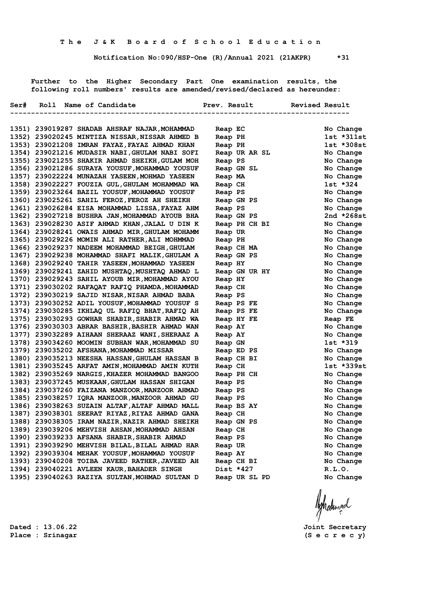**Notification No:090/HSP-One (R)/Annual 2021 (21AKPR) \*31**

 **Further to the Higher Secondary Part One examination results, the following roll numbers' results are amended/revised/declared as hereunder:**

|  |                                                |               | ---------------------- |
|--|------------------------------------------------|---------------|------------------------|
|  |                                                |               |                        |
|  | 1351) 239019287 SHADAB AHSRAF NAJAR, MOHAMMAD  | Reap EC       | No Change              |
|  | 1352) 239020245 MINTIZA NISSAR, NISSAR AHMED B | Reap PH       | $1st *311st$           |
|  | 1353) 239021208 IMRAN FAYAZ, FAYAZ AHMAD KHAN  | Reap PH       | $1st * 308st$          |
|  | 1354) 239021216 MUDASIR NABI, GHULAM NABI SOFI | Reap UR AR SL | No Change              |
|  | 1355) 239021255 SHAKIR AHMAD SHEIKH, GULAM MOH | Reap PS       | No Change              |
|  | 1356) 239021286 SURAYA YOUSUF, MOHAMMAD YOUSUF | Reap GN SL    | No Change              |
|  | 1357) 239022224 MUNAZAH YASEEN, MOHMAD YASEEN  | Reap MA       | No Change              |
|  | 1358) 239022227 FOUZIA GUL, GHULAM MOHAMMAD WA | Reap CH       | $1st * 324$            |
|  | 1359) 239023264 BAZIL YOUSUF, MOHAMMAD YOUSUF  | Reap PS       | No Change              |
|  | 1360) 239025261 SAHIL FEROZ, FEROZ AH SHEIKH   | Reap GN PS    | No Change              |
|  | 1361) 239026284 EISA MOHAMMAD LISSA, FAYAZ AHM | Reap PS       | No Change              |
|  | 1362) 239027218 BUSHRA JAN, MOHAMMAD AYOUB BHA | Reap GN PS    | 2nd $*268st$           |
|  | 1363) 239028230 ASIF AHMAD KHAN, JALAL U DIN K | Reap PH CH BI | No Change              |
|  | 1364) 239028241 OWAIS AHMAD MIR, GHULAM MOHAMM | Reap UR       | No Change              |
|  | 1365) 239029226 MOMIN ALI RATHER, ALI MOHMMAD  | Reap PH       | No Change              |
|  | 1366) 239029237 NADEEM MOHAMMAD BEIGH, GHULAM  | Reap CH MA    | No Change              |
|  | 1367) 239029238 MOHAMMAD SHAFI MALIK, GHULAM A | Reap GN PS    | No Change              |
|  | 1368) 239029240 TAHIR YASEEN, MOHAMMAD YASEEN  | Reap HY       | No Change              |
|  | 1369) 239029241 ZAHID MUSHTAQ, MUSHTAQ AHMAD L | Reap GN UR HY | No Change              |
|  | 1370) 239029243 SAHIL AYOUB MIR, MOHAMMAD AYOU | Reap HY       | No Change              |
|  | 1371) 239030202 RAFAQAT RAFIQ PHAMDA, MOHAMMAD | Reap CH       | No Change              |
|  | 1372) 239030219 SAJID NISAR, NISAR AHMAD BABA  | Reap PS       | No Change              |
|  | 1373) 239030252 ADIL YOUSUF, MOHAMMAD YOUSUF S | Reap PS FE    | No Change              |
|  | 1374) 239030285 IKHLAQ UL RAFIQ BHAT, RAFIQ AH | Reap PS FE    | No Change              |
|  | 1375) 239030293 GOWHAR SHABIR, SHABIR AHMAD WA | Reap HY FE    | Reap FE                |
|  | 1376) 239030303 ABRAR BASHIR, BASHIR AHMAD WAN | Reap AY       | No Change              |
|  | 1377) 239032289 AIHAAN SHERAAZ WANI, SHERAAZ A | Reap AY       | No Change              |
|  | 1378) 239034260 MOOMIN SUBHAN WAR, MOHAMMAD SU | Reap GN       | $1st * 319$            |
|  | 1379) 239035202 AFSHANA, MOHAMMAD MISSAR       | Reap ED PS    | No Change              |
|  | 1380) 239035213 NEESHA HASSAN, GHULAM HASSAN B | Reap CH BI    | No Change              |
|  | 1381) 239035245 ARFAT AMIN, MOHAMMAD AMIN KUTH | Reap CH       | $1st$ $*339st$         |
|  | 1382) 239035269 NARGIS, KHAZER MOHAMMAD BANGOO | Reap PH CH    | No Change              |
|  | 1383) 239037245 MUSKAAN, GHULAM HASSAN SHIGAN  | Reap PS       | No Change              |
|  | 1384) 239037260 FAIZANA MANZOOR, MANZOOR AHMAD | Reap PS       | No Change              |
|  | 1385) 239038257 IQRA MANZOOR, MANZOOR AHMAD GU | Reap PS       | No Change              |
|  | 1386) 239038263 SUZAIN ALTAF, ALTAF AHMAD MALL | Reap BS AY    | No Change              |
|  | 1387) 239038301 SEERAT RIYAZ, RIYAZ AHMAD GANA | Reap CH       | No Change              |
|  | 1388) 239038305 IRAM NAZIR, NAZIR AHMAD SHEIKH | Reap GN PS    | No Change              |
|  | 1389) 239039206 MEHVISH AHSAN, MOHAMMAD AHSAN  | Reap CH       | No Change              |
|  | 1390) 239039233 AFSANA SHABIR, SHABIR AHMAD    | Reap PS       | No Change              |
|  | 1391) 239039290 MEHVISH BILAL, BILAL AHMAD HAR | Reap UR       | No Change              |
|  | 1392) 239039304 MEHAK YOUSUF, MOHAMMAD YOUSUF  | Reap AY       | No Change              |
|  | 1393) 239040208 TOIBA JAVEED RATHER, JAVEED AH | Reap CH BI    | No Change              |
|  | 1394) 239040221 AVLEEN KAUR, BAHADER SINGH     | Dist *427     | R.L.0.                 |
|  | 1395) 239040263 RAZIYA SULTAN, MOHMAD SULTAN D | Reap UR SL PD | No Change              |

Ashatingal

**Dated : 13.06.22 Joint Secretary**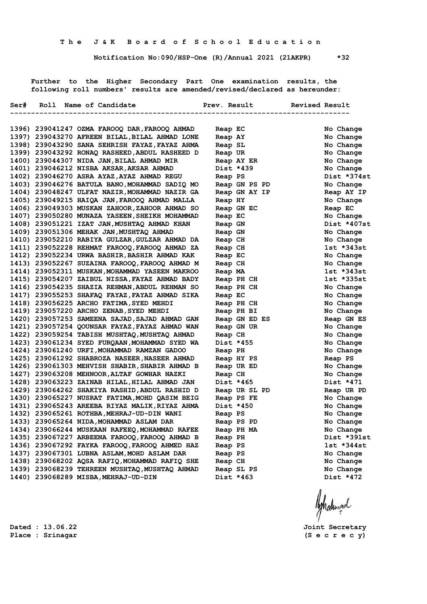**Notification No:090/HSP-One (R)/Annual 2021 (21AKPR) \*32**

 **Further to the Higher Secondary Part One examination results, the following roll numbers' results are amended/revised/declared as hereunder:**

|  | Ser# Roll Name of Candidate                    | Prev. Result  | Revised Result<br>---------------- |
|--|------------------------------------------------|---------------|------------------------------------|
|  |                                                |               |                                    |
|  | 1396) 239041247 OZMA FAROOQ DAR, FAROOQ AHMAD  | Reap EC       | No Change                          |
|  | 1397) 239043270 AFREEN BILAL, BILAL AHMAD LONE | Reap AY       | No Change                          |
|  | 1398) 239043290 SANA SEHRISH FAYAZ, FAYAZ AHMA | Reap SL       | No Change                          |
|  | 1399) 239043292 RONAQ RASHEED, ABDUL RASHEED D | Reap UR       | No Change                          |
|  | 1400) 239044307 NIDA JAN, BILAL AHMAD MIR      | Reap AY ER    | No Change                          |
|  | 1401) 239046212 NISBA AKSAR, AKSAR AHMAD       | Dist *439     | No Change                          |
|  | 1402) 239046270 ASRA AYAZ, AYAZ AHMAD REGU     | Reap PS       | Dist *374st                        |
|  | 1403) 239046276 BATULA BANO, MOHAMMAD SADIQ MO | Reap GN PS PD | No Change                          |
|  | 1404) 239048247 ULFAT NAZIR, MOHAMMAD NAZIR GA | Reap GN AY IP | Reap AY IP                         |
|  | 1405) 239049215 HAIQA JAN, FAROOQ AHMAD MALLA  | Reap HY       | No Change                          |
|  | 1406) 239049303 MUSKAN ZAHOOR, ZAHOOR AHMAD SO | Reap GN EC    | Reap EC                            |
|  | 1407) 239050280 MUNAZA YASEEN, SHEIKH MOHAMMAD | Reap EC       | No Change                          |
|  | 1408) 239051221 IZAT JAN, MUSHTAQ AHMAD KHAN   | Reap GN       | Dist *407st                        |
|  | 1409) 239051306 MEHAK JAN, MUSHTAQ AHMAD       | Reap GN       | No Change                          |
|  | 1410) 239052210 RABIYA GULZAR, GULZAR AHMAD DA | Reap CH       | No Change                          |
|  | 1411) 239052228 REHMAT FAROOQ, FAROOQ AHMAD ZA | Reap CH       | 1st *343st                         |
|  | 1412) 239052234 URWA BASHIR, BASHIR AHMAD KAK  | Reap EC       | No Change                          |
|  | 1413) 239052267 SUZAINA FAROOQ, FAROOQ AHMAD M | Reap CH       | No Change                          |
|  | 1414) 239052311 MUSKAN, MOHAMMAD YASEEN MAKROO | Reap MA       | $1st$ $*343st$                     |
|  | 1415) 239054207 ZAIBUL NISSA, FAYAZ AHMAD BADY | Reap PH CH    | 1st *335st                         |
|  | 1416) 239054235 SHAZIA REHMAN, ABDUL REHMAN SO | Reap PH CH    | No Change                          |
|  | 1417) 239055253 SHAFAQ FAYAZ, FAYAZ AHMAD SIKA | Reap EC       | No Change                          |
|  | 1418) 239056225 ARCHO FATIMA, SYED MEHDI       | Reap PH CH    | No Change                          |
|  | 1419) 239057220 ARCHO ZENAB, SYED MEHDI        | Reap PH BI    | No Change                          |
|  | 1420) 239057253 SAMEENA SAJAD, SAJAD AHMAD GAN | Reap GN ED ES | Reap GN ES                         |
|  | 1421) 239057254 QOUNSAR FAYAZ, FAYAZ AHMAD WAN | Reap GN UR    | No Change                          |
|  | 1422) 239059254 TABISH MUSHTAQ, MUSHTAQ AHMAD  | Reap CH       | No Change                          |
|  | 1423) 239061234 SYED FURQAAN, MOHAMMAD SYED WA | Dist *455     | No Change                          |
|  | 1424) 239061240 URFI, MOHAMMAD RAMZAN GADOO    | Reap PH       | No Change                          |
|  | 1425) 239061292 SHABROZA NASEER, NASEER AHMAD  | Reap HY PS    | Reap PS                            |
|  | 1426) 239061303 MEHVISH SHABIR, SHABIR AHMAD B | Reap UR ED    | No Change                          |
|  | 1427) 239063208 MEHNOOR, ALTAF GOWHAR NAZKI    | Reap CH       | No Change                          |
|  | 1428) 239063223 ZAINAB HILAL, HILAL AHMAD JAN  | Dist *465     | Dist *471                          |
|  | 1429) 239064262 SHAKIYA RASHID, ABDUL RASHID D | Reap UR SL PD | Reap UR PD                         |
|  | 1430) 239065227 NUSRAT FATIMA, MOHD QASIM BEIG | Reap PS FE    | No Change                          |
|  | 1431) 239065243 AREEBA RIYAZ MALIK, RIYAZ AHMA | Dist *450     | No Change                          |
|  | 1432) 239065261 ROTHBA, MEHRAJ-UD-DIN WANI     | Reap PS       | No Change                          |
|  | 1433) 239065264 NIDA, MOHAMMAD ASLAM DAR       | Reap PS PD    | No Change                          |
|  | 1434) 239066244 MUSKAAN RAFEEQ, MOHAMMAD RAFEE | Reap PH MA    | No Change                          |
|  | 1435) 239067227 ARBEENA FAROOQ, FAROOQ AHMAD B | Reap PH       | Dist *391st                        |
|  | 1436) 239067292 FAYKA FAROOQ, FAROOQ AHMED HAZ | Reap PS       | lst *344st                         |
|  | 1437) 239067301 LUBNA ASLAM, MOHD ASLAM DAR    | Reap PS       | No Change                          |
|  | 1438) 239068202 AQSA RAFIQ, MOHAMMAD RAFIQ SHE | Reap CH       | No Change                          |
|  | 1439) 239068239 TEHREEN MUSHTAQ, MUSHTAQ AHMAD | Reap SL PS    | No Change                          |
|  | 1440) 239068289 MISBA, MEHRAJ-UD-DIN           | Dist *463     | Dist *472                          |

**Place : Srinagar (S e c r e c y)**

**Dated : 13.06.22 Joint Secretary**

Ashalingd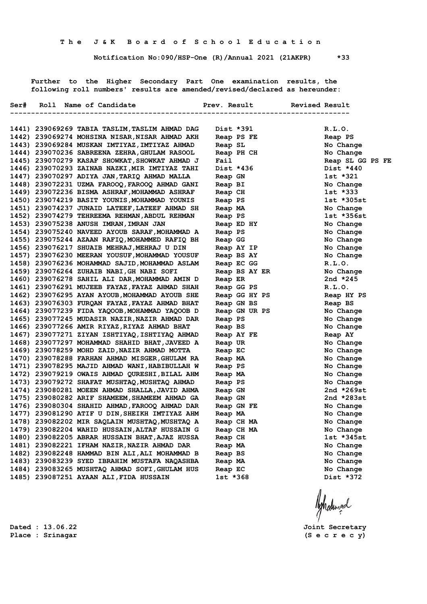**Notification No:090/HSP-One (R)/Annual 2021 (21AKPR) \*33**

 **Further to the Higher Secondary Part One examination results, the following roll numbers' results are amended/revised/declared as hereunder:**

|  | Ser# Roll Name of Candidate                    | Prev. Result Revised Result |                  |
|--|------------------------------------------------|-----------------------------|------------------|
|  | 1441) 239069269 TABIA TASLIM, TASLIM AHMAD DAG | Dist *391                   | R.L.0.           |
|  | 1442) 239069274 MOHSINA NISAR, NISAR AHMAD AKH | Reap PS FE                  | Reap PS          |
|  | 1443) 239069284 MUSKAN IMTIYAZ, IMTIYAZ AHMAD  | Reap SL                     | No Change        |
|  | 1444) 239070236 SABREENA ZEHRA, GHULAM RASOOL  | Reap PH CH                  | No Change        |
|  | 1445) 239070279 KASAF SHOWKAT, SHOWKAT AHMAD J | Fail                        | Reap SL GG PS FE |
|  | 1446) 239070293 ZAINAB NAZKI, MIR IMTIYAZ TAHI | Dist *436                   | Dist *440        |
|  | 1447) 239070297 ADIYA JAN, TARIQ AHMAD MALLA   | Reap GN                     | 1st *321         |
|  | 1448) 239072231 UZMA FAROOQ, FAROOQ AHMAD GANI | Reap BI                     | No Change        |
|  | 1449) 239072236 BISMA ASHRAF, MOHAMMAD ASHRAF  | Reap CH                     | 1st *333         |
|  | 1450) 239074219 BASIT YOUNIS, MOHAMMAD YOUNIS  | Reap PS                     | $1st * 305st$    |
|  | 1451) 239074237 JUNAID LATEEF, LATEEF AHMAD SH | Reap MA                     | No Change        |
|  | 1452) 239074279 TEHREEMA REHMAN, ABDUL REHMAN  | Reap PS                     | 1st *356st       |
|  | 1453) 239075238 ANUSH IMRAN, IMRAN JAN         | Reap ED HY                  | No Change        |
|  | 1454) 239075240 NAVEED AYOUB SARAF, MOHAMMAD A | Reap PS                     | No Change        |
|  | 1455) 239075244 AZAAN RAFIQ, MOHAMMED RAFIQ BH | Reap GG                     | No Change        |
|  | 1456) 239076217 SHUAIB MEHRAJ, MEHRAJ U DIN    | Reap AY IP                  | No Change        |
|  | 1457) 239076230 MEERAN YOUSUF, MOHAMMAD YOUSUF | Reap BS AY                  | No Change        |
|  | 1458) 239076236 MOHAMMAD SAJID, MOHAMMAD ASLAM | Reap EC GG                  | R.L.0.           |
|  | 1459) 239076264 ZUHAIB NABI, GH NABI SOFI      | Reap BS AY ER               | No Change        |
|  | 1460) 239076278 SAHIL ALI DAR, MOHAMMAD AMIN D | Reap ER                     | 2nd $*245$       |
|  | 1461) 239076291 MUJEEB FAYAZ, FAYAZ AHMAD SHAH | Reap GG PS                  | R.L.0.           |
|  | 1462) 239076295 AYAN AYOUB, MOHAMMAD AYOUB SHE | Reap GG HY PS               | Reap HY PS       |
|  | 1463) 239076303 FURQAN FAYAZ, FAYAZ AHMAD BHAT | Reap GN BS                  | Reap BS          |
|  | 1464) 239077239 FIDA YAQOOB, MOHAMMAD YAQOOB D | Reap GN UR PS               | No Change        |
|  | 1465) 239077245 MUDASIR NAZIR, NAZIR AHMAD DAR | Reap PS                     | No Change        |
|  | 1466) 239077266 AMIR RIYAZ, RIYAZ AHMAD BHAT   | Reap BS                     | No Change        |
|  | 1467) 239077271 ZIYAN ISHTIYAQ, ISHTIYAQ AHMAD | Reap AY FE                  | Reap AY          |
|  | 1468) 239077297 MOHAMMAD SHAHID BHAT, JAVEED A | Reap UR                     | No Change        |
|  | 1469) 239078259 MOHD ZAID, NAZIR AHMAD MOTTA   | Reap EC                     | No Change        |
|  | 1470) 239078288 FARHAN AHMAD MISGER, GHULAM RA | Reap MA                     | No Change        |
|  | 1471) 239078295 MAJID AHMAD WANI, HABIBULLAH W | Reap PS                     | No Change        |
|  | 1472) 239079219 OWAIS AHMAD QURESHI, BILAL AHM | Reap MA                     | No Change        |
|  | 1473) 239079272 SHAFAT MUSHTAQ, MUSHTAQ AHMAD  | Reap PS                     | No Change        |
|  | 1474) 239080281 MOEEN AHMAD SHALLA, JAVID AHMA | Reap GN                     | 2nd *269st       |
|  | 1475) 239080282 ARIF SHAMEEM, SHAMEEM AHMAD GA | Reap GN                     | 2nd *283st       |
|  | 1476) 239080304 SHAHID AHMAD, FAROOQ AHMAD DAR | Reap GN FE                  | No Change        |
|  | 1477) 239081290 ATIF U DIN, SHEIKH IMTIYAZ AHM | Reap MA                     | No Change        |
|  | 1478) 239082202 MIR SAQLAIN MUSHTAQ, MUSHTAQ A | Reap CH MA                  | No Change        |
|  | 1479) 239082204 WAHID HUSSAIN, ALTAF HUSSAIN G | Reap CH MA                  | No Change        |
|  | 1480) 239082205 ABRAR HUSSAIN BHAT, AJAZ HUSSA | Reap CH                     | lst *345st       |
|  | 1481) 239082221 IFHAM NAZIR, NAZIR AHMAD DAR   | Reap MA                     | No Change        |
|  | 1482) 239082248 HAMMAD BIN ALI, ALI MOHAMMAD B | Reap BS                     | No Change        |
|  | 1483) 239083239 SYED IBRAHIM MUSTAFA NAQASHBA  | Reap MA                     | No Change        |
|  | 1484) 239083265 MUSHTAQ AHMAD SOFI, GHULAM HUS | Reap EC                     | No Change        |
|  | 1485) 239087251 AYAAN ALI, FIDA HUSSAIN        | $1st * 368$                 | Dist *372        |
|  |                                                |                             |                  |

Ashatingal

**Dated : 13.06.22 Joint Secretary**